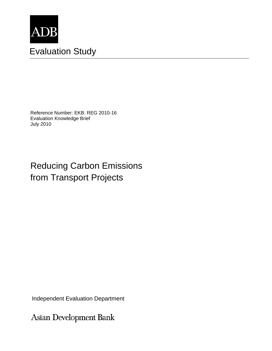

# Evaluation Study

Reference Number: EKB: REG 2010-16 Evaluation Knowledge Brief July 2010

# Reducing Carbon Emissions from Transport Projects

Independent Evaluation Department

Asian Development Bank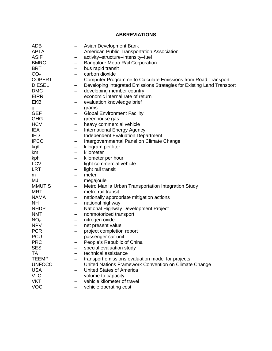# **ABBREVIATIONS**

| <b>APTA</b><br>American Public Transportation Association<br>$\qquad \qquad -$                                      |  |
|---------------------------------------------------------------------------------------------------------------------|--|
|                                                                                                                     |  |
| <b>ASIF</b><br>activity-structure-intensity-fuel<br>$\overline{\phantom{m}}$                                        |  |
| <b>Bangalore Metro Rail Corporation</b><br><b>BMRC</b><br>$\qquad \qquad \qquad$                                    |  |
| <b>BRT</b><br>bus rapid transit<br>$\qquad \qquad \qquad$                                                           |  |
| CO <sub>2</sub><br>carbon dioxide<br>$\qquad \qquad \qquad$                                                         |  |
| <b>COPERT</b><br>Computer Programme to Calculate Emissions from Road Transport<br>$\overline{\phantom{m}}$          |  |
| <b>DIESEL</b><br>Developing Integrated Emissions Strategies for Existing Land Transport<br>$\overline{\phantom{m}}$ |  |
| <b>DMC</b><br>developing member country<br>$\overline{\phantom{m}}$                                                 |  |
| economic internal rate of return<br><b>EIRR</b><br>$\qquad \qquad -$                                                |  |
| <b>EKB</b><br>evaluation knowledge brief                                                                            |  |
| grams<br>g                                                                                                          |  |
| <b>GEF</b><br><b>Global Environment Facility</b><br>$\overline{\phantom{m}}$                                        |  |
| <b>GHG</b><br>greenhouse gas<br>$\qquad \qquad$                                                                     |  |
| <b>HCV</b><br>heavy commercial vehicle<br>$\qquad \qquad \qquad$                                                    |  |
| IEA<br><b>International Energy Agency</b><br>$\qquad \qquad \qquad$                                                 |  |
| <b>Independent Evaluation Department</b><br><b>IED</b><br>$\qquad \qquad -$                                         |  |
| <b>IPCC</b><br>Intergovernmental Panel on Climate Change<br>$\qquad \qquad -$                                       |  |
| kilogram per liter<br>kg/l<br>$\qquad \qquad -$                                                                     |  |
| kilometer<br>km<br>$\qquad \qquad$                                                                                  |  |
| kilometer per hour<br>kph<br>$\qquad \qquad \qquad$                                                                 |  |
| <b>LCV</b><br>light commercial vehicle<br>$\qquad \qquad \qquad$                                                    |  |
| <b>LRT</b><br>light rail transit<br>$\qquad \qquad -$                                                               |  |
| meter<br>m<br>$\overline{\phantom{m}}$                                                                              |  |
| MJ<br>megajoule<br>$\qquad \qquad \qquad$                                                                           |  |
| <b>MMUTIS</b><br>Metro Manila Urban Transportation Integration Study<br>$\overline{\phantom{m}}$                    |  |
| <b>MRT</b><br>metro rail transit<br>$\qquad \qquad -$                                                               |  |
| <b>NAMA</b><br>nationally appropriate mitigation actions<br>$\qquad \qquad -$                                       |  |
| national highway<br><b>NH</b><br>$\qquad \qquad \qquad$                                                             |  |
| National Highway Development Project<br><b>NHDP</b><br>$\overline{\phantom{m}}$                                     |  |
| <b>NMT</b><br>nonmotorized transport<br>$\qquad \qquad -$                                                           |  |
| $NO_{x}$<br>nitrogen oxide<br>$\qquad \qquad -$                                                                     |  |
| <b>NPV</b><br>net present value<br>$\qquad \qquad -$                                                                |  |
| <b>PCR</b><br>project completion report<br>$\qquad \qquad \qquad$                                                   |  |
| <b>PCU</b><br>passenger car unit<br>$\qquad \qquad \qquad$                                                          |  |
| <b>PRC</b><br>People's Republic of China                                                                            |  |
| <b>SES</b><br>special evaluation study                                                                              |  |
| ТA<br>technical assistance                                                                                          |  |
| <b>TEEMP</b><br>transport emissions evaluation model for projects                                                   |  |
| <b>UNFCCC</b><br>United Nations Framework Convention on Climate Change                                              |  |
| <b>USA</b><br><b>United States of America</b>                                                                       |  |
| $V - C$<br>volume to capacity                                                                                       |  |
| <b>VKT</b><br>vehicle kilometer of travel                                                                           |  |
| <b>VOC</b><br>vehicle operating cost<br>—                                                                           |  |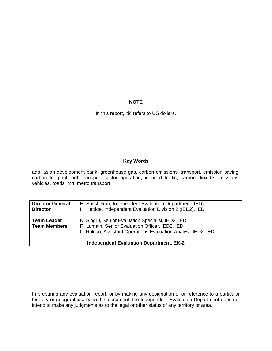## **NOTE**

In this report, "\$" refers to US dollars.

### **Key Words**

adb, asian development bank, greenhouse gas, carbon emissions, transport, emission saving, carbon footprint, adb transport sector operation, induced traffic, carbon dioxide emissions, vehicles, roads, mrt, metro transport

| <b>Director General</b><br><b>Director</b> | H. Satish Rao, Independent Evaluation Department (IED)<br>H. Hettige, Independent Evaluation Division 2 (IED2), IED                                                    |
|--------------------------------------------|------------------------------------------------------------------------------------------------------------------------------------------------------------------------|
| <b>Team Leader</b><br><b>Team Members</b>  | N. Singru, Senior Evaluation Specialist, IED2, IED<br>R. Lumain, Senior Evaluation Officer, IED2, IED<br>C. Roldan, Assistant Operations Evaluation Analyst, IED2, IED |
|                                            | <b>Independent Evaluation Department, EK-2</b>                                                                                                                         |

In preparing any evaluation report, or by making any designation of or reference to a particular territory or geographic area in this document, the Independent Evaluation Department does not intend to make any judgments as to the legal or other status of any territory or area.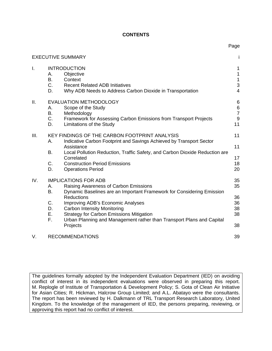### **CONTENTS**

Page

|      |                                  | <b>EXECUTIVE SUMMARY</b>                                                                                                                                                                                                                                                                                                                                                              | i                                                                    |
|------|----------------------------------|---------------------------------------------------------------------------------------------------------------------------------------------------------------------------------------------------------------------------------------------------------------------------------------------------------------------------------------------------------------------------------------|----------------------------------------------------------------------|
| I.   | А.<br>Β.<br>C.<br>D.             | <b>INTRODUCTION</b><br>Objective<br>Context<br><b>Recent Related ADB Initiatives</b><br>Why ADB Needs to Address Carbon Dioxide in Transportation                                                                                                                                                                                                                                     | 1<br>1<br>$\mathbf 1$<br>$\ensuremath{\mathsf{3}}$<br>$\overline{4}$ |
| Ш.   | А.<br>В.<br>$C_{-}$<br>D.        | <b>EVALUATION METHODOLOGY</b><br>Scope of the Study<br>Methodology<br>Framework for Assessing Carbon Emissions from Transport Projects<br>Limitations of the Study                                                                                                                                                                                                                    | $6\phantom{1}6$<br>$\begin{array}{c} 6 \\ 7 \end{array}$<br>9<br>11  |
| III. | А.<br>В.<br>C.<br>D.             | KEY FINDINGS OF THE CARBON FOOTPRINT ANALYSIS<br>Indicative Carbon Footprint and Savings Achieved by Transport Sector<br>Assistance<br>Local Pollution Reduction, Traffic Safety, and Carbon Dioxide Reduction are<br>Correlated<br><b>Construction Period Emissions</b><br><b>Operations Period</b>                                                                                  | 11<br>11<br>17<br>18<br>20                                           |
| IV.  | А.<br>Β.<br>C.<br>D.<br>Е.<br>F. | <b>IMPLICATIONS FOR ADB</b><br>Raising Awareness of Carbon Emissions<br>Dynamic Baselines are an Important Framework for Considering Emission<br><b>Reductions</b><br>Improving ADB's Economic Analyses<br><b>Carbon Intensity Monitoring</b><br><b>Strategy for Carbon Emissions Mitigation</b><br>Urban Planning and Management rather than Transport Plans and Capital<br>Projects | 35<br>35<br>36<br>36<br>38<br>38<br>38                               |
| V.   |                                  | <b>RECOMMENDATIONS</b>                                                                                                                                                                                                                                                                                                                                                                | 39                                                                   |

The guidelines formally adopted by the Independent Evaluation Department (IED) on avoiding conflict of interest in its independent evaluations were observed in preparing this report. M. Replogle of Institute of Transportation & Development Policy; S. Gota of Clean Air Initiative for Asian Cities; R. Hickman, Halcrow Group Limited; and A.L. Abatayo were the consultants. The report has been reviewed by H. Dalkmann of TRL Transport Research Laboratory, United Kingdom. To the knowledge of the management of IED, the persons preparing, reviewing, or approving this report had no conflict of interest.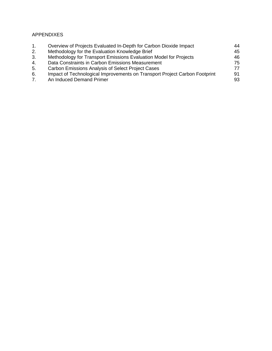# APPENDIXES

| 1.                              | Overview of Projects Evaluated In-Depth for Carbon Dioxide Impact          | 44  |
|---------------------------------|----------------------------------------------------------------------------|-----|
| 2.                              | Methodology for the Evaluation Knowledge Brief                             | 45  |
| 3.                              | Methodology for Transport Emissions Evaluation Model for Projects          | 46. |
| 4.                              | Data Constraints in Carbon Emissions Measurement                           | 75  |
| 5.                              | <b>Carbon Emissions Analysis of Select Project Cases</b>                   | 77. |
| 6.                              | Impact of Technological Improvements on Transport Project Carbon Footprint | 91  |
| $7_{\scriptscriptstyle{\circ}}$ | An Induced Demand Primer                                                   | 93  |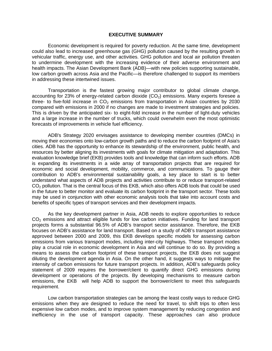#### **EXECUTIVE SUMMARY**

Economic development is required for poverty reduction. At the same time, development could also lead to increased greenhouse gas (GHG) pollution caused by the resulting growth in vehicular traffic, energy use, and other activities. GHG pollution and local air pollution threaten to undermine development with the increasing evidence of their adverse environment and health impacts. The Asian Development Bank (ADB)—with new policies supporting sustainable, low carbon growth across Asia and the Pacific—is therefore challenged to support its members in addressing these intertwined issues.

Transportation is the fastest growing major contributor to global climate change, accounting for 23% of energy-related carbon dioxide  $(CO<sub>2</sub>)$  emissions. Many experts foresee a three- to five-fold increase in  $CO<sub>2</sub>$  emissions from transportation in Asian countries by 2030 compared with emissions in 2000 if no changes are made to investment strategies and policies. This is driven by the anticipated six- to eight-fold increase in the number of light-duty vehicles and a large increase in the number of trucks, which could overwhelm even the most optimistic forecasts of improvements in vehicle fuel efficiency.

ADB's Strategy 2020 envisages assistance to developing member countries (DMCs) in moving their economies onto low-carbon growth paths and to reduce the carbon footprint of Asia's cities. ADB has the opportunity to enhance its stewardship of the environment, public health, and resources by better aligning its investments with goals for climate mitigation and adaptation. This evaluation knowledge brief (EKB) provides tools and knowledge that can inform such efforts. ADB is expanding its investments in a wide array of transportation projects that are required for economic and social development, mobility, commerce, and communications. To gauge their contribution to ADB's environmental sustainability goals, a key place to start is to better understand what aspects of ADB projects and activities contribute to or reduce transport-related CO<sub>2</sub> pollution. That is the central focus of this EKB, which also offers ADB tools that could be used in the future to better monitor and evaluate its carbon footprint in the transport sector. These tools may be used in conjunction with other economic analysis tools that take into account costs and benefits of specific types of transport services and their development impacts.

As the key development partner in Asia, ADB needs to explore opportunities to reduce  $CO<sub>2</sub>$  emissions and attract eligible funds for low carbon initiatives. Funding for land transport projects forms a substantial 96.5% of ADB's transport sector assistance. Therefore, the EKB focuses on ADB's assistance for land transport. Based on a study of ADB's transport assistance approved between 2000 and 2009, this EKB develops specific models for assessing carbon emissions from various transport modes, including inter-city highways. These transport modes play a crucial role in economic development in Asia and will continue to do so. By providing a means to assess the carbon footprint of these transport projects, the EKB does not suggest diluting the development agenda in Asia. On the other hand, it suggests ways to mitigate the intensity of carbon emissions for future transport projects. In addition, ADB's safeguards policy statement of 2009 requires the borrower/client to quantify direct GHG emissions during development or operations of the projects. By developing mechanisms to measure carbon emissions, the EKB will help ADB to support the borrower/client to meet this safeguards requirement.

Low carbon transportation strategies can be among the least costly ways to reduce GHG emissions when they are designed to reduce the need for travel, to shift trips to often less expensive low carbon modes, and to improve system management by reducing congestion and inefficiency in the use of transport capacity. These approaches can also produce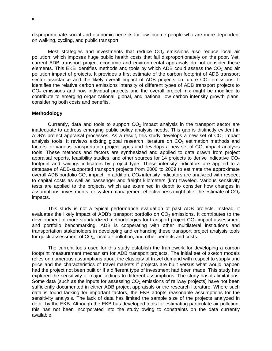disproportionate social and economic benefits for low-income people who are more dependent on walking, cycling, and public transport.

Most strategies and investments that reduce  $CO<sub>2</sub>$  emissions also reduce local air pollution, which imposes huge public health costs that fall disproportionately on the poor. Yet, current ADB transport project economic and environmental appraisals do not consider these elements. This EKB identifies methods and tools by which ADB could assess the  $CO<sub>2</sub>$  and air pollution impact of projects. It provides a first estimate of the carbon footprint of ADB transport sector assistance and the likely overall impact of ADB projects on future  $CO<sub>2</sub>$  emissions. It identifies the relative carbon emissions intensity of different types of ADB transport projects to  $CO<sub>2</sub>$  emissions and how individual projects and the overall project mix might be modified to contribute to emerging organizational, global, and national low carbon intensity growth plans, considering both costs and benefits.

#### **Methodology**

Currently, data and tools to support  $CO<sub>2</sub>$  impact analysis in the transport sector are inadequate to address emerging public policy analysis needs. This gap is distinctly evident in ADB's project appraisal processes. As a result, this study develops a new set of  $CO<sub>2</sub>$  impact analysis tools. It reviews existing global research literature on  $CO<sub>2</sub>$  estimation methods and factors for various transportation project types and develops a new set of  $CO<sub>2</sub>$  impact analysis tools. These methods and factors are synthesized and applied to data drawn from project appraisal reports, feasibility studies, and other sources for 14 projects to derive indicative  $CO<sub>2</sub>$ footprint and savings indicators by project type. These intensity indicators are applied to a database of ADB-supported transport projects from 2000 to 2009 to estimate the approximate overall ADB portfolio  $CO<sub>2</sub>$  impact. In addition,  $CO<sub>2</sub>$  intensity indicators are analyzed with respect to capital costs as well as passenger and freight kilometers (km) traveled. Various sensitivity tests are applied to the projects, which are examined in depth to consider how changes in assumptions, investments, or system management effectiveness might alter the estimate of  $CO<sub>2</sub>$ impacts.

This study is not a typical performance evaluation of past ADB projects. Instead, it evaluates the likely impact of ADB's transport portfolio on  $CO<sub>2</sub>$  emissions. It contributes to the development of more standardized methodologies for transport project  $CO<sub>2</sub>$  impact assessment and portfolio benchmarking. ADB is cooperating with other multilateral institutions and transportation stakeholders in developing and enhancing these transport project analysis tools for quick assessment of  $CO<sub>2</sub>$ , local air pollution, and other benefits and costs.

The current tools used for this study establish the framework for developing a carbon footprint measurement mechanism for ADB transport projects. The initial set of sketch models relies on numerous assumptions about the elasticity of travel demand with respect to supply and price and the characteristics of travel markets if projects are built versus what would happen had the project not been built or if a different type of investment had been made. This study has explored the sensitivity of major findings to different assumptions. The study has its limitations. Some data (such as the inputs for assessing  $CO<sub>2</sub>$  emissions of railway projects) have not been sufficiently documented in either ADB project appraisals or the research literature. Where such data is found lacking for important factors, the EKB adopts reasonable assumptions for the sensitivity analysis. The lack of data has limited the sample size of the projects analyzed in detail by the EKB. Although the EKB has developed tools for estimating particulate air pollution, this has not been incorporated into the study owing to constraints on the data currently available.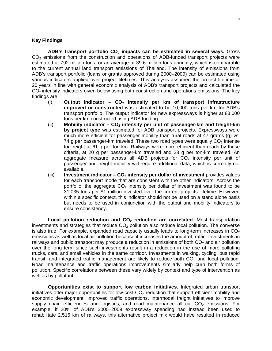#### **Key Findings**

ADB's transport portfolio CO<sub>2</sub> impacts can be estimated in several ways. Gross  $CO<sub>2</sub>$  emissions from the construction and operations of ADB-funded transport projects were estimated at 792 million tons, or an average of 39.6 million tons annually, which is comparable to the current annual land transport emissions of Thailand. The intensity of emissions from ADB's transport portfolio (loans or grants approved during 2000–2009) can be estimated using various indicators applied over project lifetimes. This analysis assumed the project lifetime of 20 years in line with general economic analysis of ADB's transport projects and calculated the  $CO<sub>2</sub>$  intensity indicators given below using both construction and operations emissions. The key findings are:

- (i) Output indicator CO<sub>2</sub> intensity per km of transport infrastructure **improved or constructed** was estimated to be 10,000 tons per km for ADB's transport portfolio. The output indicator for new expressways is higher at 88,000 tons per km constructed using ADB funding.
- (ii) Mobility indicator CO<sub>2</sub> intensity per unit of passenger-km and freight-km **by project type** was estimated for ADB transport projects. Expressways were much more efficient for passenger mobility than rural roads at 47 grams (g) vs. 74 g per passenger-km traveled. These two road types were equally  $CO<sub>2</sub>$  intense for freight at 61 g per ton-km. Railways were more efficient than roads by these criteria, at 20 g per passenger-km traveled and 23 g per ton-km traveled. An aggregate measure across all ADB projects for  $CO<sub>2</sub>$  intensity per unit of passenger and freight mobility will require additional data, which is currently not available.
- (iii) **Investment indicator CO<sub>2</sub> intensity per dollar of investment** provides values for each transport mode that are consistent with the other indicators. Across the portfolio, the aggregate  $CO<sub>2</sub>$  intensity per dollar of investment was found to be 31,035 tons per \$1 million invested over the current projects' lifetime. However, within a specific context, this indicator should not be used on a stand alone basis but needs to be used in conjunction with the output and mobility indicators to ensure consistency.

**Local pollution reduction and CO<sub>2</sub> reduction are correlated.** Most transportation investments and strategies that reduce  $CO<sub>2</sub>$  pollution also reduce local pollution. The converse is also true. For example, expanded road capacity usually leads to long-term increases in  $CO<sub>2</sub>$ emissions as well as local air pollution because it increases the amount of traffic. Investments in railways and public transport may produce a reduction in emissions of both  $CO<sub>2</sub>$  and air pollution over the long term since such investments result in a reduction in the use of more polluting trucks, cars, and small vehicles in the same corridor. Investments in walking, cycling, bus rapid transit, and integrated traffic management are likely to reduce both  $CO<sub>2</sub>$  and local pollution. Road maintenance and traffic operations improvements similarly help curb both forms of pollution. Specific correlations between these vary widely by context and type of intervention as well as by pollutant.

**Opportunities exist to support low carbon initiatives.** Integrated urban transport initiatives offer major opportunities for low-cost  $CO<sub>2</sub>$  reduction that support efficient mobility and economic development. Improved traffic operations, intermodal freight initiatives to improve supply chain efficiencies and logistics, and road maintenance all cut  $CO<sub>2</sub>$  emissions. For example, if 20% of ADB's 2000–2009 expressway spending had instead been used to rehabilitate 2,515 km of railways, this alternative project mix would have resulted in reduced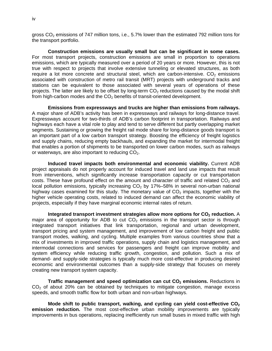gross  $CO<sub>2</sub>$  emissions of 747 million tons, i.e., 5.7% lower than the estimated 792 million tons for the transport portfolio.

**Construction emissions are usually small but can be significant in some cases.** For most transport projects, construction emissions are small in proportion to operations emissions, which are typically measured over a period of 20 years or more. However, this is not true with respect to projects that involve extensive tunneling or elevated structures, as both require a lot more concrete and structural steel, which are carbon-intensive.  $CO<sub>2</sub>$  emissions associated with construction of metro rail transit (MRT) projects with underground tracks and stations can be equivalent to those associated with several years of operations of these projects. The latter are likely to be offset by long-term  $CO<sub>2</sub>$  reductions caused by the modal shift from high-carbon modes and the  $CO<sub>2</sub>$  benefits of transit-oriented development.

**Emissions from expressways and trucks are higher than emissions from railways.** A major share of ADB's activity has been in expressways and railways for long-distance travel. Expressways account for two-thirds of ADB's carbon footprint in transportation. Railways and highways each have a vital role to play and tend to serve different but partly overlapping market segments. Sustaining or growing the freight rail mode share for long-distance goods transport is an important part of a low carbon transport strategy. Boosting the efficiency of freight logistics and supply chains, reducing empty backhauls, and expanding the market for intermodal freight that enables a portion of shipments to be transported on lower carbon modes, such as railways or waterways, are also important to reducing  $CO<sub>2</sub>$ .

**Induced travel impacts both environmental and economic viability.** Current ADB project appraisals do not properly account for induced travel and land use impacts that result from interventions, which significantly increase transportation capacity or cut transportation costs. These have profound effect on the amount and character of traffic and related  $CO<sub>2</sub>$  and local pollution emissions, typically increasing  $CO<sub>2</sub>$  by 17%–58% in several non-urban national highway cases examined for this study. The monetary value of  $CO<sub>2</sub>$  impacts, together with the higher vehicle operating costs, related to induced demand can affect the economic viability of projects, especially if they have marginal economic internal rates of return.

**Integrated transport investment strategies allow more options for CO<sub>2</sub> reduction.** A major area of opportunity for ADB to cut  $CO<sub>2</sub>$  emissions in the transport sector is through integrated transport initiatives that link transportation, regional and urban development, transport pricing and system management, and improvement of low carbon freight and public transport modes, walking, and cycling. Multiple examples from various countries show that a mix of investments in improved traffic operations, supply chain and logistics management, and intermodal connections and services for passengers and freight can improve mobility and system efficiency while reducing traffic growth, congestion, and pollution. Such a mix of demand- and supply-side strategies is typically much more cost-effective in producing desired economic and environmental outcomes than a supply-side strategy that focuses on merely creating new transport system capacity.

**Traffic management and speed optimization can cut CO<sub>2</sub> emissions.** Reductions in  $CO<sub>2</sub>$  of about 20% can be obtained by techniques to mitigate congestion, manage excess speeds, and smooth traffic flow for both urban and non-urban highways.

Mode shift to public transport, walking, and cycling can yield cost-effective CO<sub>2</sub> **emission reduction.** The most cost-effective urban mobility improvements are typically improvements in bus operations, replacing inefficiently run small buses in mixed traffic with high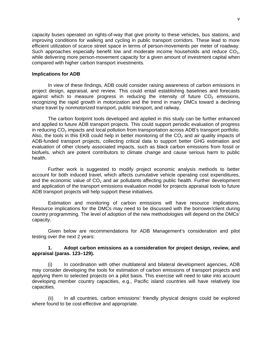capacity buses operated on rights-of-way that give priority to these vehicles, bus stations, and improving conditions for walking and cycling in public transport corridors. These lead to more efficient utilization of scarce street space in terms of person-movements per meter of roadway. Such approaches especially benefit low and moderate income households and reduce  $CO<sub>2</sub>$ , while delivering more person-movement capacity for a given amount of investment capital when compared with higher carbon transport investments.

#### **Implications for ADB**

In view of these findings, ADB could consider raising awareness of carbon emissions in project design, appraisal, and review. This could entail establishing baselines and forecasts against which to measure progress in reducing the intensity of future  $CO<sub>2</sub>$  emissions, recognizing the rapid growth in motorization and the trend in many DMCs toward a declining share travel by nonmotorized transport, public transport, and railway.

The carbon footprint tools developed and applied in this study can be further enhanced and applied to future ADB transport projects. This could support periodic evaluation of progress in reducing  $CO<sub>2</sub>$  impacts and local pollution from transportation across ADB's transport portfolio. Also, the tools in this EKB could help in better monitoring of the  $CO<sub>2</sub>$  and air quality impacts of ADB-funded transport projects, collecting critical data to support better GHG estimation and evaluation of other closely associated impacts, such as black carbon emissions from fossil or biofuels, which are potent contributors to climate change and cause serious harm to public health.

Further work is suggested to modify project economic analysis methods to better account for both induced travel, which affects cumulative vehicle operating cost expenditures, and the economic value of  $CO<sub>2</sub>$  and air pollutants affecting public health. Further development and application of the transport emissions evaluation model for projects appraisal tools to future ADB transport projects will help support these initiatives.

Estimation and monitoring of carbon emissions will have resource implications. Resource implications for the DMCs may need to be discussed with the borrower/client during country programming. The level of adoption of the new methodologies will depend on the DMCs' capacity.

Given below are recommendations for ADB Management's consideration and pilot testing over the next 2 years:

#### **1. Adopt carbon emissions as a consideration for project design, review, and appraisal (paras. 123–129).**

(i) In coordination with other multilateral and bilateral development agencies, ADB may consider developing the tools for estimation of carbon emissions of transport projects and applying them to selected projects on a pilot basis. This exercise will need to take into account developing member country capacities, e.g., Pacific island countries will have relatively low capacities.

In all countries, carbon emissions' friendly physical designs could be explored where found to be cost-effective and appropriate.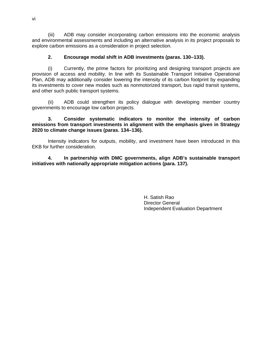(iii) ADB may consider incorporating carbon emissions into the economic analysis and environmental assessments and including an alternative analysis in its project proposals to explore carbon emissions as a consideration in project selection.

## **2. Encourage modal shift in ADB investments (paras. 130–133).**

(i) Currently, the prime factors for prioritizing and designing transport projects are provision of access and mobility. In line with its Sustainable Transport Initiative Operational Plan, ADB may additionally consider lowering the intensity of its carbon footprint by expanding its investments to cover new modes such as nonmotorized transport, bus rapid transit systems, and other such public transport systems.

(ii) ADB could strengthen its policy dialogue with developing member country governments to encourage low carbon projects.

#### **3. Consider systematic indicators to monitor the intensity of carbon emissions from transport investments in alignment with the emphasis given in Strategy 2020 to climate change issues (paras. 134–136).**

Intensity indicators for outputs, mobility, and investment have been introduced in this EKB for further consideration.

**4. In partnership with DMC governments, align ADB's sustainable transport initiatives with nationally appropriate mitigation actions (para. 137).** 

> H. Satish Rao Director General Independent Evaluation Department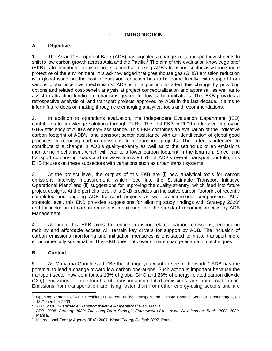# **I. INTRODUCTION**

# **A. Objective**

1. The Asian Development Bank (ADB) has signaled a change in its transport investments to shift to low carbon growth across Asia and the Pacific.<sup>1</sup> The aim of this evaluation knowledge brief (EKB) is to contribute to this change—aimed at making ADB's transport sector assistance more protective of the environment. It is acknowledged that greenhouse gas (GHG) emission reduction is a global issue but the cost of emission reduction has to be borne locally, with support from various global incentive mechanisms. ADB is in a position to affect this change by providing options and related cost-benefit analysis at project conceptualization and appraisal, as well as to assist in attracting funding mechanisms geared for low carbon initiatives. This EKB provides a retrospective analysis of land transport projects approved by ADB in the last decade. It aims to inform future decision making through the emerging analytical tools and recommendations.

2. In addition to operations evaluation, the Independent Evaluation Department (IED) contributes to knowledge solutions through EKBs. The first EKB in 2009 addressed improving GHG efficiency of ADB's energy assistance. This EKB combines an evaluation of the indicative carbon footprint of ADB's land transport sector assistance with an identification of global good practices in reducing carbon emissions from transport projects. The latter is intended to contribute to a change in ADB's quality-at-entry as well as to the setting up of an emissions monitoring mechanism, which will lead to a lower carbon footprint in the long run. Since land transport comprising roads and railways forms 96.5% of ADB's overall transport portfolio, this EKB focuses on these subsectors with variations such as urban transit systems.

3. At the project level, the outputs of this EKB are (i) new analytical tools for carbon emissions intensity measurement, which feed into the Sustainable Transport Initiative Operational Plan;<sup>2</sup> and (ii) suggestions for improving the quality-at-entry, which feed into future project designs. At the portfolio level, this EKB provides an indicative carbon footprint of recently completed and ongoing ADB transport projects as well as intermodal comparisons. At a strategic level, this EKB provides suggestions for aligning study findings with Strategy  $2020<sup>3</sup>$ and for inclusion of carbon emissions monitoring into the standard reporting process by ADB Management.

4. Although this EKB aims to reduce transport-related carbon emissions, enhancing mobility and affordable access will remain key drivers for support by ADB. The inclusion of carbon emissions monitoring and mitigation measures is envisaged to make transport more environmentally sustainable. This EKB does not cover climate change adaptation techniques.

# **B. Context**

5. As Mahatma Gandhi said, "Be the change you want to see in the world." ADB has the potential to lead a change toward low carbon operations. Such action is important because the transport sector now contributes 13% of global GHG and 23% of energy-related carbon dioxide  $(CO<sub>2</sub>)$  emissions.<sup>4</sup> Three-fourths of transportation-related emissions are from road traffic. Emissions from transportation are rising faster than from other energy-using sectors and are

<sup>-</sup>1 Opening Remarks of ADB President H. Kuroda at the Transport and Climate Change Seminar, Copenhagen, on 13 December 2009.<br> $\frac{2}{3}$  ADP 2010. Suptains

ADB. 2010. *Sustainable Transport Initiative – Operational Plan*. Manila. 3

ADB. 2008. *Strategy 2020: The Long-Term Strategic Framework of the Asian Development Bank*, *2008–2020*. Manila.

International Energy Agency (IEA). 2007. *World Energy Outlook 2007*. Paris.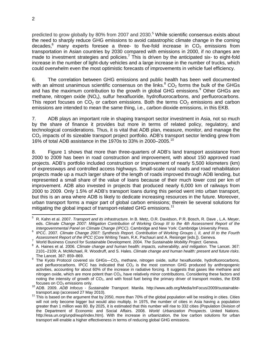predicted to grow globally by 80% from 2007 and 2030.<sup>5</sup> While scientific consensus exists about the need to sharply reduce GHG emissions to avoid catastrophic climate change in the coming decades,<sup>6</sup> many experts foresee a three- to five-fold increase in  $CO<sub>2</sub>$  emissions from transportation in Asian countries by 2030 compared with emissions in 2000, if no changes are made to investment strategies and policies.<sup>7</sup> This is driven by the anticipated six- to eight-fold increase in the number of light-duty vehicles and a large increase in the number of trucks, which could overwhelm even the most optimistic forecasts of improvements in vehicle fuel efficiency.

6. The correlation between GHG emissions and public health has been well documented with an almost unanimous scientific consensus on the links.<sup>8</sup> CO<sub>2</sub> forms the bulk of the GHGs and has the maximum contribution to the growth in global GHG emissions.<sup>9</sup> Other GHGs are methane, nitrogen oxide (NO<sub>x</sub>), sulfur hexafluoride, hydrofluorocarbons, and perfluorocarbons. This report focuses on  $CO<sub>2</sub>$  or carbon emissions. Both the terms  $CO<sub>2</sub>$  emissions and carbon emissions are intended to mean the same thing, i.e., carbon dioxide emissions, in this EKB.

7. ADB plays an important role in shaping transport sector investment in Asia, not so much by the share of finance it provides but more in terms of related policy, regulatory, and technological considerations. Thus, it is vital that ADB plan, measure, monitor, and manage the  $CO<sub>2</sub>$  impacts of its sizeable transport project portfolio. ADB's transport sector lending grew from 16% of total ADB assistance in the 1970s to 33% in 2000–2005.10

8. Figure 1 shows that more than three-quarters of ADB's land transport assistance from 2000 to 2009 has been in road construction and improvement, with about 150 approved road projects. ADB's portfolio included construction or improvement of nearly 5,500 kilometers (km) of expressways and controlled access highways. Small-scale rural roads and road rehabilitation projects made up a much larger share of the length of roads improved through ADB lending, but represented a small share of the value of loans because of their much lower cost per km of improvement. ADB also invested in projects that produced nearly 6,000 km of railways from 2000 to 2009. Only 1.5% of ADB's transport loans during this period went into urban transport, but this is an area where ADB is likely to dedicate increasing resources in the future. Moreover, urban transport forms a major part of global carbon emissions; therein lie several solutions for mitigating the global impact of transport-related GHG emissions.<sup>11</sup>

 5 R. Kahn et al. 2007. *Transport and its infrastructure*. In B. Metz, O.R. Davidson, P.R. Bosch, R. Dave , L.A. Meyer, eds. *Climate Change 2007: Mitigation Contribution of Working Group III to the 4th Assessment Report of the Intergovernmental Panel on Climate Change (IPCC)*. Cambridge and New York: Cambridge University Press. 6

<sup>&</sup>lt;sup>6</sup> IPCC. 2007. *Climate Change 2007: Synthesis Report. Contribution of Working Groups I, II, and III to the Fourth Assessment Report of the IPCC* (Core Writing Team, R.K. Pachauri and A. Reisinger [eds.]). Geneva. 7

World Business Council for Sustainable Development. 2004. *The Sustainable Mobility Project*. Geneva. 8

A. Haines et al. 2006. *Climate change and human health: impacts, vulnerability, and mitigation*. The Lancet. 367: 2101–2109; A. McMichael, R. Woodruff, and S. Hales. *Climate change and human health: present and future risks*.

The Lancet. 367: 859–869.<br><sup>9</sup> The Kyoto Protocol covered six GHGs—CO<sub>2</sub>, methane, nitrogen oxide, sulfur hexafluoride, hydrofluorocarbons, and perfluorocarbons. IPCC has indicated that  $CO<sub>2</sub>$  is the most common GHG produced by anthropogenic activities, accounting for about 60% of the increase in radiative forcing. It suggests that gases like methane and nitrogen oxide, which are more potent than CO2, have relatively minor contributions. Considering these factors and noting the intensity of growth of  $CO<sub>2</sub>$ , and with fossil fuel being the primary driver of transport modes, the EKB

focuses on CO<sub>2</sub> emissions only.<br><sup>10</sup> ADB. 2009. *ADB Infocus - Sustainable Transport*. Manila. http://www.adb.org/Media/InFocus/2009/sustainable-<br>transport.asp (accessed 27 May 2010).

<sup>&</sup>lt;sup>11</sup> This is based on the argument that by 2050, more than 70% of the global population will be residing in cities. Cities will not only become bigger but would also multiply. In 1975, the number of cities in Asia having a population greater than 1 million was 80. By 2025, it is estimated that this number will rise to 332 cities (Population Division of the Department of Economic and Social Affairs. 2008. *World Urbanization Prospects*. United Nations. http://esa.un.org/unpd/wup/index.htm). With the increase in urbanization, the low carbon solutions for urban transport will enable a higher effectiveness in terms of reducing global GHG emissions.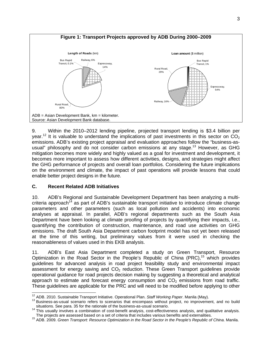

9. Within the 2010–2012 lending pipeline, projected transport lending is \$3.4 billion per year.<sup>12</sup> It is valuable to understand the implications of past investments in this sector on  $CO<sub>2</sub>$ emissions. ADB's existing project appraisal and evaluation approaches follow the "business-asusual" philosophy and do not consider carbon emissions at any stage.<sup>13</sup> However, as GHG mitigation becomes more widely and highly valued as a goal for investment and development, it becomes more important to assess how different activities, designs, and strategies might affect the GHG performance of projects and overall loan portfolios. Considering the future implications on the environment and climate, the impact of past operations will provide lessons that could enable better project designs in the future.

#### **C. Recent Related ADB Initiatives**

10. ADB's Regional and Sustainable Development Department has been analyzing a multicriteria approach<sup>14</sup> as part of ADB's sustainable transport initiative to introduce climate change parameters and other parameters (such as local pollution and accidents) into economic analyses at appraisal. In parallel, ADB's regional departments such as the South Asia Department have been looking at climate proofing of projects by quantifying their impacts, i.e., quantifying the contribution of construction, maintenance, and road use activities on GHG emissions. The draft South Asia Department carbon footprint model has not yet been released at the time of this writing, but preliminary values from it were used in checking the reasonableness of values used in this EKB analysis.

11. ADB's East Asia Department completed a study on Green Transport, Resource Optimization in the Road Sector in the People's Republic of China (PRC), $15$  which provides guidelines for advanced analysis in road project feasibility study and environmental impact assessment for energy saving and  $CO<sub>2</sub>$  reduction. These Green Transport guidelines provide operational guidance for road projects decision making by suggesting a theoretical and analytical approach to estimate and forecast energy consumption and  $CO<sub>2</sub>$  emissions from road traffic. These guidelines are applicable for the PRC and will need to be modified before applying to other

<sup>&</sup>lt;sup>12</sup> ADB. 2010. Sustainable Transport Initiative. Operational Plan. Staff Working Paper. Manila (May).

<sup>&</sup>lt;sup>13</sup> Business-as-usual scenario refers to scenarios that encompass without project, no improvement, and no build

situations. See para. 35 for the rationale of the business-as-usual scenario.<br><sup>14</sup> This usually involves a combination of cost-benefit analysis, cost-effectiveness analysis, and qualitative analysis.<br>The projects are asses

The projects are assessed based on a set of criteria that includes various benefits and externalities. 15 ADB. 2009. *Green Transport: Resource Optimization in the Road Sector in the People's Republic of China*. Manila.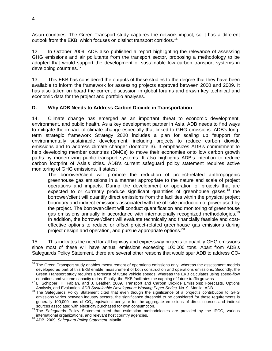Asian countries. The Green Transport study captures the network impact, so it has a different outlook from the EKB, which focuses on distinct transport corridors.<sup>16</sup>

12. In October 2009, ADB also published a report highlighting the relevance of assessing GHG emissions and air pollutants from the transport sector, proposing a methodology to be adopted that would support the development of sustainable low carbon transport systems in developing countries.<sup>17</sup>

13. This EKB has considered the outputs of these studies to the degree that they have been available to inform the framework for assessing projects approved between 2000 and 2009. It has also taken on board the current discussion in global forums and drawn key technical and economic data for the project and portfolio analyses.

#### **D. Why ADB Needs to Address Carbon Dioxide in Transportation**

14. Climate change has emerged as an important threat to economic development, environment, and public health. As a key development partner in Asia, ADB needs to find ways to mitigate the impact of climate change especially that linked to GHG emissions. ADB's longterm strategic framework Strategy 2020 includes a plan for scaling up "support for environmentally sustainable development, including projects to reduce carbon dioxide emissions and to address climate change" (footnote 3). It emphasizes ADB's commitment to help developing member countries (DMCs) to move their economies onto low carbon growth paths by modernizing public transport systems. It also highlights ADB's intention to reduce carbon footprint of Asia's cities. ADB's current safeguard policy statement requires active monitoring of GHG emissions. It states:

The borrower/client will promote the reduction of project-related anthropogenic greenhouse gas emissions in a manner appropriate to the nature and scale of project operations and impacts. During the development or operation of projects that are expected to or currently produce significant quantities of greenhouse gases,<sup>18</sup> the borrower/client will quantify direct emissions from the facilities within the physical project boundary and indirect emissions associated with the off-site production of power used by the project. The borrower/client will conduct quantification and monitoring of greenhouse gas emissions annually in accordance with internationally recognized methodologies.<sup>19</sup> In addition, the borrower/client will evaluate technically and financially feasible and costeffective options to reduce or offset project-related greenhouse gas emissions during project design and operation, and pursue appropriate options.<sup>20</sup>

15. This indicates the need for all highway and expressway projects to quantify GHG emissions since most of these will have annual emissions exceeding 100,000 tons. Apart from ADB's Safeguards Policy Statement, there are several other reasons that would spur ADB to address  $CO<sub>2</sub>$ 

 <sup>16</sup> The Green Transport study enables measurement of operations emissions only, whereas the assessment models developed as part of this EKB enable measurement of both construction and operations emissions. Secondly, the Green Transport study requires a forecast of future vehicle speeds, whereas the EKB calculates using speed-flow equations and volume capacity ratios. Finally, the EKB facilitates the capping of future traffic growths.<br><sup>17</sup> L. Schipper, H. Fabian, and J. Leather. 2009. Transport and Carbon Dioxide Emissions: Forecasts, Options

Analysis, and Evaluation. *ADB Sustainable Development Working Paper Series*. No. 9. Manila: ADB. 18 The Safeguards Policy Statement cited that even though the significance of a project's contribution to GHG emissions varies between industry sectors, the significance threshold to be considered for these requirements is generally 100,000 tons of  $CO<sub>2</sub>$  equivalent per year for the aggregate emissions of direct sources and indirect

sources associated with electricity purchased for own consumption.<br><sup>19</sup> The Safeguards Policy Statement cited that estimation methodologies are provided by the IPCC, various international organizations, and relevant host c

international organizations, and relevant host country agencies. 20 ADB. 2009. *Safeguard Policy Statement*. Manila.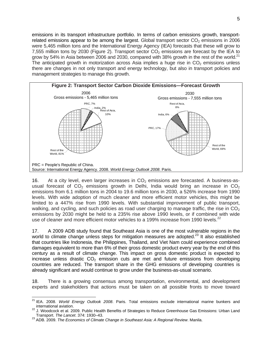emissions in its transport infrastructure portfolio. In terms of carbon emissions growth, transportrelated emissions appear to be among the largest. Global transport sector  $CO<sub>2</sub>$  emissions in 2006 were 5,465 million tons and the International Energy Agency (IEA) forecasts that these will grow to 7,555 million tons by 2030 (Figure 2). Transport sector  $CO<sub>2</sub>$  emissions are forecast by the IEA to grow by 54% in Asia between 2006 and 2030, compared with 38% growth in the rest of the world. $21$ The anticipated growth in motorization across Asia implies a huge rise in  $CO<sub>2</sub>$  emissions unless there are changes in not only transport and energy technology, but also in transport policies and management strategies to manage this growth.



16. At a city level, even larger increases in  $CO<sub>2</sub>$  emissions are forecasted. A business-asusual forecast of  $CO<sub>2</sub>$  emissions growth in Delhi, India would bring an increase in  $CO<sub>2</sub>$ emissions from 6.1 million tons in 2004 to 19.6 million tons in 2030, a 526% increase from 1990 levels. With wide adoption of much cleaner and more efficient motor vehicles, this might be limited to a 447% rise from 1990 levels. With substantial improvement of public transport, walking, and cycling, and such policies as road user charging to manage traffic, the rise in  $CO<sub>2</sub>$ emissions by 2030 might be held to a 235% rise above 1990 levels, or if combined with wide use of cleaner and more efficient motor vehicles to a 199% increase from 1990 levels.<sup>22</sup>

17. A 2009 ADB study found that Southeast Asia is one of the most vulnerable regions in the world to climate change unless steps for mitigation measures are adopted.<sup>23</sup> It also established that countries like Indonesia, the Philippines, Thailand, and Viet Nam could experience combined damages equivalent to more than 6% of their gross domestic product every year by the end of this century as a result of climate change. This impact on gross domestic product is expected to increase unless drastic  $CO<sub>2</sub>$  emission cuts are met and future emissions from developing countries are reduced. The transport share in the GHG emissions of developing countries is already significant and would continue to grow under the business-as-usual scenario.

18. There is a growing consensus among transportation, environmental, and development experts and stakeholders that actions must be taken on all possible fronts to move toward

 $\overline{a}$ 

<sup>21</sup> IEA. 2008. *World Energy Outlook 2008*. Paris. Total emissions exclude international marine bunkers and

international aviation.<br><sup>22</sup> J. Woodcock et al. 2009. Public Health Benefits of Strategies to Reduce Greenhouse Gas Emissions: Urban Land<br>Transport. The Lancet. 374: 1930–43.

Transport. *The Lancet*. 374: 1930–43. 23 ADB. 2009. *The Economics of Climate Change in Southeast Asia: A Regional Review*. Manila.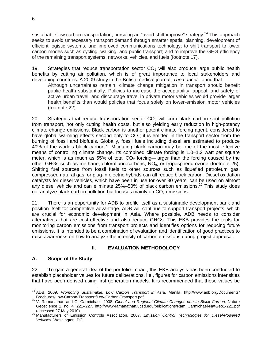sustainable low carbon transportation, pursuing an "avoid-shift-improve" strategy.<sup>24</sup> This approach seeks to avoid unnecessary transport demand through smarter spatial planning, development of efficient logistic systems, and improved communications technology; to shift transport to lower carbon modes such as cycling, walking, and public transport; and to improve the GHG efficiency of the remaining transport systems, networks, vehicles, and fuels (footnote 17).

19. Strategies that reduce transportation sector  $CO<sub>2</sub>$  will also produce large public health benefits by cutting air pollution, which is of great importance to local stakeholders and developing countries. A 2009 study in the British medical journal, *The Lancet,* found that

Although uncertainties remain, climate change mitigation in transport should benefit public health substantially. Policies to increase the acceptability, appeal, and safety of active urban travel, and discourage travel in private motor vehicles would provide larger health benefits than would policies that focus solely on lower-emission motor vehicles (footnote 22).

20. Strategies that reduce transportation sector  $CO<sub>2</sub>$  will curb black carbon soot pollution from transport, not only cutting health costs, but also yielding early reduction in high-potency climate change emissions. Black carbon is another potent climate forcing agent, considered to have global warming effects second only to  $CO<sub>2</sub>$ ; it is emitted in the transport sector from the burning of fossil and biofuels. Globally, fossil fuels including diesel are estimated to produce 40% of the world's black carbon.<sup>25</sup> Mitigating black carbon may be one of the most effective means of controlling climate change. Its combined climate forcing is 1.0–1.2 watt per square meter, which is as much as 55% of total  $CO<sub>2</sub>$  forcing—larger than the forcing caused by the other GHGs such as methane, chlorofluorocarbons,  $NO<sub>x</sub>$ , or tropospheric ozone (footnote 25). Shifting fuel sources from fossil fuels to other sources such as liquefied petroleum gas, compressed natural gas, or plug-in electric hybrids can all reduce black carbon. Diesel oxidation catalysts for diesel vehicles, which have been in use for over 30 years, can be used on almost any diesel vehicle and can eliminate  $25\% - 50\%$  of black carbon emissions.<sup>26</sup> This study does not analyze black carbon pollution but focuses mainly on  $CO<sub>2</sub>$  emissions.

21. There is an opportunity for ADB to profile itself as a sustainable development bank and position itself for competitive advantage. ADB will continue to support transport projects, which are crucial for economic development in Asia. Where possible, ADB needs to consider alternatives that are cost-effective and also reduce GHGs. This EKB provides the tools for monitoring carbon emissions from transport projects and identifies options for reducing future emissions. It is intended to be a combination of evaluation and identification of good practices to raise awareness on how to analyze the intensity of carbon emissions during project appraisal.

#### **II. EVALUATION METHODOLOGY**

#### **A. Scope of the Study**

22. To gain a general idea of the portfolio impact, this EKB analysis has been conducted to establish placeholder values for future deliberations, i.e., figures for carbon emissions intensities that have been derived using first generation models. It is recommended that these values be

 $\overline{a}$ 24 ADB. 2009. *Promoting Sustainable, Low Carbon Transport in Asia*. Manila. http://www.adb.org/Documents/

Brochures/Low-Carbon-Transport/Low-Carbon-Transport.pdf 25 V. Ramanathan and G. Carmichael. 2008. *Global and Regional Climate Changes due to Black Carbon.* Nature Geoscience 1, no. 4: 221–227. http://www-ramanathan.ucsd.edu/publications/Ram\_Carmichael-NatGeo1-221.pdf

<sup>(</sup>accessed 27 May 2010). 26 Manufacturers of Emission Controls Association. 2007. *Emission Control Technologies for Diesel-Powered Vehicles*. Washington, DC.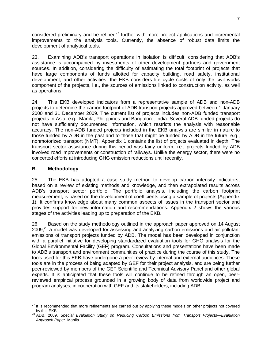considered preliminary and be refined<sup>27</sup> further with more project applications and incremental improvements to the analysis tools. Currently, the absence of robust data limits the development of analytical tools.

23. Examining ADB's transport operations in isolation is difficult, considering that ADB's assistance is accompanied by investments of other development partners and government sources. In addition, considering the difficulty of estimating the total footprint of projects that have large components of funds allotted for capacity building, road safety, institutional development, and other activities, the EKB considers life cycle costs of only the civil works component of the projects, i.e., the sources of emissions linked to construction activity, as well as operations.

24. This EKB developed indicators from a representative sample of ADB and non-ADB projects to determine the carbon footprint of ADB transport projects approved between 1 January 2000 and 31 December 2009. The current list of projects includes non-ADB funded transport projects in Asia, e.g., Manila, Philippines and Bangalore, India. Several ADB-funded projects do not have sufficiently documented information, which restricts the analysis with reasonable accuracy. The non-ADB funded projects included in the EKB analysis are similar in nature to those funded by ADB in the past and to those that might be funded by ADB in the future, e.g., nonmotorized transport (NMT). Appendix 1 contains the list of projects evaluated in depth. The transport sector assistance during this period was fairly uniform, i.e., projects funded by ADB involved road improvements or construction of railways. Unlike the energy sector, there were no concerted efforts at introducing GHG emission reductions until recently.

#### **B. Methodology**

25. The EKB has adopted a case study method to develop carbon intensity indicators, based on a review of existing methods and knowledge, and then extrapolated results across ADB's transport sector portfolio. The portfolio analysis, including the carbon footprint measurement, is based on the development of coefficients using a sample of projects (Appendix 1). It confirms knowledge about many common aspects of issues in the transport sector and provides support for new information and recommendations. Appendix 2 shows the various stages of the activities leading up to preparation of the EKB.

26. Based on the study methodology outlined in the approach paper approved on 14 August 2009,<sup>28</sup> a model was developed for assessing and analyzing carbon emissions and air pollutant emissions of transport projects funded by ADB. The model has been developed in conjunction with a parallel initiative for developing standardized evaluation tools for GHG analysis for the Global Environmental Facility (GEF) program. Consultations and presentations have been made to ADB's transport and environment communities of practice during the course of this study. The tools used for this EKB have undergone a peer review by internal and external audiences. These tools are in the process of being adapted by GEF for their project analysis, and are being further peer-reviewed by members of the GEF Scientific and Technical Advisory Panel and other global experts. It is anticipated that these tools will continue to be refined through an open, peerreviewed empirical process grounded in a growing body of data from worldwide project and program analyses, in cooperation with GEF and its stakeholders, including ADB.

  $27$  It is recommended that more refinements are carried out by applying these models on other projects not covered

by this EKB. 28 ADB. 2009. *Special Evaluation Study on Reducing Carbon Emissions from Transport Projects—Evaluation Approach Paper*. Manila.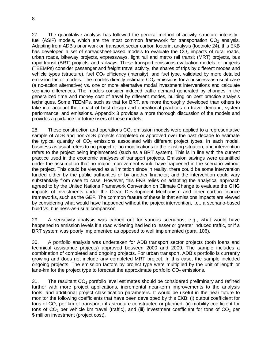27. The quantitative analysis has followed the general method of activity–structure–intensity– fuel (ASIF) models, which are the most common framework for transportation  $CO<sub>2</sub>$  analysis. Adapting from ADB's prior work on transport sector carbon footprint analysis (footnote 24), this EKB has developed a set of spreadsheet-based models to evaluate the  $CO<sub>2</sub>$  impacts of rural roads, urban roads, bikeway projects, expressways, light rail and metro rail transit (MRT) projects, bus rapid transit (BRT) projects, and railways. These transport emissions evaluation models for projects (TEEMPs) consider passenger and freight travel activity, the shares of trips by different modes and vehicle types (structure), fuel  $CO<sub>2</sub>$  efficiency (intensity), and fuel type, validated by more detailed emission factor models. The models directly estimate  $CO<sub>2</sub>$  emissions for a business-as-usual case (a no-action alternative) vs. one or more alternative modal investment interventions and calculate scenario differences. The models consider induced traffic demand generated by changes in the generalized time and money cost of travel by different modes, building on best practice analysis techniques. Some TEEMPs, such as that for BRT, are more thoroughly developed than others to take into account the impact of best design and operational practices on travel demand, system performance, and emissions. Appendix 3 provides a more thorough discussion of the models and provides a guidance for future users of these models.

28. These construction and operations  $CO<sub>2</sub>$  emission models were applied to a representative sample of ADB and non-ADB projects completed or approved over the past decade to estimate the typical quantity of  $CO<sub>2</sub>$  emissions associated with different project types. In each model, business as usual refers to no project or no modifications to the existing situation, and intervention refers to the project being implemented (such as a BRT system). This is in line with the current practice used in the economic analyses of transport projects. Emission savings were quantified under the assumption that no major improvement would have happened in the scenario without the project. This could be viewed as a limitation since in reality, there could be some intervention funded either by the public authorities or by another financier; and the intervention could vary substantially from case to case. However, this EKB relies on adapting the analytical approach agreed to by the United Nations Framework Convention on Climate Change to evaluate the GHG impacts of investments under the Clean Development Mechanism and other carbon finance frameworks, such as the GEF. The common feature of these is that emissions impacts are viewed by considering what would have happened without the project intervention, i.e., a scenario-based build vs. business-as-usual comparison.

29. A sensitivity analysis was carried out for various scenarios, e.g., what would have happened to emission levels if a road widening had led to lesser or greater induced traffic, or if a BRT system was poorly implemented as opposed to well implemented (para. 106).

30. A portfolio analysis was undertaken for ADB transport sector projects (both loans and technical assistance projects) approved between 2000 and 2009. The sample includes a combination of completed and ongoing projects. For urban transport, ADB's portfolio is currently growing and does not include any completed MRT project. In this case, the sample included ongoing projects. The emission factors by project type were multiplied by the unit of length or lane-km for the project type to forecast the approximate portfolio  $CO<sub>2</sub>$  emissions.

31. The resultant  $CO<sub>2</sub>$  portfolio level estimates should be considered preliminary and refined further with more project applications, incremental near-term improvements to the analysis tools, and additional project classification parameters. It would be useful in the near future to monitor the following coefficients that have been developed by this EKB: (i) output coefficient for tons of  $CO<sub>2</sub>$  per km of transport infrastructure constructed or planned, (ii) mobility coefficient for tons of  $CO_2$  per vehicle km travel (traffic), and (iii) investment coefficient for tons of  $CO_2$  per \$ million investment (project cost).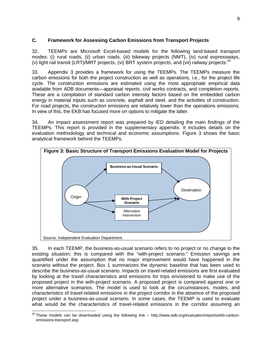## **C. Framework for Assessing Carbon Emissions from Transport Projects**

32. TEEMPs are Microsoft Excel-based models for the following land-based transport modes: (i) rural roads, (ii) urban roads, (iii) bikeway projects (NMT), (iv) rural expressways, (v) light rail transit (LRT)/MRT projects, (vi) BRT system projects, and (vii) railway projects.<sup>29</sup>

33. Appendix 3 provides a framework for using the TEEMPs. The TEEMPs measure the carbon emissions for both the project construction as well as operations, i.e., for the project life cycle. The construction emissions are estimated using the most appropriate empirical data available from ADB documents—appraisal reports, civil works contracts, and completion reports. These are a compilation of standard carbon intensity factors based on the embedded carbon energy in material inputs such as concrete, asphalt and steel, and the activities of construction. For road projects, the construction emissions are relatively lower than the operations emissions. In view of this, the EKB has focused more on options to mitigate the latter.

34. An impact assessment report was prepared by IED detailing the main findings of the TEEMPs. This report is provided in the supplementary appendix. It includes details on the evaluation methodology and technical and economic assumptions. Figure 3 shows the basic analytical framework behind the TEEMPs.



35. In each TEEMP, the business-as-usual scenario refers to no project or no change to the existing situation; this is compared with the "with-project scenario." Emission savings are quantified under the assumption that no major improvement would have happened in the scenario without the project. Box 1 summarizes the dynamic baseline that has been used to describe the business-as-usual scenario. Impacts on travel-related emissions are first evaluated by looking at the travel characteristics and emissions for trips envisioned to make use of the proposed project in the with-project scenario. A proposed project is compared against one or more alternative scenarios. The model is used to look at the circumstances, modes, and characteristics of travel-related emissions in the project corridor in the absence of the proposed project under a business-as-usual scenario. In some cases, the TEEMP is used to evaluate what would be the characteristics of travel-related emissions in the corridor assuming an

 <sup>29</sup> These models can be downloaded using the following link – http://www.adb.org/evaluation/reports/ekb-carbonemissions-transport.asp.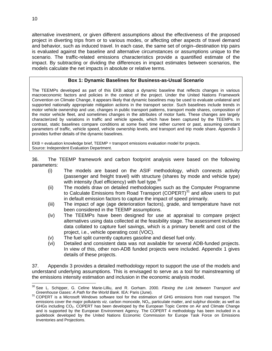alternative investment, or given different assumptions about the effectiveness of the proposed project in diverting trips from or to various modes, or affecting other aspects of travel demand and behavior, such as induced travel. In each case, the same set of origin–destination trip pairs is evaluated against the baseline and alternative circumstances or assumptions unique to the scenario. The traffic-related emissions characteristics provide a quantified estimate of the impact. By subtracting or dividing the differences in impact estimates between scenarios, the models calculate the net impacts in absolute or relative terms.

#### **Box 1: Dynamic Baselines for Business-as-Usual Scenario**

The TEEMPs developed as part of this EKB adopt a dynamic baseline that reflects changes in various macroeconomic factors and policies in the context of the project. Under the United Nations Framework Convention on Climate Change, it appears likely that dynamic baselines may be used to evaluate unilateral and supported nationally appropriate mitigation actions in the transport sector. Such baselines include trends in motor vehicle ownership and use, changes in public transport patterns, transport mode shares, composition of the motor vehicle fleet, and sometimes changes in the attributes of motor fuels. These changes are largely characterized by variations in traffic and vehicle speeds, which have been captured by the TEEMPs. In contrast, static baselines compare conditions at some fixed time either current or past, assuming constant parameters of traffic, vehicle speed, vehicle ownership levels, and transport and trip mode share. Appendix 3 provides further details of the dynamic baselines.

EKB = evaluation knowledge brief, TEEMP = transport emissions evaluation model for projects. Source: Independent Evaluation Department.

36. The TEEMP framework and carbon footprint analysis were based on the following parameters:

- (i) The models are based on the ASIF methodology, which connects activity (passenger and freight travel) with structure (shares by mode and vehicle type) with intensity (fuel efficiency) with fuel type.<sup>30</sup>
- (ii) The models draw on detailed methodologies such as the Computer Programme to Calculate Emissions from Road Transport  $(COPERT)^{31}$  and allow users to put in default emission factors to capture the impact of speed primarily.
- (iii) The impact of age (age deterioration factors), grade, and temperature have not been considered in the TEEMP assumptions.
- (iv) The TEEMPs have been designed for use at appraisal to compare project alternatives using data collected at the feasibility stage. The assessment includes data collated to capture fuel savings, which is a primary benefit and cost of the project, i.e., vehicle operating cost (VOC).
- (v) The fuel split currently captures gasoline and diesel fuel only.
- (vi) Detailed and consistent data was not available for several ADB-funded projects. In view of this, other non-ADB funded projects were included. Appendix 1 gives details of these projects.

37. Appendix 3 provides a detailed methodology report to support the use of the models and understand underlying assumptions. This is envisaged to serve as a tool for mainstreaming of the emissions intensity estimation and inclusion in the economic analysis model.

<sup>-</sup>30 See L. Schipper, G. Celine Marie-Lilliu, and R. Gorham. 2000. *Flexing the Link between Transport and* 

*Greenhouse Gases: A Path for the World Bank*. IEA: Paris (June).<br><sup>31</sup> COPERT is a Microsoft Windows software tool for the estimation of GHG emissions from road transport. The emissions cover the major pollutants viz. carbon monoxide,  $NO<sub>x</sub>$ , particulate matter, and sulphur dioxide; as well as GHGs including CO<sub>2</sub>. COPERT has been developed by the European Topic Centre on Air and Climate Change and is supported by the European Environment Agency. The COPERT 4 methodology has been included in a guidebook developed by the United Nations Economic Commission for Europe Task Force on Emissions Inventories and Projections.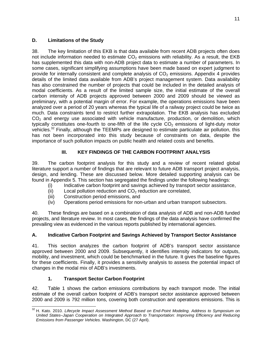# **D. Limitations of the Study**

38. The key limitation of this EKB is that data available from recent ADB projects often does not include information needed to estimate  $CO<sub>2</sub>$  emissions with reliability. As a result, the EKB has supplemented this data with non-ADB project data to estimate a number of parameters. In some cases, significant simplifying assumptions have been made based on expert judgment to provide for internally consistent and complete analysis of  $CO<sub>2</sub>$  emissions. Appendix 4 provides details of the limited data available from ADB's project management system. Data availability has also constrained the number of projects that could be included in the detailed analysis of modal coefficients. As a result of the limited sample size, the initial estimate of the overall carbon intensity of ADB projects approved between 2000 and 2009 should be viewed as preliminary, with a potential margin of error. For example, the operations emissions have been analyzed over a period of 20 years whereas the typical life of a railway project could be twice as much. Data constraints tend to restrict further extrapolation. The EKB analysis has excluded  $CO<sub>2</sub>$  and energy use associated with vehicle manufacture, production, or demolition, which typically constitutes one-fourth to one-fifth of the life cycle  $CO<sub>2</sub>$  emissions of light-duty motor vehicles.<sup>32</sup> Finally, although the TEEMPs are designed to estimate particulate air pollution, this has not been incorporated into this study because of constraints on data, despite the importance of such pollution impacts on public health and related costs and benefits.

# **III. KEY FINDINGS OF THE CARBON FOOTPRINT ANALYSIS**

39. The carbon footprint analysis for this study and a review of recent related global literature support a number of findings that are relevant to future ADB transport project analysis, design, and lending. These are discussed below. More detailed supporting analysis can be found in Appendix 5. This section has segregated the findings under the following headings:

- (i) Indicative carbon footprint and savings achieved by transport sector assistance,
- (ii) Local pollution reduction and  $CO<sub>2</sub>$  reduction are correlated,
- (iii) Construction period emissions, and
- (iv) Operations period emissions for non-urban and urban transport subsectors.

40. These findings are based on a combination of data analysis of ADB and non-ADB funded projects, and literature review. In most cases, the findings of the data analysis have confirmed the prevailing view as evidenced in the various reports published by international agencies.

# **A. Indicative Carbon Footprint and Savings Achieved by Transport Sector Assistance**

41. This section analyzes the carbon footprint of ADB's transport sector assistance approved between 2000 and 2009. Subsequently, it identifies intensity indicators for outputs, mobility, and investment, which could be benchmarked in the future. It gives the baseline figures for these coefficients. Finally, it provides a sensitivity analysis to assess the potential impact of changes in the modal mix of ADB's investments.

# **1. Transport Sector Carbon Footprint**

42. Table 1 shows the carbon emissions contributions by each transport mode. The initial estimate of the overall carbon footprint of ADB's transport sector assistance approved between 2000 and 2009 is 792 million tons, covering both construction and operations emissions. This is

<sup>-</sup><sup>32</sup> H. Kato. 2010. *Lifecycle Impact Assessment Method Based on End-Point Modeling. Address to Symposium on United States–Japan Cooperation on Integrated Approach to Transportation: Improving Efficiency and Reducing Emissions from Passenger Vehicles.* Washington, DC (27 April).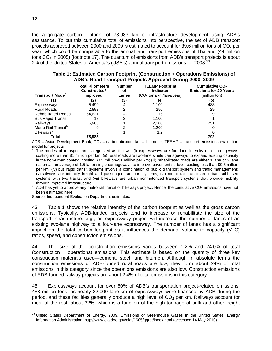the aggregate carbon footprint of 78,983 km of infrastructure development using ADB's assistance. To put this cumulative total of emissions into perspective, the set of ADB transport projects approved between 2000 and 2009 is estimated to account for 39.6 million tons of  $CO<sub>2</sub>$  per year, which could be comparable to the annual land transport emissions of Thailand (44 million tons  $CO<sub>2</sub>$  in 2005) (footnote 17). The quantum of emissions from ADB's transport projects is about 2% of the United States of America's (USA's) annual transport emissions for 2008.<sup>33</sup>

| <b>Transport Mode</b> <sup>a</sup> | <b>Total Kilometers</b><br>Constructed/<br><b>Improved</b> | <b>Number</b><br>оf<br>Lanes | <b>TEEMP Footprint</b><br><b>Indicator</b><br>(CO <sub>2</sub> tons/km/lane/year) | Cumulative CO <sub>2</sub><br><b>Emissions for 20 Years</b><br>(million ton) |
|------------------------------------|------------------------------------------------------------|------------------------------|-----------------------------------------------------------------------------------|------------------------------------------------------------------------------|
|                                    | (2)                                                        | (3)                          | (4)                                                                               | (5)                                                                          |
| Expressways                        | 5,490                                                      |                              | 1,100                                                                             | 483                                                                          |
| <b>Rural Roads</b>                 | 2,893                                                      | 2                            | 250                                                                               | 29                                                                           |
| <b>Rehabilitated Roads</b>         | 64.621                                                     | $1 - 2$                      | 15                                                                                | 29                                                                           |
| <b>Bus Rapid Transit</b>           | 13                                                         | 2                            | 1,100                                                                             |                                                                              |
| Railways                           | 5,966                                                      |                              | 2,100                                                                             | 251                                                                          |
| Metro Rail Transit <sup>b</sup>    |                                                            |                              | 1,200                                                                             |                                                                              |
| <b>Bikeways</b> <sup>b</sup>       |                                                            |                              | 1.2                                                                               |                                                                              |
| Total                              | 78,983                                                     |                              |                                                                                   | 792                                                                          |

| Table 1: Estimated Carbon Footprint (Construction + Operations Emissions) of |  |
|------------------------------------------------------------------------------|--|
| ADB's Road Transport Projects Approved During 2000–2009                      |  |

ADB = Asian Development Bank,  $CO<sub>2</sub>$  = carbon dioxide, km = kilometer, TEEMP = transport emissions evaluation model for projects.

a The modes of transport are categorized as follows: (i) expressways are four-lane intercity dual carriageways costing more than \$1 million per km; (ii) rural roads are two-lane single carriageways to expand existing capacity in the non-urban context, costing \$0.5 million–\$1 million per km; (iii) rehabilitated roads are either 1 lane or 2 lane (taken as an average of 1.5 lane) single carriageways to improve pavement surface, costing less than \$0.5 million per km; (iv) bus rapid transit systems involve a combination of public transport system and traffic management; (v) railways are intercity freight and passenger transport systems; (vi) metro rail transit are urban rail-based systems with two tracks; and (vii) bikeways are urban nonmotorized transport systems that provide mobility through improved infrastructure.

 $b$  ADB has yet to approve any metro rail transit or bikeways project. Hence, the cumulative CO<sub>2</sub> emissions have not been estimated here.

Source: Independent Evaluation Department estimates.

43. Table 1 shows the relative intensity of the carbon footprint as well as the gross carbon emissions. Typically, ADB-funded projects tend to increase or rehabilitate the size of the transport infrastructure, e.g., an expressway project will increase the number of lanes of an existing two-lane highway to a four-lane expressway. The number of lanes has a significant impact on the total carbon footprint as it influences the demand, volume to capacity  $(V-C)$ ratios, speed, and construction emissions.

44. The size of the construction emissions varies between 1.2% and 24.0% of total (construction + operations) emissions. This estimate is based on the quantity of three key construction materials used—cement, steel, and bitumen. Although in absolute terms the construction emissions of ADB-funded rural roads are low, they form about 24% of total emissions in this category since the operations emissions are also low. Construction emissions of ADB-funded railway projects are about 2.4% of total emissions in this category.

45. Expressways account for over 60% of ADB's transportation project-related emissions, 483 million tons, as nearly 22,000 lane-km of expressways were financed by ADB during the period, and these facilities generally produce a high level of  $CO<sub>2</sub>$  per km. Railways account for most of the rest, about 32%, which is a function of the high tonnage of bulk and other freight

 $33$  United States Department of Energy. 2009. Emissions of Greenhouse Gases in the United States. Energy Information Administration. http://www.eia.doe.gov/oiaf/1605/ggrpt/index.html (accessed 14 May 2010).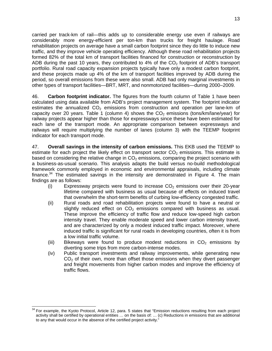carried per track-km of rail—this adds up to considerable energy use even if railways are considerably more energy-efficient per ton-km than trucks for freight haulage. Road rehabilitation projects on average have a small carbon footprint since they do little to induce new traffic, and they improve vehicle operating efficiency. Although these road rehabilitation projects formed 82% of the total km of transport facilities financed for construction or reconstruction by ADB during the past 10 years, they contributed to 4% of the  $CO<sub>2</sub>$  footprint of ADB's transport portfolio. Rural road capacity expansion projects typically have only a modest carbon footprint, and these projects made up 4% of the km of transport facilities improved by ADB during the period, so overall emissions from these were also small. ADB had only marginal investments in other types of transport facilities—BRT, MRT, and nonmotorized facilities—during 2000–2009.

46. **Carbon footprint indicator.** The figures from the fourth column of Table 1 have been calculated using data available from ADB's project management system. The footprint indicator estimates the annualized  $CO<sub>2</sub>$  emissions from construction and operation per lane-km of capacity over 20 years. Table 1 (column 4) shows the  $CO<sub>2</sub>$  emissions (tons/km/lane/year) for railway projects appear higher than those for expressways since these have been estimated for each lane of the transport mode. An appropriate comparison between expressways and railways will require multiplying the number of lanes (column 3) with the TEEMP footprint indicator for each transport mode.

47. **Overall savings in the intensity of carbon emissions.** This EKB used the TEEMP to estimate for each project the likely effect on transport sector  $CO<sub>2</sub>$  emissions. This estimate is based on considering the relative change in  $CO<sub>2</sub>$  emissions, comparing the project scenario with a business-as-usual scenario. This analysis adapts the build versus no-build methodological framework commonly employed in economic and environmental appraisals, including climate finance.<sup>34</sup> The estimated savings in the intensity are demonstrated in Figure 4. The main findings are as follows:

- (i) Expressway projects were found to increase  $CO<sub>2</sub>$  emissions over their 20-year lifetime compared with business as usual because of effects on induced travel that overwhelm the short-term benefits of curbing low-efficiency congested traffic.
- (ii) Rural roads and road rehabilitation projects were found to have a neutral or slightly reduced effect on  $CO<sub>2</sub>$  emissions compared with business as usual. These improve the efficiency of traffic flow and reduce low-speed high carbon intensity travel. They enable moderate speed and lower carbon intensity travel, and are characterized by only a modest induced traffic impact. Moreover, where induced traffic is significant for rural roads in developing countries, often it is from a low initial traffic volume.
- (iii) Bikeways were found to produce modest reductions in  $CO<sub>2</sub>$  emissions by diverting some trips from more carbon-intense modes.
- (iv) Public transport investments and railway improvements, while generating new  $CO<sub>2</sub>$  of their own, more than offset those emissions when they divert passenger and freight movements from higher carbon modes and improve the efficiency of traffic flows.

<sup>-</sup> $34$  For example, the Kyoto Protocol, Article 12, para. 5 states that "Emission reductions resulting from each project activity shall be certified by operational entities … on the basis of: … (c) Reductions in emissions that are additional to any that would occur in the absence of the certified project activity."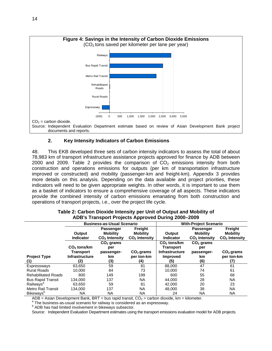

#### **2. Key Intensity Indicators of Carbon Emissions**

48. This EKB developed three sets of carbon intensity indicators to assess the total of about 78,983 km of transport infrastructure assistance projects approved for finance by ADB between 2000 and 2009. Table 2 provides the comparison of  $CO<sub>2</sub>$  emissions intensity from both construction and operations emissions for outputs (per km of transportation infrastructure improved or constructed) and mobility (passenger-km and freight-km). Appendix 3 provides more details on this analysis. Depending on the data available and project priorities, these indicators will need to be given appropriate weights. In other words, it is important to use them as a basket of indicators to ensure a comprehensive coverage of all aspects. These indicators provide the combined intensity of carbon emissions emanating from both construction and operations of transport projects, i.e., over the project life cycle.

|                              | <b>Business-as-Usual Scenario</b> |                 |                           | <b>With-Project Scenario</b> |                  |                           |
|------------------------------|-----------------------------------|-----------------|---------------------------|------------------------------|------------------|---------------------------|
|                              |                                   | Passenger       | Freight                   |                              | <b>Passenger</b> | Freight                   |
|                              | Output                            | <b>Mobility</b> | <b>Mobility</b>           | Output                       | <b>Mobility</b>  | <b>Mobility</b>           |
|                              | <b>Indicator</b>                  | $CO2$ Intensity | CO <sub>2</sub> Intensity | <b>Indicator</b>             | $CO2$ Intensity  | CO <sub>2</sub> Intensity |
|                              |                                   | $CO2$ grams     |                           | $CO2$ tons/km                | $CO2$ grams      |                           |
|                              | $CO2$ tons/km                     | per             |                           | <b>Transport</b>             | per              |                           |
|                              | Transport                         | passenger-      | $CO2$ grams               | <b>Infrastructure</b>        | passenger-       | $CO2$ grams               |
| <b>Project Type</b>          | <b>Infrastructure</b>             | km              | per ton-km                | <b>Improved</b>              | km               | per ton-km                |
|                              | 21                                | (3)             | (4)                       | (5)                          | (6)              | (7)                       |
| Expressways                  | 63,650                            | 59              | 81                        | 88,000                       | 47               | 61                        |
| <b>Rural Roads</b>           | 10.000                            | 84              | 73                        | 10.000                       | 74               | 61                        |
| <b>Rehabilitated Roads</b>   | 800                               | 149             | 199                       | 600                          | 55               | 68                        |
| <b>Bus Rapid Transit</b>     | 134,000                           | 137             | NA                        | 44.000                       | 28               | NA                        |
| Railways <sup>a</sup>        | 63.650                            | 59              | 81                        | 42,000                       | 20               | 23                        |
| <b>Metro Rail Transit</b>    | 134.000                           | 137             | <b>NA</b>                 | 48.000                       | 38               | <b>NA</b>                 |
| <b>Bikeways</b> <sup>b</sup> | NA                                | ΝA              | ΝA                        | 24                           | <b>NA</b>        | NA                        |

| Table 2: Carbon Dioxide Intensity per Unit of Output and Mobility of |
|----------------------------------------------------------------------|
| ADB's Transport Projects Approved During 2000-2009                   |

 $ADB = Asian Development Bank, BRT = bus rapid transit, CO<sub>2</sub> = carbon dioxide, km = kilometer.$ 

a The business-as-usual scenario for railway is considered as an expressway.

<sup>b</sup> ADB has had limited involvement in bikeways subsector.

Source: Independent Evaluation Department estimates using the transport emissions evaluation model for ADB projects.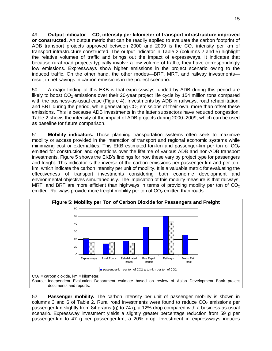49. **Output indicator— CO2 intensity per kilometer of transport infrastructure improved or constructed.** An output metric that can be readily applied to evaluate the carbon footprint of ADB transport projects approved between 2000 and 2009 is the  $CO<sub>2</sub>$  intensity per km of transport infrastructure constructed. The output indicator in Table 2 (columns 2 and 5) highlight the relative volumes of traffic and brings out the impact of expressways. It indicates that because rural road projects typically involve a low volume of traffic, they have correspondingly low emissions. Expressways show higher emissions in the project scenario owing to the induced traffic. On the other hand, the other modes—BRT, MRT, and railway investments result in net savings in carbon emissions in the project scenario.

50. A major finding of this EKB is that expressways funded by ADB during this period are likely to boost  $CO<sub>2</sub>$  emissions over their 20-year project life cycle by 154 million tons compared with the business-as-usual case (Figure 4). Investments by ADB in railways, road rehabilitation, and BRT during the period, while generating  $CO<sub>2</sub>$  emissions of their own, more than offset these emissions. This is because ADB investments in the latter subsectors have reduced congestion. Table 2 shows the intensity of the impact of ADB projects during 2000–2009, which can be used as baseline for future comparison.

51. **Mobility indicators.** Those planning transportation systems often seek to maximize mobility or access provided in the interaction of transport and regional economic systems while minimizing cost or externalities. This EKB estimated ton-km and passenger-km per ton of  $CO<sub>2</sub>$ emitted for construction and operations over the lifetime of various ADB and non-ADB transport investments. Figure 5 shows the EKB's findings for how these vary by project type for passengers and freight. This indicator is the inverse of the carbon emissions per passenger-km and per tonkm, which indicate the carbon intensity per unit of mobility. It is a valuable metric for evaluating the effectiveness of transport investments considering both economic development and environmental objectives simultaneously. The implication of this mobility measure is that railways, MRT, and BRT are more efficient than highways in terms of providing mobility per ton of  $CO<sub>2</sub>$ emitted. Railways provide more freight mobility per ton of  $CO<sub>2</sub>$  emitted than roads.



52. **Passenger mobility.** The carbon intensity per unit of passenger mobility is shown in columns 3 and 6 of Table 2. Rural road investments were found to reduce  $CO<sub>2</sub>$  emissions per passenger-km slightly from 84 grams (g) to 74 g, a 12% drop compared with a business-as-usual scenario. Expressway investment yields a slightly greater percentage reduction from 59 g per passenger-km to 47 g per passenger-km, a 20% drop. Investment in expressways induces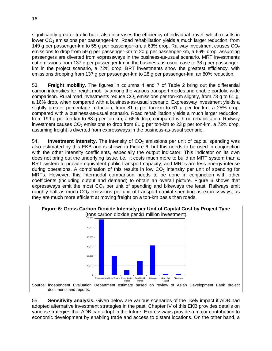significantly greater traffic but it also increases the efficiency of individual travel, which results in lower  $CO<sub>2</sub>$  emissions per passenger-km. Road rehabilitation yields a much larger reduction, from 149 g per passenger-km to 55 g per passenger-km, a 63% drop. Railway investment causes  $CO<sub>2</sub>$ emissions to drop from 59 g per passenger-km to 20 g per passenger-km, a 66% drop, assuming passengers are diverted from expressways in the business-as-usual scenario. MRT investments cut emissions from 137 g per passenger-km in the business-as-usual case to 38 g per passengerkm in the project scenario, a 72% drop. BRT investments show the greatest efficiency, with emissions dropping from 137 g per passenger-km to 28 g per passenger-km, an 80% reduction.

53. **Freight mobility.** The figures in columns 4 and 7 of Table 2 bring out the differential carbon intensities for freight mobility among the various transport modes and enable portfolio wide comparison. Rural road investments reduce  $CO<sub>2</sub>$  emissions per ton-km slightly, from 73 g to 61 g, a 16% drop, when compared with a business-as-usual scenario. Expressway investment yields a slightly greater percentage reduction, from 81 g per ton-km to 61 g per ton-km, a 25% drop, compared with a business-as-usual scenario. Road rehabilitation yields a much larger reduction, from 199 g per ton-km to 68 g per ton-km, a 66% drop, compared with no rehabilitation. Railway investment causes  $CO<sub>2</sub>$  emissions to drop from 81 g per ton-km to 23 g per ton-km, a 72% drop, assuming freight is diverted from expressways in the business-as-usual scenario.

54. **Investment intensity.** The intensity of CO<sub>2</sub> emissions per unit of capital spending was also estimated by this EKB and is shown in Figure 6, but this needs to be used in conjunction with the other intensity coefficients, especially the output indicator. This indicator on its own does not bring out the underlying issue, i.e., it costs much more to build an MRT system than a BRT system to provide equivalent public transport capacity; and MRTs are less energy-intense during operations. A combination of this results in low  $CO<sub>2</sub>$  intensity per unit of spending for MRTs. However, this intermodal comparison needs to be done in conjunction with other coefficients (including output and demand) to obtain an overall picture. Figure 6 shows that expressways emit the most  $CO<sub>2</sub>$  per unit of spending and bikeways the least. Railways emit roughly half as much  $CO<sub>2</sub>$  emissions per unit of transport capital spending as expressways, as they are much more efficient at moving freight on a ton-km basis than roads.



55. **Sensitivity analysis.** Given below are various scenarios of the likely impact if ADB had adopted alternative investment strategies in the past. Chapter IV of this EKB provides details on various strategies that ADB can adopt in the future. Expressways provide a major contribution to economic development by enabling trade and access to distant locations. On the other hand, a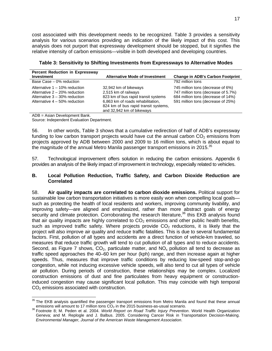cost associated with this development needs to be recognized. Table 3 provides a sensitivity analysis for various scenarios providing an indication of the likely impact of this cost. This analysis does not purport that expressway development should be stopped, but it signifies the relative intensity of carbon emissions—visible in both developed and developing countries.

| <b>Percent Reduction in Expressway</b>                                                                                                       |                                                                                                                                                                                                |                                                                                                                                                      |
|----------------------------------------------------------------------------------------------------------------------------------------------|------------------------------------------------------------------------------------------------------------------------------------------------------------------------------------------------|------------------------------------------------------------------------------------------------------------------------------------------------------|
| Investment                                                                                                                                   | <b>Alternative Mode of Investment</b>                                                                                                                                                          | <b>Change in ADB's Carbon Footprint</b>                                                                                                              |
| Base Case - 0% reduction                                                                                                                     |                                                                                                                                                                                                | 792 million tons                                                                                                                                     |
| Alternative $1 - 10\%$ reduction<br>Alternative $2 - 20\%$ reduction<br>Alternative $3 - 30\%$ reduction<br>Alternative $4 - 50\%$ reduction | 32,942 km of bikeways<br>2,515 km of railways<br>823 km of bus rapid transit systems<br>6,863 km of roads rehabilitation.<br>824 km of bus rapid transit systems,<br>and 32,942 km of bikeways | 745 million tons (decrease of 6%)<br>747 million tons (decrease of 5.7%)<br>684 million tons (decrease of 14%)<br>591 million tons (decrease of 25%) |

**Table 3: Sensitivity to Shifting Investments from Expressways to Alternative Modes** 

ADB = Asian Development Bank.

 $\overline{a}$ 

Source: Independent Evaluation Department.

56. In other words, Table 3 shows that a cumulative redirection of half of ADB's expressway funding to low carbon transport projects would have cut the annual carbon  $CO<sub>2</sub>$  emissions from projects approved by ADB between 2000 and 2009 to 16 million tons, which is about equal to the magnitude of the annual Metro Manila passenger transport emissions in 2015. $35$ 

57. Technological improvement offers solution in reducing the carbon emissions. Appendix 6 provides an analysis of the likely impact of improvement in technology, especially related to vehicles.

#### **B. Local Pollution Reduction, Traffic Safety, and Carbon Dioxide Reduction are Correlated**

58. **Air quality impacts are correlated to carbon dioxide emissions.** Political support for sustainable low carbon transportation initiatives is more easily won when compelling local goals such as protecting the health of local residents and workers, improving community livability, and improving safety—are aligned and emphasized, rather than more abstract goals of energy security and climate protection. Corroborating the research literature,<sup>36</sup> this EKB analysis found that air quality impacts are highly correlated to  $CO<sub>2</sub>$  emissions and other public health benefits, such as improved traffic safety. Where projects provide  $CO<sub>2</sub>$  reductions, it is likely that the project will also improve air quality and reduce traffic fatalities. This is due to several fundamental factors. First, pollution of all types and accidents are a direct function of vehicle-km traveled, so measures that reduce traffic growth will tend to cut pollution of all types and to reduce accidents. Second, as Figure 7 shows,  $CO<sub>2</sub>$ , particulate matter, and  $NO<sub>x</sub>$  pollution all tend to decrease as traffic speed approaches the 40–60 km per hour (kph) range, and then increase again at higher speeds. Thus, measures that improve traffic conditions by reducing low-speed stop-and-go congestion, while not inducing excessive vehicle speeds, will also tend to cut all types of vehicle air pollution. During periods of construction, these relationships may be complex. Localized construction emissions of dust and fine particulates from heavy equipment or constructioninduced congestion may cause significant local pollution. This may coincide with high temporal  $CO<sub>2</sub>$  emissions associated with construction.

 $35$  The EKB analysis quantified the passenger transport emissions from Metro Manila and found that these annual emissions will amount to 17 million tons CO<sub>2</sub> in the 2015 business-as-usual scenario.<br><sup>36</sup> Footnote 8; M. Peden et al. 2004. *World Report on Road Traffic Injury Prevention*. World Health Organization

Geneva; and M. Replogle and J. Balbus. 2005. Considering Cancer Risk in Transportation Decision-Making. *Environmental Manager, Journal of the American Waste Management Association*.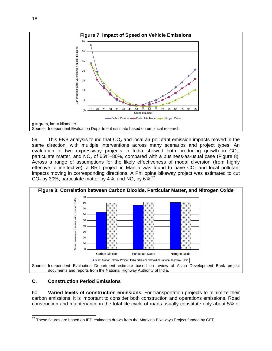

59. This EKB analysis found that  $CO<sub>2</sub>$  and local air pollutant emission impacts moved in the same direction, with multiple interventions across many scenarios and project types. An evaluation of two expressway projects in India showed both producing growth in  $CO<sub>2</sub>$ , particulate matter, and  $NO<sub>x</sub>$  of 65%–80%, compared with a business-as-usual case (Figure 8). Across a range of assumptions for the likely effectiveness of modal diversion (from highly effective to ineffective), a BRT project in Manila was found to have  $CO<sub>2</sub>$  and local pollutant impacts moving in corresponding directions. A Philippine bikeway project was estimated to cut  $CO<sub>2</sub>$  by 30%, particulate matter by 4%, and NO<sub>x</sub> by 6%.<sup>37</sup>



# **C. Construction Period Emissions**

60. **Varied levels of construction emissions.** For transportation projects to minimize their carbon emissions, it is important to consider both construction and operations emissions. Road construction and maintenance in the total life cycle of roads usually constitute only about 5% of

<sup>-</sup> $37$  These figures are based on IED estimates drawn from the Marikina Bikeways Project funded by GEF.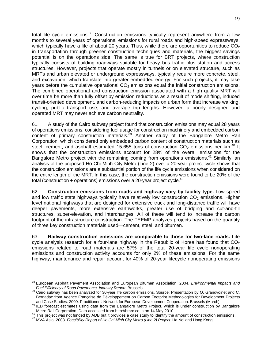total life cycle emissions.<sup>38</sup> Construction emissions typically represent anywhere from a few months to several years of operational emissions for rural roads and high-speed expressways, which typically have a life of about 20 years. Thus, while there are opportunities to reduce  $CO<sub>2</sub>$ in transportation through greener construction techniques and materials, the biggest savings potential is on the operations side. The same is true for BRT projects, where construction typically consists of building roadways suitable for heavy bus traffic plus station and access structures. However, projects that operate mostly in tunnels or on elevated structure, such as MRTs and urban elevated or underground expressways, typically require more concrete, steel, and excavation, which translate into greater embedded energy. For such projects, it may take years before the cumulative operational  $CO<sub>2</sub>$  emissions equal the initial construction emissions. The combined operational and construction emission associated with a high quality MRT will over time be more than fully offset by emission reductions as a result of mode shifting, induced transit-oriented development, and carbon-reducing impacts on urban form that increase walking, cycling, public transport use, and average trip lengths. However, a poorly designed and operated MRT may never achieve carbon neutrality.

61. A study of the Cairo subway project found that construction emissions may equal 28 years of operations emissions, considering fuel usage for construction machinery and embedded carbon content of primary construction materials.<sup>39</sup> Another study of the Bangalore Metro Rail Corporation, which considered only embedded carbon content of construction materials such as steel, cement, and asphalt estimated 15,655 tons of construction  $CO<sub>2</sub>$  emissions per km.<sup>40</sup> It shows that the construction emissions account for 28% of the overall emissions for the Bangalore Metro project with the remaining coming from operations emissions.<sup>41</sup> Similarly, an analysis of the proposed Ho Chi Minh City Metro (Line 2) over a 20-year project cycle shows that the construction emissions are a substantial portion of the life cycle emissions when considered on the entire length of the MRT. In this case, the construction emissions were found to be 20% of the total (construction + operations) emissions over a 20-year project cycle.<sup>42</sup>

62. **Construction emissions from roads and highway vary by facility type.** Low speed and low traffic state highways typically have relatively low construction  $CO<sub>2</sub>$  emissions. Higher level national highways that are designed for extensive truck and long-distance traffic will have deeper pavements, more extensive earthworks, greater use of bridging and cut-and-fill structures, super-elevation, and interchanges. All of these will tend to increase the carbon footprint of the infrastructure construction. The TEEMP analyzes projects based on the quantity of three key construction materials used—cement, steel, and bitumen.

63. **Railway construction emissions are comparable to those for two-lane roads.** Life cycle analysis research for a four-lane highway in the Republic of Korea has found that  $CO<sub>2</sub>$ emissions related to road materials are 57% of the total 20-year life cycle nonoperating emissions and construction activity accounts for only 2% of these emissions. For the same highway, maintenance and repair account for 40% of 20-year lifecycle nonoperating emissions

 38 European Asphalt Pavement Association and European Bitumen Association. 2004. *Environmental Impacts and* 

*Fuel Efficiency of Road Pavements, Industry Report*. Brussels. 39 Cairo subway has been analyzed for 30-year life carbon emissions. Source: Presentation by O. Grandvoinet and C. Bernadac from Agence Française de Développement on Carbon Footprint Methodologies for Development Projects and Case Studies. 2009. Practitioners' Network for European Development Cooperation. Brussels (March).

and Case Studies. 2009. Practitioners' Network for European Development Cooperation. Brussels (March). 40<br>IED forecast estimates using data from the Bangalore Metro Project, which is under construction by Bangalore<br>Metro R

<sup>41</sup> This project was not funded by ADB but it provides a case study to identify the amount of construction emissions.<br><sup>42</sup> MVA Asia. 2008. Feasibility Report of Ho Chi Minh City Metro (Line 2) Project. Ha Noi and Hong Kong.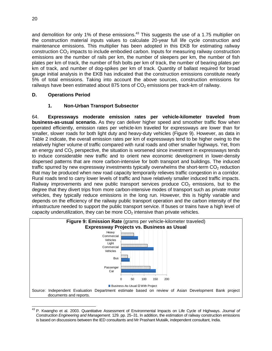and demolition for only 1% of these emissions.<sup>43</sup> This suggests the use of a 1.75 multiplier on the construction material inputs values to calculate 20-year full life cycle construction and maintenance emissions. This multiplier has been adopted in this EKB for estimating railway construction CO<sub>2</sub> impacts to include embodied carbon. Inputs for measuring railway construction emissions are the number of rails per km, the number of sleepers per km, the number of fish plates per km of track, the number of fish bolts per km of track, the number of bearing plates per km of track, and number of dog-spikes per km of track. Quantity of ballast required for broad gauge initial analysis in the EKB has indicated that the construction emissions constitute nearly 5% of total emissions. Taking into account the above sources, construction emissions for railways have been estimated about 875 tons of  $CO<sub>2</sub>$  emissions per track-km of railway.

# **D. Operations Period**

## **1. Non-Urban Transport Subsector**

64. **Expressways moderate emission rates per vehicle-kilometer traveled from business-as-usual scenario.** As they can deliver higher speed and smoother traffic flow when operated efficiently, emission rates per vehicle-km traveled for expressways are lower than for smaller, slower roads for both light duty and heavy-duty vehicles (Figure 9). However, as data in Table 2 indicate, the overall emission rates per km of expressways tend to be higher owing to the relatively higher volume of traffic compared with rural roads and other smaller highways. Yet, from an energy and  $CO<sub>2</sub>$  perspective, the situation is worsened since investment in expressways tends to induce considerable new traffic and to orient new economic development in lower-density dispersed patterns that are more carbon-intensive for both transport and buildings. The induced traffic spurred by new expressway investments typically overwhelms the short-term  $CO<sub>2</sub>$  reduction that may be produced when new road capacity temporarily relieves traffic congestion in a corridor. Rural roads tend to carry lower levels of traffic and have relatively smaller induced traffic impacts. Railway improvements and new public transport services produce  $CO<sub>2</sub>$  emissions, but to the degree that they divert trips from more carbon-intensive modes of transport such as private motor vehicles, they typically reduce emissions in the long run. However, this is highly variable and depends on the efficiency of the railway public transport operation and the carbon intensity of the infrastructure needed to support the public transport service. If buses or trains have a high level of capacity underutilization, they can be more  $CO<sub>2</sub>$  intensive than private vehicles.



 43 P. Kwangho et al. 2003. Quantitative Assessment of Environmental Impacts on Life Cycle of Highways. *Journal of Construction Engineering and Management*. 129. pp. 25–31. In addition, the estimation of railway construction emissions is based on discussions between the IED consultants and Mr Prashant Mutalik, independent consultant, India.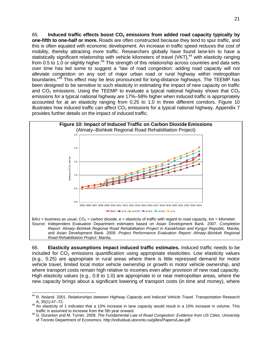65. **Induced traffic effects boost CO2 emissions from added road capacity typically by one-fifth to one-half or more.** Roads are often constructed because they tend to spur traffic, and this is often equated with economic development. An increase in traffic speed reduces the cost of mobility, thereby attracting more traffic. Researchers globally have found lane-km to have a statistically significant relationship with vehicle kilometers of travel (VKT),<sup>44</sup> with elasticity ranging from 0.5 to 1.0 or slightly higher.<sup>45</sup> The strength of this relationship across countries and data sets over time has led some to suggest a "law of road congestion: adding road capacity will not alleviate congestion on any sort of major urban road or rural highway within metropolitan boundaries."<sup>46</sup> This effect may be less pronounced for long-distance highways. The TEEMP has been designed to be sensitive to such elasticity in estimating the impact of new capacity on traffic and  $CO<sub>2</sub>$  emissions. Using the TEEMP to evaluate a typical national highway shows that  $CO<sub>2</sub>$ emissions for a typical national highway are 17%–58% higher when induced traffic is appropriately accounted for at an elasticity ranging from 0.25 to 1.0 in three different corridors. Figure 10 illustrates how induced traffic can affect  $CO<sub>2</sub>$  emissions for a typical national highway. Appendix 7 provides further details on the impact of induced traffic.



*Road Rehabilitation Project*. Manila.

66. **Elasticity assumptions impact induced traffic estimates.** Induced traffic needs to be included for  $CO<sub>2</sub>$  emissions quantification using appropriate elasticities. Low elasticity values (e.g., 0.25) are appropriate in rural areas where there is little repressed demand for motor vehicle travel, limited local motor vehicle ownership or growth in motor vehicle ownership, and where transport costs remain high relative to incomes even after provision of new road capacity. High elasticity values (e.g., 0.8 to 1.0) are appropriate in or near metropolitan areas, where the new capacity brings about a significant lowering of transport costs (in time and money), where

<sup>-</sup>44 R. Noland. 2001. *Relationships between Highway Capacity and Induced Vehicle Travel*. Transportation Research

A, 35(1):47–72.<br><sup>45</sup> An elasticity of 1 indicates that a 10% increase in lane capacity would result in a 10% increase in volume. This traffic is assumed to increase from the 5th year onward.

traffic is assumed to increase from the 5th year onward. 46 G. Duranton and M. Turner. 2009. *The Fundamental Law of Road Congestion: Evidence from US Cities*. University of Toronto Department of Economics. http://individual.utoronto.ca/gilles/Papers/Law.pdf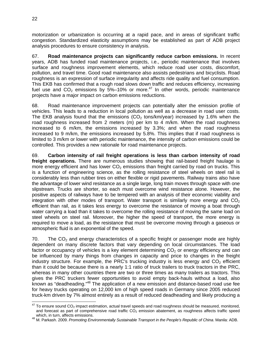motorization or urbanization is occurring at a rapid pace, and in areas of significant traffic congestion. Standardized elasticity assumptions may be established as part of ADB project analysis procedures to ensure consistency in analysis.

67. **Road maintenance projects can significantly reduce carbon emissions.** In recent years, ADB has funded road maintenance projects, i.e., periodic maintenance that involves surface and roughness improvement elements, which reduce road user costs, discomfort, pollution, and travel time. Good road maintenance also assists pedestrians and bicyclists. Road roughness is an expression of surface irregularity and affects ride quality and fuel consumption. This EKB has confirmed that a rough road slows down traffic and reduces efficiency, increasing fuel use and  $CO<sub>2</sub>$  emissions by  $\overline{5}\% - 10\%$  or more.<sup>47</sup> In other words, periodic maintenance projects have a major impact on carbon emissions reductions.

68. Road maintenance improvement projects can potentially alter the emission profile of vehicles. This leads to a reduction in local pollution as well as a decrease in road user costs. The EKB analysis found that the emissions  $(CO<sub>2</sub>$  tons/km/year) increased by 1.6% when the road roughness increased from 2 meters (m) per km to 4 m/km. When the road roughness increased to 6 m/km, the emissions increased by 3.3%; and when the road roughness increased to 9 m/km, the emissions increased by 5.8%. This implies that if road roughness is limited to 3 m/km or lower with periodic maintenance, the intensity of carbon emissions could be controlled. This provides a new rationale for road maintenance projects.

69. **Carbon intensity of rail freight operations is less than carbon intensity of road freight operations.** There are numerous studies showing that rail-based freight haulage is more energy efficient and has lower  $CO<sub>2</sub>$  emissions than freight carried by road on trucks. This is a function of engineering science, as the rolling resistance of steel wheels on steel rail is considerably less than rubber tires on either flexible or rigid pavements. Railway trains also have the advantage of lower wind resistance as a single large, long train moves through space with one slipstream. Trucks are shorter, so each must overcome wind resistance alone. However, the positive aspects of railways have to be tempered with an analysis of their economic viability and integration with other modes of transport. Water transport is similarly more energy and  $CO<sub>2</sub>$ efficient than rail, as it takes less energy to overcome the resistance of moving a boat through water carrying a load than it takes to overcome the rolling resistance of moving the same load on steel wheels on steel rail. Moreover, the higher the speed of transport, the more energy is required to move a load, as the resistance that must be overcome moving through a gaseous or atmospheric fluid is an exponential of the speed.

70. The  $CO<sub>2</sub>$  and energy characteristics of a specific freight or passenger mode are highly dependent on many discrete factors that vary depending on local circumstances. The load factor or occupancy of vehicles is a key element determining  $CO<sub>2</sub>$  or energy efficiency and can be influenced by many things from changes in capacity and price to changes in the freight industry structure. For example, the PRC's trucking industry is less energy and  $CO<sub>2</sub>$  efficient than it could be because there is a nearly 1:1 ratio of truck trailers to truck tractors in the PRC, whereas in many other countries there are two or three times as many trailers as tractors. This gives the PRC truckers fewer opportunities to avoid empty back-hauls without a load, also known as "deadheading."48 The application of a new emission and distance-based road use fee for heavy trucks operating on 12,000 km of high speed roads in Germany since 2005 reduced truck-km driven by 7% almost entirely as a result of reduced deadheading and likely producing a

-

 $^{47}$  To ensure sound CO<sub>2</sub> impact estimation, actual travel speeds and road roughness should be measured, monitored, and forecast as part of comprehensive road traffic CO<sub>2</sub> emission abatement, as roughness affects traffic speed which, in turn, affects emissions.

which, in turn, affects emissions. 48 M. Parkash. 2009. *Promoting Environmentally Sustainable Transport in the People's Republic of China*. Manila: ADB.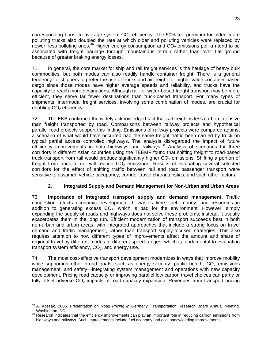corresponding boost to average system  $CO<sub>2</sub>$  efficiency. The 50% fee premium for older, more polluting trucks also doubled the rate at which older and polluting vehicles were replaced by newer. less polluting ones.<sup>49</sup> Higher energy consumption and  $CO<sub>2</sub>$  emissions per km tend to be associated with freight haulage through mountainous terrain rather than over flat ground because of greater braking energy losses.

71. In general, the core market for ship and rail freight services is the haulage of heavy bulk commodities, but both modes can also readily handle container freight. There is a general tendency for shippers to prefer the use of trucks and air freight for higher value container-based cargo since those modes have higher average speeds and reliability, and trucks have the capacity to reach more destinations. Although rail- or water-based freight transport may be more efficient, they serve far fewer destinations than truck-based transport. For many types of shipments, intermodal freight services, involving some combination of modes, are crucial for enabling CO<sub>2</sub> efficiency.

72. The EKB confirmed the widely acknowledged fact that rail freight is less carbon intensive than freight transported by road. Comparisons between railway projects and hypothetical parallel road projects support this finding. Emissions of railway projects were compared against a scenario of what would have occurred had the same freight traffic been carried by truck on typical partial access controlled highways. The analysis disregarded the impact of future efficiency improvements in both highways and railways.<sup>50</sup> Analysis of scenarios for three corridors in different Asian countries using the TEEMP found that shifting freight to road-based truck transport from rail would produce significantly higher  $CO<sub>2</sub>$  emissions. Shifting a portion of freight from truck to rail will reduce  $CO<sub>2</sub>$  emissions. Results of evaluating several selected corridors for the effect of shifting traffic between rail and road passenger transport were sensitive to assumed vehicle occupancy, corridor travel characteristics, and such other factors.

# **2. Integrated Supply and Demand Management for Non-Urban and Urban Areas**

73. **Importance of integrated transport supply and demand management.** Traffic congestion affects economic development. It wastes time, fuel, money, and resources in addition to generating excess  $CO<sub>2</sub>$ , which is bad for the environment. However, simply expanding the supply of roads and highways does not solve these problems; instead, it usually exacerbates them in the long run. Efficient modernization of transport succeeds best in both non-urban and urban areas, with integrated approaches that include a strong focus on travel demand and traffic management, rather than transport supply-focused strategies. This also requires attention to how different types of improvements affect the amount and share of regional travel by different modes at different speed ranges, which is fundamental to evaluating transport system efficiency,  $CO<sub>2</sub>$ , and energy use.

74. The most cost-effective transport development modernizes in ways that improve mobility while supporting other broad goals, such as energy security, public health,  $CO<sub>2</sub>$  emissions management, and safety—integrating system management and operations with new capacity development. Pricing road capacity or improving parallel low carbon travel choices can partly or fully offset adverse  $CO<sub>2</sub>$  impacts of road capacity expansion. Revenues from transport pricing

-

<sup>49</sup> A. Kossak. 2006. Presentation on *Road Pricing in Germany*. Transportation Research Board Annual Meeting.

magnetic PC. 50 Research indicates that the efficiency improvements can play an important role in reducing carbon emissions from highways and railways. Such improvements include fuel economy and occupancy/loading improvements.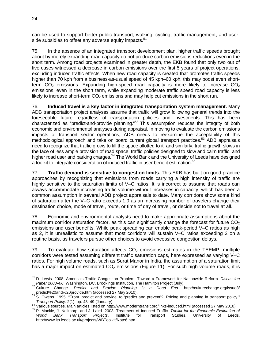can be used to support better public transport, walking, cycling, traffic management, and userside subsidies to offset any adverse equity impacts.<sup>51</sup>

75. In the absence of an integrated transport development plan, higher traffic speeds brought about by merely expanding road capacity do not produce carbon emissions reductions even in the short term. Among road projects examined in greater depth, the EKB found that only two out of five cases witnessed a decrease in carbon emissions over the first 5 years of project operations, excluding induced traffic effects. When new road capacity is created that promotes traffic speeds higher than 70 kph from a business-as-usual speed of 45 kph–60 kph, this may boost even shortterm  $CO<sub>2</sub>$  emissions. Expanding high-speed road capacity is more likely to increase  $CO<sub>2</sub>$ emissions, even in the short term, while expanding moderate traffic speed road capacity is less likely to increase short-term  $CO<sub>2</sub>$  emissions and may help cut emissions in the short run.

76. **Induced travel is a key factor in integrated transportation system management.** Many ADB transportation project analyses assume that traffic will grow following general trends into the foreseeable future regardless of transportation policies and investments. This has been characterized as "predict-and-provide planning."<sup>52</sup> This assumption reduces the integrity of both economic and environmental analyses during appraisal. In moving to evaluate the carbon emissions impacts of transport sector operations, ADB needs to reexamine the acceptability of this methodological approach and take on board current global transport practices.<sup>53</sup> ADB appraisals need to recognize that traffic grows to fill the space allotted to it, and similarly, traffic growth slows in the face of less ample provision of road space, traffic policies designed to slow and calm traffic, and higher road user and parking charges.<sup>54</sup> The World Bank and the University of Leeds have designed a toolkit to integrate consideration of induced traffic in user benefit estimation.<sup>55</sup>

77. **Traffic demand is sensitive to congestion limits.** This EKB has built on good practice approaches by recognizing that emissions from roads carrying a high intensity of traffic are highly sensitive to the saturation limits of V–C ratios. It is incorrect to assume that roads can always accommodate increasing traffic volume without increases in capacity, which has been a common assumption in several ADB project appraisals to date. Many corridors show some kind of saturation after the V–C ratio exceeds 1.0 as an increasing number of travelers change their destination choice, mode of travel, route, or time of day of travel, or decide not to travel at all.

78. Economic and environmental analysts need to make appropriate assumptions about the maximum corridor saturation factor, as this can significantly change the forecast for future  $CO<sub>2</sub>$ emissions and user benefits. While peak spreading can enable peak-period V–C ratios as high as 2, it is unrealistic to assume that most corridors will sustain V–C ratios exceeding 2 on a routine basis, as travelers pursue other choices to avoid excessive congestion delays.

79. To evaluate how saturation affects  $CO<sub>2</sub>$  emissions estimates in the TEEMP, multiple corridors were tested assuming different traffic saturation caps, here expressed as varying V–C ratios. For high volume roads, such as Surat Manor in India, the assumption of a saturation limit has a major impact on estimated  $CO<sub>2</sub>$  emissions (Figure 11). For such high volume roads, it is

 $\overline{a}$ 51 D. Lewis. 2008. America's Traffic Congestion Problem: Toward a Framework for Nationwide Reform. *Discussion Paper 2008–06*. Washington, DC. Brookings Institution, The Hamilton Project (July). 52 Culture Change. *Predict and Provide Planning is a Dead End*. http://culturechange.org/issue8/

predict%20and%20provide.htm (accessed 27 May 2010).<br>
<sup>53</sup> S. Owens. 1995. "From 'predict and provide' to 'predict and prevent'?: Pricing and planning in transport policy."<br>
Transport Policy. 2(1). pp. 43–49 (January).

<sup>&</sup>lt;sup>54</sup> Various sources. Main articles listed on http://www.moderntransit.org/links-induced.html (accessed 27 May 2010).<br><sup>55</sup> P. Mackie, J. Nellthorp, and J. Laird. 2003. Treatment of Induced Traffic. Toolkit for the Economic *World Bank Transport Projects*. Institute for Transport Studies, University of Leeds. http://www.its.leeds.ac.uk/projects/WBToolkit/Note6.htm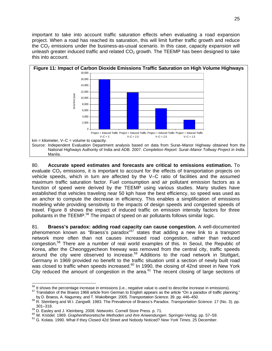important to take into account traffic saturation effects when evaluating a road expansion project. When a road has reached its saturation, this will limit further traffic growth and reduce the  $CO<sub>2</sub>$  emissions under the business-as-usual scenario. In this case, capacity expansion will unleash greater induced traffic and related  $CO<sub>2</sub>$  growth. The TEEMP has been designed to take this into account.



80. **Accurate speed estimates and forecasts are critical to emissions estimation.** To evaluate  $CO<sub>2</sub>$  emissions, it is important to account for the effects of transportation projects on vehicle speeds, which in turn are affected by the V–C ratio of facilities and the assumed maximum traffic saturation factor. Fuel consumption and air pollutant emission factors as a function of speed were derived by the TEEMP using various studies. Many studies have established that vehicles traveling near 50 kph have the best efficiency, so speed was used as an anchor to compute the decrease in efficiency. This enables a simplification of emissions modeling while providing sensitivity to the impacts of design speeds and congested speeds of travel. Figure 8 shows the impact of induced traffic on emission intensity factors for three pollutants in the TEEMP.<sup>56</sup> The impact of speed on air pollutants follows similar logic.

81. **Braess's paradox: adding road capacity can cause congestion.** A well-documented phenomenon known as "Braess's paradox"<sup>57</sup> states that adding a new link to a transport network more often than not causes increased road congestion, rather than reduced congestion.58 There are a number of real world examples of this. In Seoul, the Republic of Korea, after the Cheonggyecheon freeway was removed from the central city, traffic speeds around the city were observed to increase.<sup>59</sup> Additions to the road network in Stuttgart, Germany in 1969 provided no benefit to the traffic situation until a section of newly built road was closed to traffic when speeds increased.<sup>60</sup> In 1990, the closing of 42nd street in New York City reduced the amount of congestion in the area.<sup>61</sup> The recent closing of large sections of

<sup>&</sup>lt;sup>56</sup> It shows the percentage increase in emissions (i.e., negative value is used to describe increase in emissions).

 $57$  Translation of the Braess 1968 article from German to English appears as the article "On a paradox of traffic planning,"<br>by D. Braess, A. Nagurney, and T. Wakolbinger. 2005. Transportation Science. 39. pp. 446–450.

by D. Braess, A. Nagurney, and T. Wakolbinger. 2005. *Transportation Science*. 39. pp. 446–450. 58 R. Steinberg and W.I. Zangwill. 1983. The Prevalence of Braess's Paradox. *Transportation Science*. 17 (No. 3). pp. 301–318.<br><sup>59</sup> D. Easley and J. Kleinberg. 2008. Networks. Cornell Store Press. p. 71.<br><sup>60</sup> W. Knödel. 1969. *Graphentheoretische Methoden und ihre Anwendungen*. Springer-Verlag. pp. 57–59.<br><sup>61</sup> G. Kolata. 1990. What if the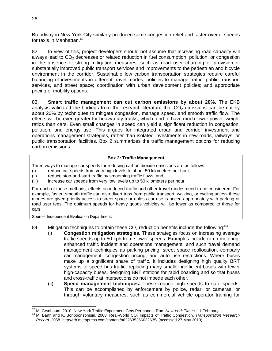Broadway in New York City similarly produced some congestion relief and faster overall speeds for taxis in Manhattan.<sup>62</sup>

82. In view of this, project developers should not assume that increasing road capacity will always lead to  $CO<sub>2</sub>$  decreases or related reduction in fuel consumption, pollution, or congestion in the absence of strong mitigation measures, such as road user charging or provision of substantially improved public transport services and improvements to the pedestrian and bicycle environment in the corridor. Sustainable low carbon transportation strategies require careful balancing of investments in different travel modes; policies to manage traffic, public transport services, and street space; coordination with urban development policies; and appropriate pricing of mobility options.

83. **Smart traffic management can cut carbon emissions by about 20%.** The EKB analysis validated the findings from the research literature that  $CO<sub>2</sub>$  emissions can be cut by about 20% by techniques to mitigate congestion, manage speed, and smooth traffic flow. The effects will be even greater for heavy-duty trucks, which tend to have much lower power–weight ratios than cars. Even small changes in speed can yield a significant reduction in congestion, pollution, and energy use. This argues for integrated urban and corridor investment and operations management strategies, rather than isolated investments in new roads, railways, or public transportation facilities. Box 2 summarizes the traffic management options for reducing carbon emissions.

#### **Box 2: Traffic Management**

Three ways to manage car speeds for reducing carbon dioxide emissions are as follows:

- (i) reduce car speeds from very high levels to about 50 kilometers per hour,
- (ii) reduce stop-and-start traffic by smoothing traffic flows, and
- (iii) increase car speeds from very low levels up to 50 kilometers per hour.

For each of these methods, effects on induced traffic and other travel modes need to be considered. For example, faster, smooth traffic can also divert trips from public transport, walking, or cycling unless these modes are given priority access to street space or unless car use is priced appropriately with parking or road user fees. The optimum speeds for heavy goods vehicles will be lower as compared to those for cars.

Source: Independent Evaluation Department.

- 84. Mitigation techniques to obtain these  $CO<sub>2</sub>$  reduction benefits include the following:<sup>63</sup>
	- (i) **Congestion mitigation strategies.** These strategies focus on increasing average traffic speeds up to 50 kph from slower speeds. Examples include ramp metering; enhanced traffic incident and operations management; and such travel demand management techniques as parking pricing, street space reallocation, company car management, congestion pricing, and auto use restrictions. Where buses make up a significant share of traffic, it includes designing high quality BRT systems to speed bus traffic, replacing many smaller inefficient buses with fewer high-capacity buses, designing BRT stations for rapid boarding and so that buses and cross-traffic at intersections do not impede each other.
	- (ii) **Speed management techniques.** These reduce high speeds to safe speeds. This can be accomplished by enforcement by police, radar, or cameras, or through voluntary measures, such as commercial vehicle operator training for

<sup>62</sup> M. Grynbaum. 2010. New York Traffic Experiment Gets Permanent Run. New York Times. 11 February.

<sup>&</sup>lt;sup>63</sup> M. Barth and K. Boriboonsomsin. 2008. Real-World CO<sub>2</sub> Impacts of Traffic Congestion. *Transportation Research Record*. 2058. http://trb.metapress.com/content/n622635366032635/ (accessed 27 May 2010).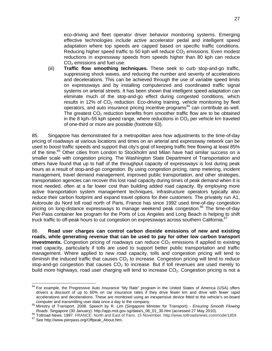eco-driving and fleet operator driver behavior monitoring systems. Emerging effective technologies include active accelerator pedal and intelligent speed adaptation where top speeds are capped based on specific traffic conditions. Reducing higher speed traffic to 50 kph will reduce  $CO<sub>2</sub>$  emissions. Even modest reductions in expressway speeds from speeds higher than 80 kph can reduce  $CO<sub>2</sub>$  emissions and fuel use.

(iii) **Traffic flow smoothing techniques.** These seek to curb stop-and-go traffic, suppressing shock waves, and reducing the number and severity of accelerations and decelerations. This can be achieved through the use of variable speed limits on expressways and by installing computerized and coordinated traffic signal systems on arterial streets. It has been shown that intelligent speed adaptation can eliminate much of the stop-and-go effect during congested conditions, which results in 12% of  $CO<sub>2</sub>$  reduction. Eco-driving training, vehicle monitoring by fleet operators, and auto insurance pricing incentive programs<sup>64</sup> can contribute as well. The greatest  $CO<sub>2</sub>$  reduction benefits from smoother traffic flow are to be obtained in the 8 kph–55 kph speed range, where reductions in  $CO<sub>2</sub>$  per vehicle km traveled of one-third or more are possible (footnote 63).

85. Singapore has demonstrated for a metropolitan area how adjustments to the time-of-day pricing of roadways at various locations and times on an arterial and expressway network can be used to boost traffic speeds and support that city's goal of keeping traffic free flowing at least 85% of the time.<sup>65</sup> Other cities from London to Stockholm and Milan have had similar success on a smaller scale with congestion pricing. The Washington State Department of Transportation and others have found that up to half of the throughput capacity of expressways is lost during peak hours as a result of stop-and-go congestion. By using congestion pricing, ramp metering, incident management, travel demand management, improved public transportation, and other strategies, transportation agencies can recover this lost road capacity during times of peak demand when it is most needed, often at a far lower cost than building added road capacity. By employing more active transportation system management techniques, infrastructure operators typically also reduce their carbon footprint and expand travel options for their customers. The privately run A1, Autoroute du Nord toll road north of Paris, France has since 1992 used time-of-day congestion pricing on long-distance expressways to manage weekend peak congestion.<sup>66</sup> The time-of-day Pier-Pass container fee program for the Ports of Los Angeles and Long Beach is helping to shift truck traffic to off-peak hours to cut congestion on expressways across southern California.<sup>67</sup>

86. **Road user charges can control carbon dioxide emissions of new and existing roads, while generating revenue that can be used to pay for other low carbon transport investments.** Congestion pricing of roadways can reduce CO<sub>2</sub> emissions if applied to existing road capacity, particularly if tolls are used to support better public transportation and traffic management. Where applied to new road capacity, tolls and congestion pricing will tend to diminish the induced traffic that causes  $CO<sub>2</sub>$  to increase. Congestion pricing will tend to reduce stop-and-go congestion that causes  $CO<sub>2</sub>$  to increase. But if toll revenues are used merely to build more highways, road user charging will tend to increase  $CO<sub>2</sub>$ . Congestion pricing is not a

<sup>-</sup> $64$  For example, the Progressive Auto Insurance "My Rate" program in the United States of America (USA) offers drivers a discount of up to 60% on car insurance rates if they drive fewer km and drive with fewer rapid accelerations and decelerations. These are monitored using an inexpensive device fitted to the vehicle's on-board

computer and transmitting user data once a day to the company.<br><sup>65</sup> Ministry of Transport. 2008. Speech by R. Lim (Singapore Minister for Transport) - *Ensuring Smooth Flowing Roads*. Singapore (30 January). http://app.mot

<sup>67</sup> Tollroad News. 1997. FRANCE: North and East of Paris. 15 November. http://www.tollroadsnews.com/node/1859.<br>67 See http://www.pierpass.org/Offpeak\_About.htm.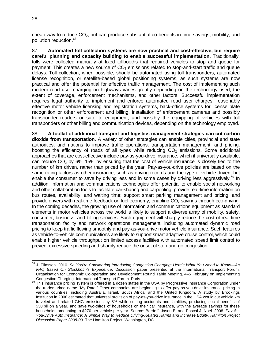cheap way to reduce  $CO<sub>2</sub>$ , but can produce substantial co-benefits in time savings, mobility, and pollution reduction.68

87. **Automated toll collection systems are now practical and cost-effective, but require careful planning and capacity building to enable successful implementation.** Traditionally, tolls were collected manually at fixed tollbooths that required vehicles to stop and queue for payment. This creates a new source of  $CO<sub>2</sub>$  emissions related to stop-and-start traffic and queue delays. Toll collection, when possible, should be automated using toll transponders, automated license recognition, or satellite-based global positioning systems, as such systems are now practical and offer the potential for effective traffic management. The cost of implementing such modern road user charging on highways varies greatly depending on the technology used, the extent of coverage, enforcement mechanisms, and other factors. Successful implementation requires legal authority to implement and enforce automated road user charges, reasonably effective motor vehicle licensing and registration systems, back-office systems for license plate recognition or other enforcement and billing, installation of enforcement cameras and possibly transponder readers or satellite equipment, and possibly the equipping of vehicles with toll transponders or other billing and communication devices, depending on the technology employed.

88. **A toolkit of additional transport and logistics management strategies can cut carbon dioxide from transportation.** A variety of other strategies can enable cities, provincial and state authorities, and nations to improve traffic operations, transportation management, and pricing, boosting the efficiency of roads of all types while reducing  $CO<sub>2</sub>$  emissions. Some additional approaches that are cost-effective include pay-as-you-drive insurance, which if universally available, can reduce  $CO<sub>2</sub>$  by 6%–15% by ensuring that the cost of vehicle insurance is closely tied to the number of km driven, rather than priced by the year. Pay-as-you-drive policies are based on the same rating factors as other insurance, such as driving records and the type of vehicle driven, but enable the consumer to save by driving less and in some cases by driving less aggressively.<sup>69</sup> In addition, information and communications technologies offer potential to enable social networking and other collaboration tools to facilitate car-sharing and carpooling; provide real-time information on bus routes, availability, and waiting time; support smart parking management and pricing; and provide drivers with real-time feedback on fuel economy, enabling  $CO<sub>2</sub>$  savings through eco-driving. In the coming decades, the growing use of information and communications equipment as standard elements in motor vehicles across the world is likely to support a diverse array of mobility, safety, consumer, business, and billing services. Such equipment will sharply reduce the cost of real-time transportation facility and network operations management, including automated dynamic road pricing to keep traffic flowing smoothly and pay-as-you-drive motor vehicle insurance. Such features as vehicle-to-vehicle communications are likely to support smart adaptive cruise control, which could enable higher vehicle throughput on limited access facilities with automated speed limit control to prevent excessive speeding and sharply reduce the onset of stop-and-go congestion.

 68 J. Eliasson. 2010. *So You're Considering Introducing Congestion Charging: Here's What You Need to Know—An FAQ Based On Stockholm's Experience*. Discussion paper presented at the International Transport Forum, Organisation for Economic Co-operation and Development Round Table Meeting, 4–5 February on Implementing

<sup>&</sup>lt;sup>69</sup> This insurance pricing system is offered in a dozen states in the USA by Progressive Insurance Corporation under the trademarked name "My Rate." Other companies are beginning to offer pay-as-you-drive insurance pricing in various countries, including Australia, Israel, South Africa, and the United Kingdom. A study by Brookings Institution in 2008 estimated that universal provision of pay-as-you-drive insurance in the USA would cut vehicle km traveled and related GHG emissions by 8% while cutting accidents and fatalities, producing social benefits of \$30 billion a year, and save two-thirds of households on their car insurance, with the average savings for these households amounting to \$270 per vehicle per year. Source: Bordoff, Jason E. and Pascal J. Noel. 2008. *Pay-As-You-Drive Auto Insurance: A Simple Way to Reduce Driving-Related Harms and Increase Equity. Hamilton Project Discussion Paper 2008-09*. The Hamilton Project. Washington, DC.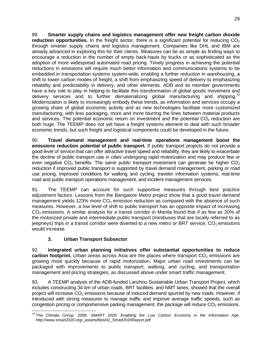89. **Smarter supply chains and logistics management offer new freight carbon dioxide reduction opportunities.** In the freight sector, there is a significant potential for reducing CO<sub>2</sub> through smarter supply chains and logistics management. Companies like DHL and IBM are already advanced in exploring this for their clients. Measures can be as simple as finding ways to encourage a reduction in the number of empty back-hauls by trucks or as sophisticated as the adoption of more widespread automated road pricing. Timely progress in achieving the potential reductions in emissions will require much better information and communications systems to be embedded in transportation systems system-wide, enabling a further reduction in warehousing, a shift to lower carbon modes of freight, a shift from emphasizing speed of delivery to emphasizing reliability and predictability in delivery, and other elements. ADB and its member governments have a key role to play in helping to facilitate this transformation of global goods movement and delivery services and to further dematerializing global manufacturing and shipping.<sup>70</sup> Modernization is likely to increasingly embody these trends, as information and services occupy a growing share of global economic activity and as new technologies facilitate more customized manufacturing, with less packaging, more and more blurring the lines between material products and services. The potential economic return on investment and the potential  $CO<sub>2</sub>$  reduction are both huge. The TEEMP does not yet have a freight systems element to deal with such broader economic trends, but such freight and logistical components could be developed in the future.

90. **Travel demand management and real-time operations management boost the emissions reduction potential of public transport.** If public transport projects do not provide a good level of service that can offer attractive travel speed and reliability, they are likely to exacerbate the decline of public transport use in cities undergoing rapid motorization and may produce few or even negative  $CO<sub>2</sub>$  benefits. The same public transport investment can generate far higher  $CO<sub>2</sub>$ reduction if improved public transport is supported by travel demand management, parking or road use pricing, improved conditions for walking and cycling, traveler information systems, real-time road and public transport operations management, and incident management services.

91. The TEEMP can account for such supportive measures through best practice adjustment factors. Lessons from the Bangalore Metro project show that a good travel demand management yields 123% more  $CO<sub>2</sub>$  emission reduction as compared with the absence of such measures. However, a low level of shift to public transport has an opposite impact of increasing  $CO<sub>2</sub>$  emissions. A similar analysis for a transit corridor in Manila found that if as few as 20% of the motorized private and intermediate public transport (minibuses that are locally referred to as jeepneys) trips in a transit corridor were diverted to a new metro or BRT service,  $CO<sub>2</sub>$  emissions would increase.

# **3. Urban Transport Subsector**

92. **Integrated urban planning initiatives offer substantial opportunities to reduce carbon footprint.** Urban areas across Asia are the places where transport CO<sub>2</sub> emissions are growing most quickly because of rapid motorization. Major urban road investments can be packaged with improvements to public transport, walking, and cycling, and transportation management and pricing strategies, as discussed above under smart traffic management.

93. A TEEMP analysis of the ADB-funded Lanzhou Sustainable Urban Transport Project, which includes constructing 34 km of urban roads, BRT facilities, and NMT lanes, showed that the overall project will increase CO<sub>2</sub> emissions because of induced demand spurred by new roads. However, if introduced with strong measures to manage traffic and improve average traffic speeds, such as congestion pricing or comprehensive parking management, the package will reduce  $CO<sub>2</sub>$  emissions.

 70 The Climate Group. 2008. *SMART 2020: Enabling the Low Carbon Economy in the Information Age*. http://www.smart2020.org/\_assets/files/02\_Smart2020Report.pdf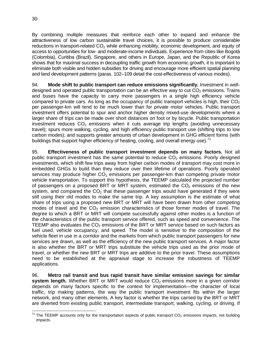By combining multiple measures that reinforce each other to expand and enhance the attractiveness of low carbon sustainable travel choices, it is possible to produce considerable reductions in transport-related  $CO<sub>2</sub>$  while enhancing mobility, economic development, and equity of access to opportunities for low- and moderate-income individuals. Experience from cities like Bogotá (Colombia), Curitiba (Brazil), Singapore, and others in Europe, Japan, and the Republic of Korea shows that for maximal success in decoupling traffic growth from economic growth, it is important to eliminate both visible and hidden subsidies for driving and encourage more efficient spatial planning and land development patterns (paras. 102–109 detail the cost-effectiveness of various modes).

94. **Mode shift to public transport can reduce emissions significantly.** Investment in welldesigned and operated public transportation can be an effective way to cut  $CO<sub>2</sub>$  emissions. Trains and buses have the capacity to carry more passengers in a single high efficiency vehicle compared to private cars. As long as the occupancy of public transport vehicles is high, their  $CO<sub>2</sub>$ per passenger-km will tend to be much lower than for private motor vehicles. Public transport investment offers potential to spur and anchor higher density mixed-use developments where a larger share of trips can be made over short distances on foot or by bicycle. Public transportation investment reduces  $CO<sub>2</sub>$  emissions when it cuts average trip lengths (avoiding unnecessary travel); spurs more walking, cycling, and high efficiency public transport use (shifting trips to low carbon modes); and supports greater amounts of urban development in GHG efficient forms (with buildings that support higher efficiency of heating, cooling, and overall energy use).<sup>71</sup>

95. **Effectiveness of public transport investment depends on many factors.** Not all public transport investment has the same potential to reduce  $CO<sub>2</sub>$  emissions. Poorly designed investments, which shift few trips away from higher carbon modes of transport may cost more in embedded GHGs to build than they reduce over their lifetime of operations. Poorly operated services may produce higher  $CO<sub>2</sub>$  emissions per passenger-km than competing private motor vehicle transportation. To support this hypothesis, the TEEMP calculated the projected number of passengers on a proposed BRT or MRT system, estimated the  $CO<sub>2</sub>$  emissions of the new system, and compared the  $CO<sub>2</sub>$  that these passenger trips would have generated if they were still using their old modes to make the same trip. A key assumption is the estimate of what share of trips using a proposed new BRT or MRT will have been drawn from other competing modes of travel and the  $CO<sub>2</sub>$  emission characteristics of those former modes of travel. The degree to which a BRT or MRT will compete successfully against other modes is a function of the characteristics of the public transport service offered, such as speed and convenience. The TEEMP also evaluates the  $CO<sub>2</sub>$  emissions of the BRT or MRT service based on such factors as fuel used, vehicle occupancy, and speed. The model is sensitive to the composition of the vehicle fleet in use in a corridor and the markets from which public transport passengers for new services are drawn, as well as the efficiency of the new public transport services. A major factor is also whether the BRT or MRT trips substitute the vehicle trips used as the prior mode of travel, or whether the new BRT or MRT trips are additive to the prior travel. These assumptions need to be established at the appraisal stage to increase the robustness of TEEMP applications.

96. **Metro rail transit and bus rapid transit have similar emission savings for similar system length.** Whether BRT or MRT would reduce  $CO<sub>2</sub>$  emissions more in a given corridor depends on many factors specific to the context for implementation—the character of local traffic, trip making patterns, the way the public transport investment fits within the larger network, and many other elements. A key factor is whether the trips carried by the BRT or MRT are diverted from existing public transport, intermediate transport, walking, cycling, or driving. If

 $\overline{a}$ <sup>71</sup> The TEEMP accounts only for the transportation aspects of public transport CO<sub>2</sub> emissions impacts, not building impacts.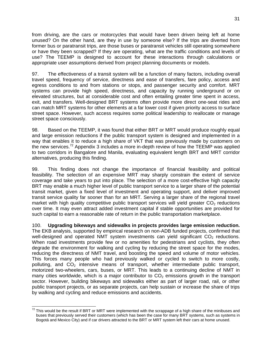from driving, are the cars or motorcycles that would have been driven being left at home unused? On the other hand, are they in use by someone else? If the trips are diverted from former bus or paratransit trips, are those buses or paratransit vehicles still operating somewhere or have they been scrapped? If they are operating, what are the traffic conditions and levels of use? The TEEMP is designed to account for these interactions through calculations or appropriate user assumptions derived from project planning documents or models.

97. The effectiveness of a transit system will be a function of many factors, including overall travel speed, frequency of service, directness and ease of transfers, fare policy, access and egress conditions to and from stations or stops, and passenger security and comfort. MRT systems can provide high speed, directness, and capacity by running underground or on elevated structures, but at considerable cost and often entailing greater time spent in access, exit, and transfers. Well-designed BRT systems often provide more direct one-seat rides and can match MRT systems for other elements at a far lower cost if given priority access to surface street space. However, such access requires some political leadership to reallocate or manage street space consciously.

98. Based on the TEEMP, it was found that either BRT or MRT would produce roughly equal and large emission reductions if the public transport system is designed and implemented in a way that enables it to reduce a high share of VKT that was previously made by customers on the new services.<sup>72</sup> Appendix 3 includes a more in-depth review of how the TEEMP was applied to two corridors in Bangalore and Manila, evaluating equivalent length BRT and MRT corridor alternatives, producing this finding.

99. This finding does not change the importance of financial feasibility and political feasibility. The selection of an expensive MRT may sharply constrain the extent of service coverage and take years to put into place. The selection of a more cost-effective high capacity BRT may enable a much higher level of public transport service to a larger share of the potential transit market, given a fixed level of investment and operating support, and deliver improved transit service quality far sooner than for an MRT. Serving a larger share of the regional travel market with high quality competitive public transport services will yield greater  $CO<sub>2</sub>$  reductions over time. It may even attract added investment capital if stable opportunities are provided for such capital to earn a reasonable rate of return in the public transportation marketplace.

100. **Upgrading bikeways and sidewalks in projects provides large emission reduction.** The EKB analysis, supported by empirical research on non-ADB funded projects, confirmed that well-designed and operated NMT system investments can yield significant  $CO<sub>2</sub>$  reductions. When road investments provide few or no amenities for pedestrians and cyclists, they often degrade the environment for walking and cycling by reducing the street space for the modes, reducing the directness of NMT travel, and boosting the speed and volume of motor vehicles. This forces many people who had previously walked or cycled to switch to more costly, polluting, and  $CO<sub>2</sub>$  intensive means of transport, whether intermediate public transport, motorized two-wheelers, cars, buses, or MRT. This leads to a continuing decline of NMT in many cities worldwide, which is a major contributor to  $CO<sub>2</sub>$  emissions growth in the transport sector. However, building bikeways and sidewalks either as part of larger road, rail, or other public transport projects, or as separate projects, can help sustain or increase the share of trips by walking and cycling and reduce emissions and accidents.

  $^{72}$  This would be the result if BRT or MRT were implemented with the scrappage of a high share of the minibuses and buses that previously served their customers (which has been the case for many BRT systems, such as systems in Bogotá and Mexico City) and if car drivers attracted to the BRT or MRT system left their cars at home unused.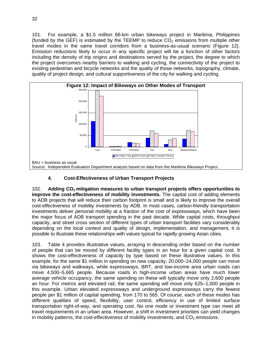101. For example, a \$1.5 million 66-km urban bikeways project in Marikina, Philippines (funded by the GEF) is estimated by the TEEMP to reduce  $CO<sub>2</sub>$  emissions from multiple other travel modes in the same travel corridors from a business-as-usual scenario (Figure 12). Emission reductions likely to occur in any specific project will be a function of other factors including the density of trip origins and destinations served by the project, the degree to which the project overcomes nearby barriers to walking and cycling, the connectivity of the project to existing pedestrian and bicycle networks and the quality of those networks, topography, climate, quality of project design, and cultural supportiveness of the city for walking and cycling.



## **4. Cost-Effectiveness of Urban Transport Projects**

102. **Adding CO2 mitigation measures to urban transport projects offers opportunities to improve the cost-effectiveness of mobility investments.** The capital cost of adding elements to ADB projects that will reduce their carbon footprint is small and is likely to improve the overall cost-effectiveness of mobility investments by ADB. In most cases, carbon-friendly transportation investments deliver personal mobility at a fraction of the cost of expressways, which have been the major focus of ADB transport spending in the past decade. While capital costs, throughput capacity, and street cross section of different types of urban transport facilities vary considerably depending on the local context and quality of design, implementation, and management, it is possible to illustrate these relationships with values typical for rapidly growing Asian cities.

103. Table 4 provides illustrative values, arraying in descending order based on the number of people that can be moved by different facility types in an hour for a given capital cost. It shows the cost-effectiveness of capacity by type based on these illustrative values. In this example, for the same \$1 million in spending on new capacity, 20,000–24,000 people can move via bikeways and walkways, while expressways, BRT, and low-income area urban roads can move 4,500–5,665 people. Because roads in high-income urban areas have much lower average vehicle occupancy, the same spending on these will typically move only 2,600 people an hour. For metros and elevated rail, the same spending will move only 625–1,000 people in this example. Urban elevated expressways and underground expressways carry the fewest people per \$1 million of capital spending, from 170 to 565. Of course, each of these modes has different qualities of speed, flexibility, user control, efficiency in use of limited surface transportation right-of-way, and operating cost. No one mode or investment type can meet all travel requirements in an urban area. However, a shift in investment priorities can yield changes in mobility patterns, the cost-effectiveness of mobility investments, and  $CO<sub>2</sub>$  emissions.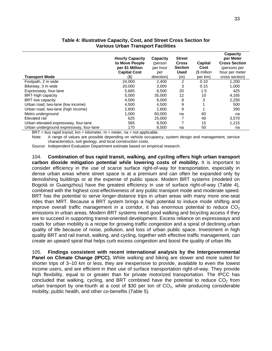| <b>Transport Mode</b>                   | <b>Hourly Capacity</b><br>to Move People<br>per \$1 Million<br><b>Capital Cost</b><br>(\$) | Capacity<br>(person<br>per hour<br>per<br>direction) | <b>Street</b><br><b>Cross</b><br><b>Section</b><br><b>Used</b><br>(m) | Capital<br>Cost<br>(\$ million<br>per km) | Capacity<br>per Meter<br><b>Cross Section</b><br>(persons per<br>hour per meter<br>cross section) |
|-----------------------------------------|--------------------------------------------------------------------------------------------|------------------------------------------------------|-----------------------------------------------------------------------|-------------------------------------------|---------------------------------------------------------------------------------------------------|
| Footpath, 2 m wide                      | 24.000                                                                                     | 2,400                                                | $\overline{2}$                                                        | 0.10                                      | 1,200                                                                                             |
| Bikeway, 3 m wide                       | 20,000                                                                                     | 3,000                                                | 3                                                                     | 0.15                                      | 1,000                                                                                             |
| Expressway, four-lane                   | 5,665                                                                                      | 8.500                                                | 20                                                                    | 1.5                                       | 425                                                                                               |
| <b>BRT-high capacity</b>                | 5,000                                                                                      | 35,000                                               | 12                                                                    | 10                                        | 4,165                                                                                             |
| <b>BRT-low capacity</b>                 | 4,500                                                                                      | 6.000                                                | 8                                                                     | 3                                         | 2,250                                                                                             |
| Urban road, two-lane (low income)       | 4,500                                                                                      | 4,500                                                | 9                                                                     |                                           | 500                                                                                               |
| Urban road, two-lane (high income)      | 2,600                                                                                      | 2,600                                                | 9                                                                     |                                           | 290                                                                                               |
| Metro underground                       | 1,000                                                                                      | 60,000                                               | na                                                                    | 60                                        | na                                                                                                |
| Elevated rail                           | 625                                                                                        | 25,000                                               |                                                                       | 40                                        | 3,570                                                                                             |
| Urban elevated expressway, four-lane    | 565                                                                                        | 8,500                                                | 7                                                                     | 15                                        | 1,215                                                                                             |
| Urban underground expressway, four-lane | 170                                                                                        | 8,500                                                | na                                                                    | 50                                        | na                                                                                                |

#### **Table 4: Illustrative Capacity, Cost, and Street Cross Section for Various Urban Transport Facilities**

 $BRT = bus$  rapid transit,  $km = kilometer$ ,  $m = meter$ ,  $na = not applicable$ .

Note: A range of values are possible depending on vehicle occupancy, system design and management, service characteristics, soil geology, and local construction costs.

Source: Independent Evaluation Department estimate based on empirical research.

104. **Combination of bus rapid transit, walking, and cycling offers high urban transport carbon dioxide mitigation potential while lowering costs of mobility.** It is important to consider efficiency in the use of scarce surface right-of-way for transportation, especially in dense urban areas where street space is at a premium and can often be expanded only by demolishing buildings or at the expense of public space. Modern BRT systems (modeled on Bogotá or Guangzhou) have the greatest efficiency in use of surface right-of-way (Table 4), combined with the highest cost-effectiveness of any public transport mode and moderate speed. BRT has the potential to serve longer-distance trips in urban areas with many more one-seat rides than MRT. Because a BRT system brings a high potential to induce mode shifting and improve overall traffic management in a corridor, it has enormous potential to reduce  $CO<sub>2</sub>$ emissions in urban areas. Modern BRT systems need good walking and bicycling access if they are to succeed in supporting transit-oriented development. Excess reliance on expressways and roads for urban mobility is a recipe for growing traffic congestion and a spiral of declining urban quality of life because of noise, pollution, and loss of urban public space. Investment in high quality BRT and rail transit, walking, and cycling, together with effective traffic management, can create an upward spiral that helps curb excess congestion and boost the quality of urban life.

105. **Findings consistent with recent international analysis by the Intergovernmental Panel on Climate Change (IPCC).** While walking and biking are slower and more suited for shorter trips of 3–10 km or less, they are inexpensive to provide, available to even the lowest income users, and are efficient in their use of surface transportation right-of-way. They provide high flexibility, equal to or greater than for private motorized transportation. The IPCC has concluded that walking, cycling, and BRT combined have the potential to reduce  $CO<sub>2</sub>$  from urban transport by one-fourth at a cost of \$30 per ton of  $CO<sub>2</sub>$ , while producing considerable mobility, public health, and other co-benefits (Table 5).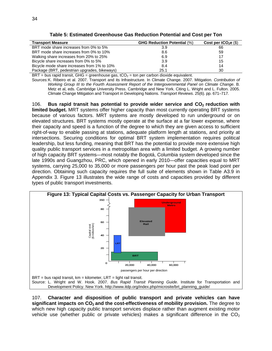| Table 5: Estimated Greenhouse Gas Reduction Potential and Cost per Ton |  |  |  |  |  |  |  |
|------------------------------------------------------------------------|--|--|--|--|--|--|--|
|------------------------------------------------------------------------|--|--|--|--|--|--|--|

| <b>Transport Measure</b>                     | <b>GHG Reduction Potential (%)</b> | Cost per $tCO2e$ (\$) |
|----------------------------------------------|------------------------------------|-----------------------|
| BRT mode share increases from 0% to 5%       | 3.9                                | 66                    |
| BRT mode share increases from 0% to 10%      | 8.6                                | 59                    |
| Walking share increases from 20% to 25%      | 6.9                                | 17                    |
| Bicycle share increases from 0% to 5%        | 3.9                                | 15                    |
| Bicycle mode share increases from 1% to 10%  | 8.4                                | 14                    |
| Package (BRT, pedestrian upgrades, bikeways) | 25.1                               | 30                    |

 $BRT$  = bus rapid transit, GHG = greenhouse gas, tCO<sub>2</sub> = ton per carbon dioxide equivalent.

Sources: K. Ribeiro et al. 2007. Transport and its Infrastructure. In Climate Change. 2007. Mitigation. *Contribution of Working Group III to the Fourth Assessment Report of the Intergovernmental Panel on Climate Change*. B. Metz et al. eds. Cambridge University Press. Cambridge and New York. Citing L. Wright and L. Fulton. 2005. Climate Change Mitigation and Transport in Developing Nations. *Transport Reviews*. 25(6). pp. 671–717.

106. **Bus rapid transit has potential to provide wider service and CO2 reduction with limited budget.** MRT systems offer higher capacity than most currently operating BRT systems because of various factors. MRT systems are mostly developed to run underground or on elevated structures. BRT systems mostly operate at the surface at a far lower expense, where their capacity and speed is a function of the degree to which they are given access to sufficient right-of-way to enable passing at stations, adequate platform length at stations, and priority at intersections. Securing conditions for optimal BRT system implementation requires political leadership, but less funding, meaning that BRT has the potential to provide more extensive high quality public transport services in a metropolitan area with a limited budget. A growing number of high capacity BRT systems—most notably the Bogotá, Columbia system developed since the late 1990s and Guangzhou, PRC, which opened in early 2010—offer capacities equal to MRT systems, carrying 25,000 to 35,000 or more passengers per hour past the peak load point per direction. Obtaining such capacity requires the full suite of elements shown in Table A3.9 in Appendix 3. Figure 13 illustrates the wide range of costs and capacities provided by different types of public transport investments.



107. **Character and disposition of public transport and private vehicles can have significant impacts on CO<sub>2</sub> and the cost-effectiveness of mobility provision.** The degree to which new high capacity public transport services displace rather than augment existing motor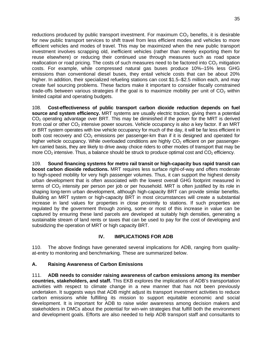reductions produced by public transport investment. For maximum  $CO<sub>2</sub>$  benefits, it is desirable for new public transport services to shift travel from less efficient modes and vehicles to more efficient vehicles and modes of travel. This may be maximized when the new public transport investment involves scrapping old, inefficient vehicles (rather than merely exporting them for reuse elsewhere) or reducing their continued use through measures such as road space reallocation or road pricing. The costs of such measures need to be factored into  $CO<sub>2</sub>$  mitigation costs. For example, while compressed natural gas buses produce 10%–15% less GHG emissions than conventional diesel buses, they entail vehicle costs that can be about 20% higher. In addition, their specialized refueling stations can cost \$1.5–\$2.5 million each, and may create fuel sourcing problems. These factors make it important to consider fiscally constrained trade-offs between various strategies if the goal is to maximize mobility per unit of  $CO<sub>2</sub>$  within limited capital and operating budgets.

108. **Cost-effectiveness of public transport carbon dioxide reduction depends on fuel source and system efficiency.** MRT systems are usually electric traction, giving them a potential  $CO<sub>2</sub>$  operating advantage over BRT. This may be diminished if the power for the MRT is derived from coal or other  $CO<sub>2</sub>$  intensive power sources. Vehicle occupancy is also a key factor. If an MRT or BRT system operates with low vehicle occupancy for much of the day, it will be far less efficient in both cost recovery and  $CO<sub>2</sub>$  emissions per passenger-km than if it is designed and operated for higher vehicle occupancy. While overloaded conditions are highly  $CO<sub>2</sub>$  efficient on per passengerkm carried basis, they are likely to drive away choice riders to other modes of transport that may be more  $CO<sub>2</sub>$  intensive. Thus, a balance should be struck to produce optimal cost and  $CO<sub>2</sub>$  efficiency.

109. **Sound financing systems for metro rail transit or high-capacity bus rapid transit can boost carbon dioxide reductions.** MRT requires less surface right-of-way and offers moderate to high-speed mobility for very high passenger volumes. Thus, it can support the highest density urban development that is often associated with the lowest overall GHG footprint measured in terms of  $CO<sub>2</sub>$  intensity per person per job or per household. MRT is often justified by its role in shaping long-term urban development, although high-capacity BRT can provide similar benefits. Building an MRT system or high-capacity BRT in most circumstances will create a substantial increase in land values for properties in close proximity to stations. If such properties are regulated by the government through zoning, some or most of this increase in value can be captured by ensuring these land parcels are developed at suitably high densities, generating a sustainable stream of land rents or taxes that can be used to pay for the cost of developing and subsidizing the operation of MRT or high capacity BRT.

## **IV. IMPLICATIONS FOR ADB**

110. The above findings have generated several implications for ADB, ranging from qualityat-entry to monitoring and benchmarking. These are summarized below.

### **A. Raising Awareness of Carbon Emissions**

111. **ADB needs to consider raising awareness of carbon emissions among its member countries, stakeholders, and staff.** This EKB explores the implications of ADB's transportation activities with respect to climate change in a new manner that has not been previously undertaken. It suggests ways that ADB might adjust its transport investment activities to reduce carbon emissions while fulfilling its mission to support equitable economic and social development. It is important for ADB to raise wider awareness among decision makers and stakeholders in DMCs about the potential for win-win strategies that fulfill both the environment and development goals. Efforts are also needed to help ADB transport staff and consultants to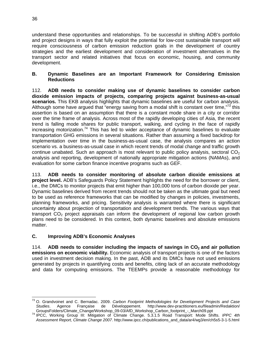understand these opportunities and relationships. To be successful in shifting ADB's portfolio and project designs in ways that fully exploit the potential for low-cost sustainable transport will require consciousness of carbon emission reduction goals in the development of country strategies and the earliest development and consideration of investment alternatives in the transport sector and related initiatives that focus on economic, housing, and community development.

## **B. Dynamic Baselines are an Important Framework for Considering Emission Reductions**

112. **ADB needs to consider making use of dynamic baselines to consider carbon dioxide emission impacts of projects, comparing projects against business-as-usual scenarios.** This EKB analysis highlights that dynamic baselines are useful for carbon analysis. Although some have argued that "energy saving from a modal shift is constant over time," $73$  this assertion is based on an assumption that there is a constant mode share in a city or corridor over the time frame of analysis. Across most of the rapidly developing cities of Asia, the recent trend is falling mode shares for public transport, walking, and cycling in the face of rapidly increasing motorization.<sup>74</sup> This has led to wider acceptance of dynamic baselines to evaluate transportation GHG emissions in several situations. Rather than assuming a fixed backdrop for implementation over time in the business-as-usual case, the analysis compares an action scenario vs. a business-as-usual case in which recent trends of modal change and traffic growth continue unabated. Such an approach is most relevant to public policy analysis, sectoral  $CO<sub>2</sub>$ analysis and reporting, development of nationally appropriate mitigation actions (NAMAs), and evaluation for some carbon finance incentive programs such as GEF.

113. **ADB needs to consider monitoring of absolute carbon dioxide emissions at project level.** ADB's Safeguards Policy Statement highlights the need for the borrower or client, i.e., the DMCs to monitor projects that emit higher than 100,000 tons of carbon dioxide per year. Dynamic baselines derived from recent trends should not be taken as the ultimate goal but need to be used as reference frameworks that can be modified by changes in policies, investments, planning frameworks, and pricing. Sensitivity analysis is warranted where there is significant uncertainty about projection of transportation and development trends. The various ways that transport  $CO<sub>2</sub>$  project appraisals can inform the development of regional low carbon growth plans need to be considered. In this context, both dynamic baselines and absolute emissions matter.

## **C. Improving ADB's Economic Analyses**

114. ADB needs to consider including the impacts of savings in CO<sub>2</sub> and air pollution **emissions on economic viability.** Economic analysis of transport projects is one of the factors used in investment decision making. In the past, ADB and its DMCs have not used emissions generated by projects in quantifying costs and benefits, citing lack of an accurate methodology and data for computing emissions. The TEEMPs provide a reasonable methodology for

 $\overline{a}$ 

<sup>73</sup> O. Grandvoinet and C. Bernadac. 2009. *Carbon Footprint Methodologies for Development Projects and Case Studies*. Agence Française de Développement. http://www.dev-practitioners.eu/fileadmin/Redaktion/

<sup>&</sup>lt;sup>74</sup> IPCC, Working Group III: Mitigation of Climate Change. 5.3.1.5 Road Transport: Mode Shifts. *IPPC 4th Assessment Report, Climate Change 2007*. http://www.ipcc.ch/publications\_and\_data/ar4/wg3/en/ch5s5-3-1-5.html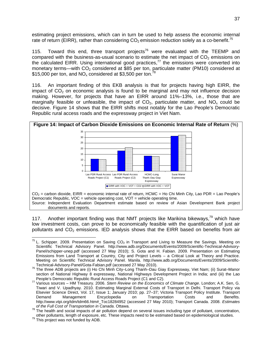estimating project emissions, which can in turn be used to help assess the economic internal rate of return (EIRR), rather than considering  $CO<sub>2</sub>$  emission reduction solely as a co-benefit.<sup>75</sup>

115. Toward this end, three transport projects<sup>76</sup> were evaluated with the TEEMP and compared with the business-as-usual scenario to estimate the net impact of  $CO<sub>2</sub>$  emissions on the calculated EIRR. Using international good practices, $77$  the emissions were converted into monetary terms—with  $CO_2^-$  considered at \$85 per ton, particulate matter (PM10) considered at \$15,000 per ton, and  $NO_x$  considered at \$3,500 per ton.<sup>78</sup>

116. An important finding of this EKB analysis is that for projects having high EIRR, the impact of  $CO<sub>2</sub>$  on economic analysis is found to be marginal and may not influence decision making. However, for projects that have an EIRR around 11%–13%, i.e., those that are marginally feasible or unfeasible, the impact of  $CO<sub>2</sub>$ , particulate matter, and  $NO<sub>x</sub>$  could be decisive. Figure 14 shows that the EIRR shifts most notably for the Lao People's Democratic Republic rural access roads and the expressway project in Viet Nam.



117. Another important finding was that NMT projects like Marikina bikeways,<sup>79</sup> which have low investment costs, can prove to be economically feasible with the quantification of just air pollutants and  $CO<sub>2</sub>$  emissions. IED analysis shows that the EIRR based on benefits from air

 <sup>75</sup> L. Schipper. 2009. Presentation on Saving CO<sub>2</sub> in Transport and Living to Measure the Savings. Meeting on Scientific Technical Advisory Panel. http://www.adb.org/Documents/Events/2009/Scientific-Technical-Advisory-Panel/schipper-unep.pdf (accessed 27 May 2010); S. Gota and H. Fabian. 2009. Presentation on Estimating Emissions from Land Transport at Country, City and Project Levels – a Critical Look at Theory and Practice. Meeting on Scientific Technical Advisory Panel. Manila. http://www.adb.org/Documents/Events/2009/Scientific-Technical-Advisory-Panel/Gota-Fabian.pdf (accessed 27 May 2010).

Technical-Advisory-Panel/Gota-Fabian.pdf (accessed 27 May 2010).<br><sup>76</sup> The three ADB projects are (i) Ho Chi Minh City–Long Thanh–Dau Giay Expressway, Viet Nam; (ii) Surat–Manor section of National Highway 8 expressway, National Highways Development Project in India; and (iii) the Lao People's Democratic Republic Rural Access Roads Project (C1 and C2).

People's Democratic Republic Rural Access Roads Project (C1 and C2). 77 Various sources – HM Treasury. 2006. *Stern Review on the Economics of Climate Change*. London; A.K. Sen, G. Tiwari and V. Upadhyay. 2010. Estimating Marginal External Costs of Transport in Delhi. Transport Policy via Elsevier Science Direct, Vol. 17, Issue 1; January 2010; pp. 27–37; Victoria Transport Policy Institute. Transport Demand Management Encyclopedia on Transportation Costs and Benefits. http://www.vtpi.org/tdm/tdm66.htm#\_Toc18284952 (accessed 27 May 2010); Transport Canada. 2008. *Estimates* 

*of the Full Cost of Transportation in Canada*. Ottawa. 78 The health and social impacts of air pollution depend on several issues including type of pollutant, concentration, other pollutants, length of exposure, etc. These impacts need to be estimated based on epidemiological studies.  $^{79}$  This project was not funded by ADB.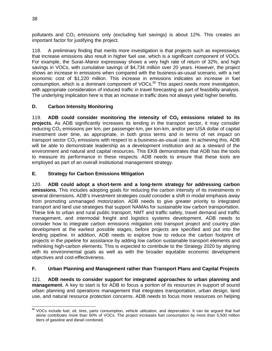pollutants and  $CO<sub>2</sub>$  emissions only (excluding fuel savings) is about 12%. This creates an important factor for justifying the project.

118. A preliminary finding that merits more investigation is that projects such as expressways that increase emissions also result in higher fuel use, which is a significant component of VOCs. For example, the Surat–Manor expressway shows a very high rate of return of 32%, and high savings in VOCs, with cumulative savings of \$4,734 million over 20 years. However, the project shows an increase in emissions when compared with the business-as-usual scenario, with a net economic cost of \$1,220 million. This increase in emissions indicates an increase in fuel consumption, which is a dominant component of VOCs.<sup>80</sup> This aspect needs more investigation, with appropriate consideration of induced traffic in travel forecasting as part of feasibility analysis. The underlying implication here is that an increase in traffic does not always yield higher benefits.

## **D. Carbon Intensity Monitoring**

119. ADB could consider monitoring the intensity of CO<sub>2</sub> emissions related to its **projects.** As ADB significantly increases its lending in the transport sector, it may consider reducing  $CO<sub>2</sub>$  emissions per km, per passenger-km, per ton-km, and/or per USA dollar of capital investment over time, as appropriate, in both gross terms and in terms of net impact on transport sector  $CO<sub>2</sub>$  emissions with respect to a business-as-usual case. In achieving this, ADB will be able to demonstrate leadership as a development institution and as a steward of the environment and natural and capital resources. This EKB demonstrates that ADB has the tools to measure its performance in these respects. ADB needs to ensure that these tools are employed as part of an overall institutional management strategy.

## **E. Strategy for Carbon Emissions Mitigation**

120. **ADB could adopt a short-term and a long-term strategy for addressing carbon emissions.** This includes adopting goals for reducing the carbon intensity of its investments in several dimensions. ADB's investment strategies could consider a shift in modal emphasis away from promoting unmanaged motorization. ADB needs to give greater priority to integrated transport and land use strategies that support NAMAs for sustainable low carbon transportation. These link to urban and rural public transport, NMT and traffic safety, travel demand and traffic management, and intermodal freight and logistics systems development. ADB needs to consider how to integrate carbon emissions mitigation into transport project and country plan development at the earliest possible stages, before projects are specified and put into the lending pipeline. In addition, ADB needs to explore how to reduce the carbon footprint of projects in the pipeline for assistance by adding low carbon sustainable transport elements and rethinking high-carbon elements. This is expected to contribute to the Strategy 2020 by aligning with its environmental goals as well as with the broader equitable economic development objectives and cost-effectiveness.

## **F. Urban Planning and Management rather than Transport Plans and Capital Projects**

121. **ADB needs to consider support for integrated approaches to urban planning and management.** A key to start is for ADB to focus a portion of its resources in support of sound urban planning and operations management that integrates transportation, urban design, land use, and natural resource protection concerns. ADB needs to focus more resources on helping

<sup>-</sup><sup>80</sup> VOCs include fuel, oil, tires, parts consumption, vehicle utilization, and depreciation. It can be argued that fuel alone contributes more than 60% of VOCs. The project increases fuel consumption by more than 5,500 million liters of gasoline and diesel combined.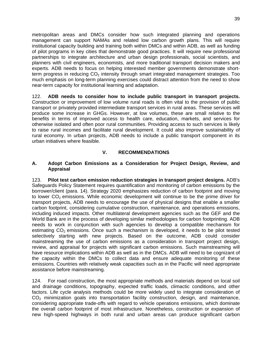metropolitan areas and DMCs consider how such integrated planning and operations management can support NAMAs and related low carbon growth plans. This will require institutional capacity building and training both within DMCs and within ADB, as well as funding of pilot programs in key cities that demonstrate good practices. It will require new professional partnerships to integrate architecture and urban design professionals, social scientists, and planners with civil engineers, economists, and more traditional transport decision makers and experts. ADB needs to focus on helping interested member governments demonstrate shortterm progress in reducing  $CO<sub>2</sub>$  intensity through smart integrated management strategies. Too much emphasis on long-term planning exercises could distract attention from the need to show near-term capacity for institutional learning and adaptation.

122. **ADB needs to consider how to include public transport in transport projects.**  Construction or improvement of low volume rural roads is often vital to the provision of public transport or privately provided intermediate transport services in rural areas. These services will produce some increase in GHGs. However, at low volumes, these are small relative to the benefits in terms of improved access to health care, education, markets, and services for otherwise isolated and often poor rural communities. Providing access to such services is likely to raise rural incomes and facilitate rural development. It could also improve sustainability of rural economy. In urban projects, ADB needs to include a public transport component in its urban initiatives where feasible.

### **V. RECOMMENDATIONS**

#### **A. Adopt Carbon Emissions as a Consideration for Project Design, Review, and Appraisal**

123. **Pilot test carbon emission reduction strategies in transport project designs.** ADB's Safeguards Policy Statement requires quantification and monitoring of carbon emissions by the borrower/client (para. 14). Strategy 2020 emphasizes reduction of carbon footprint and moving to lower  $CO<sub>2</sub>$  emissions. While economic development will continue to be the prime driver for transport projects, ADB needs to encourage the use of physical designs that enable a smaller carbon footprint, considering cumulative construction, maintenance, and operations emissions, including induced impacts. Other multilateral development agencies such as the GEF and the World Bank are in the process of developing similar methodologies for carbon footprinting. ADB needs to work in conjunction with such agencies to develop a compatible mechanism for estimating  $CO<sub>2</sub>$  emissions. Once such a mechanism is developed, it needs to be pilot tested selectively starting with new projects. Based on the outcome, ADB could consider mainstreaming the use of carbon emissions as a consideration in transport project design, review, and appraisal for projects with significant carbon emissions. Such mainstreaming will have resource implications within ADB as well as in the DMCs. ADB will need to be cognizant of the capacity within the DMCs to collect data and ensure adequate monitoring of these emissions. Countries with relatively weak capacities such as in the Pacific will need appropriate assistance before mainstreaming.

124. For road construction, the most appropriate methods and materials depend on local soil and drainage conditions, topography, expected traffic loads, climactic conditions, and other factors. Life cycle analysis methods could be more widely used to integrate consideration of  $CO<sub>2</sub>$  minimization goals into transportation facility construction, design, and maintenance, considering appropriate trade-offs with regard to vehicle operations emissions, which dominate the overall carbon footprint of most infrastructure. Nonetheless, construction or expansion of new high-speed highways in both rural and urban areas can produce significant carbon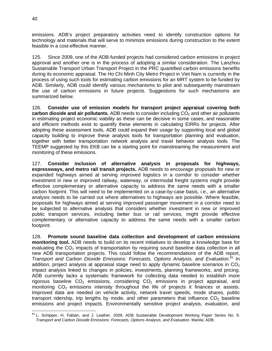emissions. ADB's project preparatory activities need to identify construction options for technology and materials that will serve to minimize emissions during construction to the extent feasible in a cost-effective manner.

125. Since 2009, one of the ADB-funded projects had considered carbon emissions in project approval and another one is in the process of adopting a similar consideration. The Lanzhou Sustainable Transport Urban Transport Project in the PRC quantified carbon emissions benefits during its economic appraisal. The Ho Chi Minh City Metro Project in Viet Nam is currently in the process of using such tools for estimating carbon emissions for an MRT system to be funded by ADB. Similarly, ADB could identify various mechanisms to pilot and subsequently mainstream the use of carbon emissions in future projects. Suggestions for such mechanisms are summarized below.

126. **Consider use of emission models for transport project appraisal covering both carbon dioxide and air pollutants.** ADB needs to consider including CO<sub>2</sub> and other air pollutants in estimating project economic viability as these can be decisive in some cases, and reasonable and efficient methods exist to quantify these elements in calculating EIRRs for projects. After adopting these assessment tools, ADB could expand their usage by supporting local and global capacity building to improve these analysis tools for transportation planning and evaluation, together with better transportation network analysis and travel behavior analysis tools. The TEEMP suggested by this EKB can be a starting point for mainstreaming the measurement and monitoring of these emissions.

127. **Consider inclusion of alternative analysis in proposals for highways, expressways, and metro rail transit projects.** ADB needs to encourage proposals for new or expanded highways aimed at serving improved logistics in a corridor to consider whether investment in new or improved railway, waterway, or intermodal freight systems might provide effective complementary or alternative capacity to address the same needs with a smaller carbon footprint. This will need to be implemented on a case-by-case basis, i.e., an alternative analysis needs to be carried out where alternatives to highways are possible. Where feasible, proposals for highways aimed at serving improved passenger movement in a corridor need to be subjected to alternative analysis that considers whether investment in new or improved public transport services, including better bus or rail services, might provide effective complementary or alternative capacity to address the same needs with a smaller carbon footprint.

128. **Promote sound baseline data collection and development of carbon emissions monitoring tool.** ADB needs to build on its recent initiatives to develop a knowledge base for evaluating the  $CO<sub>2</sub>$  impacts of transportation by requiring sound baseline data collection in all new ADB transportation projects. This could follow the recommendations of the ADB report, *Transport and Carbon Dioxide Emissions: Forecasts, Options Analysis, and Evaluation*. 81 In addition, project analysis at appraisal stage need to apply dynamic baseline scenarios in  $CO<sub>2</sub>$ impact analysis linked to changes in policies, investments, planning frameworks, and pricing. ADB currently lacks a systematic framework for collecting data needed to establish more rigorous baseline  $CO<sub>2</sub>$  emissions, considering  $CO<sub>2</sub>$  emissions in project appraisal, and monitoring  $CO<sub>2</sub>$  emissions intensity throughout the life of projects it finances or assists. Improved data are needed on vehicle activity, network travel speeds, mode shares, public transport ridership, trip lengths by mode, and other parameters that influence  $CO<sub>2</sub>$  baseline emissions and project impacts. Environmentally sensitive project analysis, evaluation, and

 $\overline{a}$ <sup>81</sup> L. Schipper, H. Fabian, and J. Leather. 2009. ADB Sustainable Development Working Paper Series No. 9. *Transport and Carbon Dioxide Emissions: Forecasts, Options Analysis, and Evaluation.* Manila: ADB.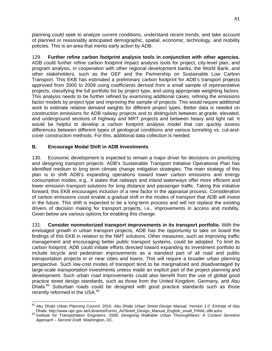planning could seek to analyze current conditions, understand recent trends, and take account of planned or reasonably anticipated demographic, spatial, economic, technology, and mobility policies. This is an area that merits early action by ADB.

129. **Further refine carbon footprint analysis tools in conjunction with other agencies.**  ADB could further refine carbon footprint impact analysis tools for project, city-level plan, and program analysis, in cooperation with other regional development banks, the World Bank, and other stakeholders, such as the GEF and the Partnership on Sustainable Low Carbon Transport. This EKB has estimated a preliminary carbon footprint for ADB's transport projects approved from 2000 to 2009 using coefficients derived from a small sample of representative projects, classifying the full portfolio list by project type, and using appropriate weighting factors. This analysis needs to be further refined by examining additional cases, refining the emissions factor models by project type and improving the sample of projects. This would require additional work to estimate relative demand weights for different project types. Better data is needed on construction emissions for ADB railway projects and to distinguish between at-grade, elevated, and underground sections of highway and MRT projects and between heavy and light rail. It would be helpful to develop a carbon footprint analysis model that can quickly assess differences between different types of geological conditions and various tunneling vs. cut-andcover construction methods. For this, additional data collection is needed.

## **B. Encourage Modal Shift in ADB Investments**

130. Economic development is expected to remain a major driver for decisions on prioritizing and designing transport projects. ADB's Sustainable Transport Initiative Operational Plan has identified medium to long term climate change mitigation strategies. The main strategy of this plan is to shift ADB's expanding operations toward lower carbon emissions and energy consumption modes, e.g., it states that railways and inland waterways offer more efficient and lower emission transport solutions for long distance and passenger traffic. Taking this initiative forward, this EKB encourages inclusion of a new factor in the appraisal process. Consideration of carbon emissions could enable a gradual shift in the modes of transport that ADB will invest in the future. This shift is expected to be a long-term process and will not replace the existing drivers of decision making for transport projects, i.e., improvements in access and mobility. Given below are various options for enabling this change.

131. **Consider nonmotorized transport improvements in its transport portfolio.** With the envisaged growth in urban transport projects, ADB has the opportunity to take on board the findings of this EKB in relation to the NMT solutions. Other measures, such as improving traffic management and encouraging better public transport systems, could be adopted. To limit its carbon footprint, ADB could initiate efforts directed toward expanding its investment portfolio to include bicycle and pedestrian improvements as a standard part of all road and public transportation projects in or near cities and towns. This will require a broader urban planning perspective. Such low-cost modes of transport tend to be marginalized and disadvantaged by large-scale transportation investments unless made an explicit part of the project planning and development. Such urban road improvements could also benefit from the use of global good practice street design standards, such as those from the United Kingdom, Germany, and Abu Dhabi.<sup>82</sup> Suburban roads could be designed with good practice standards such as those recently reformed in the USA.<sup>83</sup>

<sup>-</sup>82 Abu Dhabi Urban Planning Council. 2010. *Abu Dhabi Urban Street Design Manual, Version 1.0*. Emirate of Abu

Dhabi. http://www.upc.gov.ae/Libraries/Forms\_Ar/Street\_Design\_Manual\_English\_small\_FINAL.sflb.ashx 83 Institute for Transportation Engineers. 2008. *Designing Walkable Urban Thoroughfares: A Context Sensitive Approach – Second Draft.* Washington, DC.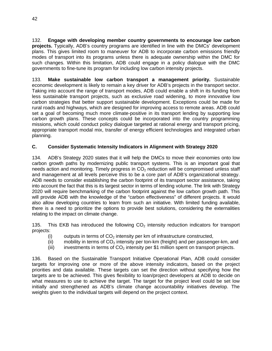132. **Engage with developing member country governments to encourage low carbon projects.** Typically, ADB's country programs are identified in line with the DMCs' development plans. This gives limited room to maneuver for ADB to incorporate carbon emissions friendly modes of transport into its programs unless there is adequate ownership within the DMC for such changes. Within this limitation, ADB could engage in a policy dialogue with the DMC governments to fine-tune its program for including low carbon intensity projects.

133. **Make sustainable low carbon transport a management priority.** Sustainable economic development is likely to remain a key driver for ADB's projects in the transport sector. Taking into account the range of transport modes, ADB could enable a shift in its funding from less sustainable transport projects, such as exclusive road widening, to more innovative low carbon strategies that better support sustainable development. Exceptions could be made for rural roads and highways, which are designed for improving access to remote areas. ADB could set a goal of becoming much more climate-positive in its transport lending by supporting low carbon growth plans. These concepts could be incorporated into the country programming missions, which could conduct policy dialogue targeted at rational energy and transport pricing, appropriate transport modal mix, transfer of energy efficient technologies and integrated urban planning.

## **C. Consider Systematic Intensity Indicators in Alignment with Strategy 2020**

134. ADB's Strategy 2020 states that it will help the DMCs to move their economies onto low carbon growth paths by modernizing public transport systems. This is an important goal that needs action and monitoring. Timely progress in  $CO<sub>2</sub>$  reduction will be compromised unless staff and management at all levels perceive this to be a core part of ADB's organizational strategy. ADB needs to consider establishing the carbon footprint of its transport sector assistance, taking into account the fact that this is its largest sector in terms of lending volume. The link with Strategy 2020 will require benchmarking of the carbon footprint against the low carbon growth path. This will provide ADB with the knowledge of the "carbon effectiveness" of different projects. It would also allow developing countries to learn from such an initiative. With limited funding available, there is a need to prioritize the options to provide best solutions, considering the externalities relating to the impact on climate change.

135. This EKB has introduced the following  $CO<sub>2</sub>$  intensity reduction indicators for transport projects:

- (i) outputs in terms of  $CO<sub>2</sub>$  intensity per km of infrastructure constructed,
- (ii) mobility in terms of  $CO<sub>2</sub>$  intensity per ton-km (freight) and per passenger-km, and
- (iii) investments in terms of  $CO<sub>2</sub>$  intensity per \$1 million spent on transport projects.

136. Based on the Sustainable Transport Initiative Operational Plan, ADB could consider targets for improving one or more of the above intensity indicators, based on the project priorities and data available. These targets can set the direction without specifying how the targets are to be achieved. This gives flexibility to loan/project developers at ADB to decide on what measures to use to achieve the target. The target for the project level could be set low initially and strengthened as ADB's climate change accountability initiatives develop. The weights given to the individual targets will depend on the project context.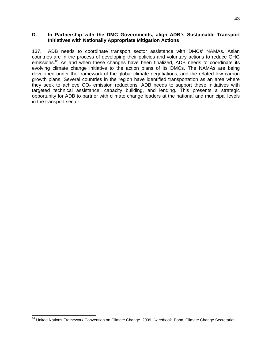#### **D. In Partnership with the DMC Governments, align ADB's Sustainable Transport Initiatives with Nationally Appropriate Mitigation Actions**

137. ADB needs to coordinate transport sector assistance with DMCs' NAMAs. Asian countries are in the process of developing their policies and voluntary actions to reduce GHG emissions.<sup>84</sup> As and when these changes have been finalized, ADB needs to coordinate its evolving climate change initiative to the action plans of its DMCs. The NAMAs are being developed under the framework of the global climate negotiations, and the related low carbon growth plans. Several countries in the region have identified transportation as an area where they seek to achieve  $CO<sub>2</sub>$  emission reductions. ADB needs to support these initiatives with targeted technical assistance, capacity building, and lending. This presents a strategic opportunity for ADB to partner with climate change leaders at the national and municipal levels in the transport sector.

<sup>84</sup> United Nations Framework Convention on Climate Change. 2009. *Handbook*. Bonn, Climate Change Secretariat.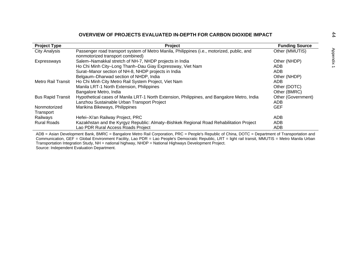|                           | OVERVIEW OF PROJECTS EVALUATED IN-DEPTH FOR CARBON DIOXIDE IMPACT                                                              |                       |
|---------------------------|--------------------------------------------------------------------------------------------------------------------------------|-----------------------|
| <b>Project Type</b>       | <b>Project</b>                                                                                                                 | <b>Funding Source</b> |
| <b>City Analysis</b>      | Passenger road transport system of Metro Manila, Philippines (i.e., motorized, public, and<br>nonmotorized transport combined) | Other (MMUTIS)        |
| Expressways               | Salem-Namakkal stretch of NH-7, NHDP projects in India                                                                         | Other (NHDP)          |
|                           | Ho Chi Minh City-Long Thanh-Dau Giay Expressway, Viet Nam                                                                      | ADB                   |
|                           | Surat-Manor section of NH-8, NHDP projects in India                                                                            | <b>ADB</b>            |
|                           | Belgaum-Dharwad section of NHDP, India                                                                                         | Other (NHDP)          |
| Metro Rail Transit        | Ho Chi Minh City Metro Rail System Project, Viet Nam                                                                           | ADB                   |
|                           | Manila LRT-1 North Extension, Philippines                                                                                      | Other (DOTC)          |
|                           | Bangalore Metro, India                                                                                                         | Other (BMRC)          |
| <b>Bus Rapid Transit</b>  | Hypothetical cases of Manila LRT-1 North Extension, Philippines, and Bangalore Metro, India                                    | Other (Government)    |
|                           | Lanzhou Sustainable Urban Transport Project                                                                                    | ADB                   |
| Nonmotorized<br>Transport | Marikina Bikeways, Philippines                                                                                                 | <b>GEF</b>            |
| Railways                  | Hefei-Xi'an Railway Project, PRC                                                                                               | <b>ADB</b>            |
| <b>Rural Roads</b>        | Kazakhstan and the Kyrgyz Republic: Almaty-Bishkek Regional Road Rehabilitation Project                                        | ADB                   |
|                           | Lao PDR Rural Access Roads Project                                                                                             | ADB                   |

ADB = Asian Development Bank, BMRC = Bangalore Metro Rail Corporation, PRC = People's Republic of China, DOTC = Department of Transportation and Communication, GEF = Global Environment Facility, Lao PDR = Lao People's Democratic Republic, LRT = light rail transit, MMUTIS = Metro Manila Urban Transportation Integration Study, NH = national highway, NHDP = National Highways Development Project. Source: Independent Evaluation Department.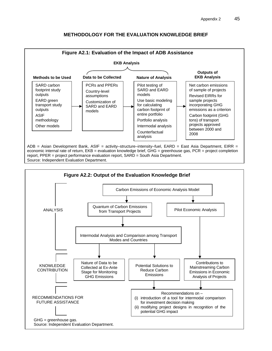

### **METHODOLOGY FOR THE EVALUATION KNOWLEDGE BRIEF**

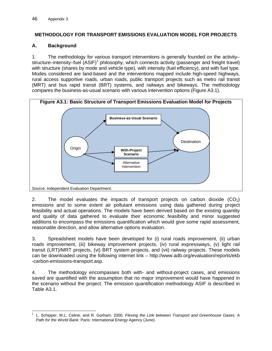## **METHODOLOGY FOR TRANSPORT EMISSIONS EVALUATION MODEL FOR PROJECTS**

### **A. Background**

1. The methodology for various transport interventions is generally founded on the activity– structure–intensity–fuel (ASIF)<sup>1</sup> philosophy, which connects activity (passenger and freight travel) with structure (shares by mode and vehicle type), with intensity (fuel efficiency), and with fuel type. Modes considered are land-based and the interventions mapped include high-speed highways, rural access supportive roads, urban roads, public transport projects such as metro rail transit (MRT) and bus rapid transit (BRT) systems, and railways and bikeways. The methodology compares the business-as-usual scenario with various intervention options (Figure A3.1).



2. The model evaluates the impacts of transport projects on carbon dioxide  $(CO<sub>2</sub>)$ emissions and to some extent air pollutant emissions using data gathered during project feasibility and actual operations. The models have been derived based on the existing quantity and quality of data gathered to evaluate their economic feasibility and minor suggested additions to encompass the emissions quantification which would give some rapid assessment, reasonable direction, and allow alternative options evaluation.

3. Spreadsheet models have been developed for (i) rural roads improvement, (ii) urban roads improvement, (iii) bikeway improvement projects, (iv) rural expressways, (v) light rail transit (LRT)/MRT projects, (vi) BRT system projects, and (vii) railway projects. These models can be downloaded using the following internet link – http://www.adb.org/evaluation/reports/ekb -carbon-emissions-transport.asp.

4. The methodology encompasses both with- and without-project cases, and emissions saved are quantified with the assumption that no major improvement would have happened in the scenario without the project. The emission quantification methodology ASIF is described in Table A3.1.

 $\overline{a}$ 1 L. Schipper, M.L. Celine, and R. Gorham. 2000. *Flexing the Link between Transport and Greenhouse Gases: A Path for the World Bank*. Paris: International Energy Agency (June).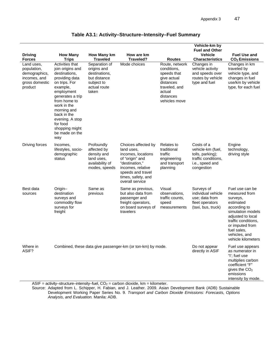intensity by mode.

|                                                                                         |                                                                                                                                                                                                                                                                              |                                                                                                      |                                                                                                                                                                                 |                                                                                                                                   | Vehicle-km by                                                                                               |                                                                                                                                                                                                                     |
|-----------------------------------------------------------------------------------------|------------------------------------------------------------------------------------------------------------------------------------------------------------------------------------------------------------------------------------------------------------------------------|------------------------------------------------------------------------------------------------------|---------------------------------------------------------------------------------------------------------------------------------------------------------------------------------|-----------------------------------------------------------------------------------------------------------------------------------|-------------------------------------------------------------------------------------------------------------|---------------------------------------------------------------------------------------------------------------------------------------------------------------------------------------------------------------------|
| <b>Driving</b><br><b>Forces</b>                                                         | <b>How Many</b><br><b>Trips</b>                                                                                                                                                                                                                                              | How Many km<br><b>Traveled</b>                                                                       | How are km<br>Traveled?                                                                                                                                                         | <b>Routes</b>                                                                                                                     | <b>Fuel and Other</b><br><b>Vehicle</b><br><b>Characteristics</b>                                           | <b>Fuel Use and</b><br>$CO2$ Emissions                                                                                                                                                                              |
| Land uses.<br>population,<br>demographics,<br>incomes, and<br>gross domestic<br>product | Activities that<br>join origins and<br>destinations,<br>providing data<br>on trips. For<br>example,<br>employment<br>generates a trip<br>from home to<br>work in the<br>morning and<br>back in the<br>evening. A stop<br>for food<br>shopping might<br>be made on the<br>way | Separation of<br>origins and<br>destinations,<br>but distance<br>subject to<br>actual route<br>taken | Mode choices                                                                                                                                                                    | Route, network<br>conditions,<br>speeds that<br>give actual<br>distances<br>traveled, and<br>actual<br>distances<br>vehicles move | Changes in<br>vehicle activity<br>and speeds over<br>routes by vehicle<br>type and fuel                     | Changes in km<br>traveled by<br>vehicle type, and<br>changes in fuel<br>use/km by vehicle<br>type, for each fuel                                                                                                    |
| Driving forces                                                                          | Incomes,<br>lifestyles, socio-<br>demographic<br>status                                                                                                                                                                                                                      | Profoundly<br>affected by<br>density and<br>land uses,<br>availability of<br>modes, speeds           | Choices affected by<br>land uses.<br>incomes, locations<br>of "origin" and<br>"destination,"<br>incomes, relative<br>speeds and travel<br>times, safety, and<br>overall service | <b>Relates to</b><br>traditional<br>traffic<br>engineering<br>and transport<br>planning                                           | Costs of a<br>vehicle-km (fuel,<br>tolls, parking);<br>traffic conditions,<br>i.e., speed and<br>congestion | Engine<br>technology,<br>driving style                                                                                                                                                                              |
| Best data<br>sources                                                                    | Origin-<br>destination<br>surveys and<br>commodity flow<br>surveys for<br>freight                                                                                                                                                                                            | Same as<br>previous                                                                                  | Same as previous,<br>but also data from<br>passenger and<br>freight operators,<br>on board surveys of<br>travelers                                                              | Visual<br>observations,<br>traffic counts,<br>speed<br>measurements                                                               | Surveys of<br>individual vehicle<br>use; data from<br>fleet operators<br>(taxi, bus, truck)                 | Fuel use can be<br>measured from<br>surveys,<br>estimated<br>according to<br>simulation models<br>adjusted to local<br>traffic conditions,<br>or imputed from<br>fuel sales,<br>vehicles, and<br>vehicle kilometers |
| Where in<br>ASIF?                                                                       |                                                                                                                                                                                                                                                                              |                                                                                                      | Combined, these data give passenger-km (or ton-km) by mode.                                                                                                                     |                                                                                                                                   | Do not appear<br>directly in ASIF                                                                           | Fuel use appears<br>as numerator in<br>"I"; fuel use<br>multiplies carbon<br>coefficient "F"<br>gives the $CO2$<br>emissions                                                                                        |

## **Table A3.1: Activity–Structure–Intensity–Fuel Summary**

 $ASIF = activity-structure-intensity-fuel, CO<sub>2</sub> = carbon dioxide, km = kilometer.$ 

Source: Adapted from L. Schipper, H. Fabian, and J. Leather. 2009. Asian Development Bank (ADB) Sustainable Development Working Paper Series No. 9. *Transport and Carbon Dioxide Emissions: Forecasts, Options Analysis, and Evaluation.* Manila: ADB.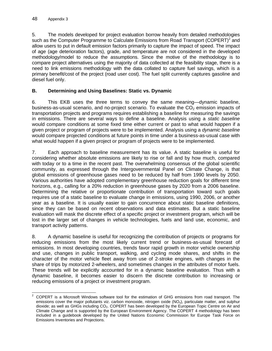5. The models developed for project evaluation borrow heavily from detailed methodologies such as the Computer Programme to Calculate Emissions from Road Transport (COPERT)<sup>2</sup> and allow users to put in default emission factors primarily to capture the impact of speed. The impact of age (age deterioration factors), grade, and temperature are not considered in the developed methodology/model to reduce the assumptions. Since the motive of the methodology is to compare project alternatives using the majority of data collected at the feasibility stage, there is a need to link emissions methodology with the data collated to capture fuel savings, which is a primary benefit/cost of the project (road user cost). The fuel split currently captures gasoline and diesel fuel only.

## **B. Determining and Using Baselines: Static vs. Dynamic**

6. This EKB uses the three terms to convey the same meaning—dynamic baseline, business-as-usual scenario, and no-project scenario. To evaluate the  $CO<sub>2</sub>$  emission impacts of transportation projects and programs requires establishing a baseline for measuring the savings in emissions. There are several ways to define a baseline. Analysis using a *static baseline*  would compare conditions at some fixed time either current or past to what would happen if a given project or program of projects were to be implemented. Analysis using a *dynamic baseline* would compare projected conditions at future points in time under a business-as-usual case with what would happen if a given project or program of projects were to be implemented.

7. Each approach to baseline measurement has its value. A static baseline is useful for considering whether absolute emissions are likely to rise or fall and by how much, compared with today or to a time in the recent past. The overwhelming consensus of the global scientific community, as expressed through the Intergovernmental Panel on Climate Change, is that global emissions of greenhouse gases need to be reduced by half from 1990 levels by 2050. Various authorities have adopted complementary greenhouse reduction goals for different time horizons, e.g., calling for a 20% reduction in greenhouse gases by 2020 from a 2006 baseline. Determining the relative or proportionate contribution of transportation toward such goals requires use of a static baseline to evaluate change in emissions, using 1990, 2006, or another year as a baseline. It is usually easier to gain concurrence about static baseline definitions, since they can be based on recent observations and data estimates. But a static baseline evaluation will mask the discrete effect of a specific project or investment program, which will be lost in the larger set of changes in vehicle technologies, fuels and land use, economic, and transport activity patterns.

8. A dynamic baseline is useful for recognizing the contribution of projects or programs for reducing emissions from the most likely current trend or business-as-usual forecast of emissions. In most developing countries, trends favor rapid growth in motor vehicle ownership and use, changes in public transport, walking, and cycling mode shares, and shifts in the character of the motor vehicle fleet away from use of 2-stroke engines, with changes in the share of trips by motorized 2-wheelers, and sometimes changes in the attributes of motor fuels. These trends will be explicitly accounted for in a dynamic baseline evaluation. Thus with a dynamic baseline, it becomes easier to discern the discrete contribution to increasing or reducing emissions of a project or investment program.

**ENEVALLE 12**<br><sup>2</sup> COPERT is a Microsoft Windows software tool for the estimation of GHG emissions from road transport. The emissions cover the major pollutants viz. carbon monoxide, nitrogen oxide  $(NO_x)$ , particulate matter, and sulphur dioxide; as well as GHGs including CO<sub>2</sub>. COPERT has been developed by the European Topic Centre on Air and Climate Change and is supported by the European Environment Agency. The COPERT 4 methodology has been included in a guidebook developed by the United Nations Economic Commission for Europe Task Force on Emissions Inventories and Projections.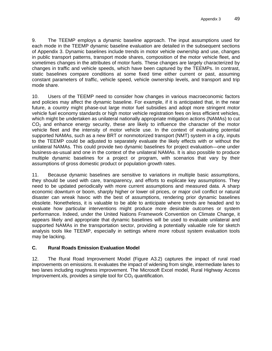9. The TEEMP employs a dynamic baseline approach. The input assumptions used for each mode in the TEEMP dynamic baseline evaluation are detailed in the subsequent sections of Appendix 3. Dynamic baselines include trends in motor vehicle ownership and use, changes in public transport patterns, transport mode shares, composition of the motor vehicle fleet, and sometimes changes in the attributes of motor fuels. These changes are largely characterized by changes in traffic and vehicle speeds, which have been captured by the TEEMPs. In contrast, static baselines compare conditions at some fixed time either current or past, assuming constant parameters of traffic, vehicle speed, vehicle ownership levels, and transport and trip mode share.

10. Users of the TEEMP need to consider how changes in various macroeconomic factors and policies may affect the dynamic baseline. For example, if it is anticipated that, in the near future, a country might phase-out large motor fuel subsidies and adopt more stringent motor vehicle fuel economy standards or high motor vehicle registration fees on less efficient vehicles, which might be undertaken as unilateral nationally appropriate mitigation actions (NAMAs) to cut  $CO<sub>2</sub>$  and enhance energy security, these are likely to influence the character of the motor vehicle fleet and the intensity of motor vehicle use. In the context of evaluating potential supported NAMAs, such as a new BRT or nonmotorized transport (NMT) system in a city, inputs to the TEEMP could be adjusted to separately evaluate the likely effects with or without the unilateral NAMAs. This could provide two dynamic baselines for project evaluation—one under business-as-usual and one in the context of the unilateral NAMAs. It is also possible to produce multiple dynamic baselines for a project or program, with scenarios that vary by their assumptions of gross domestic product or population growth rates.

11. Because dynamic baselines are sensitive to variations in multiple basic assumptions, they should be used with care, transparency, and efforts to explicate key assumptions. They need to be updated periodically with more current assumptions and measured data. A sharp economic downturn or boom, sharply higher or lower oil prices, or major civil conflict or natural disaster can wreak havoc with the best of assumptions, rendering prior dynamic baselines obsolete. Nonetheless, it is valuable to be able to anticipate where trends are headed and to evaluate how particular interventions might produce more desirable outcomes or system performance. Indeed, under the United Nations Framework Convention on Climate Change, it appears likely and appropriate that dynamic baselines will be used to evaluate unilateral and supported NAMAs in the transportation sector, providing a potentially valuable role for sketch analysis tools like TEEMP, especially in settings where more robust system evaluation tools may be lacking.

## **C. Rural Roads Emission Evaluation Model**

12. The Rural Road Improvement Model (Figure A3.2) captures the impact of rural road improvements on emissions. It evaluates the impact of widening from single, intermediate lanes to two lanes including roughness improvement. The Microsoft Excel model, Rural Highway Access Improvement.xls, provides a simple tool for  $CO<sub>2</sub>$  quantification.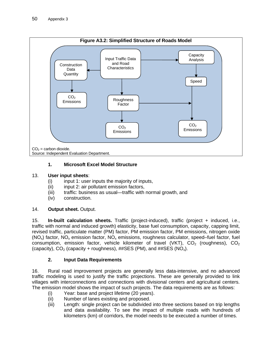

## **1. Microsoft Excel Model Structure**

## 13. **User input sheets**:

- (i) input 1: user inputs the majority of inputs,
- (ii) input 2: air pollutant emission factors,
- (iii) traffic: business as usual—traffic with normal growth, and
- (iv) construction.

## 14. **Output sheet.** Output.

15. **In-built calculation sheets.** Traffic (project-induced), traffic (project + induced, i.e., traffic with normal and induced growth) elasticity, base fuel consumption, capacity, capping limit, revised traffic, particulate matter (PM) factor, PM emission factor, PM emissions, nitrogen oxide (NO<sub>x</sub>) factor, NO<sub>x</sub> emission factor, NO<sub>x</sub> emissions, roughness calculator, speed–fuel factor, fuel consumption, emission factor, vehicle kilometer of travel (VKT),  $CO<sub>2</sub>$  (roughness),  $CO<sub>2</sub>$ (capacity),  $CO_2$  (capacity + roughness), ##SES (PM), and ##SES (NO<sub>x</sub>).

## **2. Input Data Requirements**

16. Rural road improvement projects are generally less data-intensive, and no advanced traffic modeling is used to justify the traffic projections. These are generally provided to link villages with interconnections and connections with divisional centers and agricultural centers. The emission model shows the impact of such projects. The data requirements are as follows:

- (i) Year: base and project lifetime (20 years).
- (ii) Number of lanes existing and proposed.
- (iii) Length: single project can be subdivided into three sections based on trip lengths and data availability. To see the impact of multiple roads with hundreds of kilometers (km) of corridors, the model needs to be executed a number of times.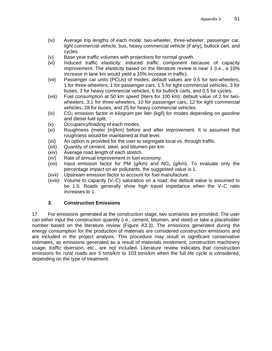- (iv) Average trip lengths of each mode: two-wheeler, three-wheeler, passenger car, light commercial vehicle, bus, heavy commercial vehicle (if any), bullock cart, and cycles.
- (v) Base year traffic volumes with projections for normal growth.
- (vi) Induced traffic elasticity: induced traffic component because of capacity improvement. The elasticity based on the literature review is near 1 (i.e., a 10% increase in lane km would yield a 10% increase in traffic).
- (vii) Passenger car units (PCUs) of modes: default values are 0.5 for two-wheelers, 1 for three-wheelers, 1 for passenger cars, 1.5 for light commercial vehicles, 3 for buses, 3 for heavy commercial vehicles, 6 for bullock carts, and 0.5 for cycles.
- (viii) Fuel consumption at 50 km speed (liters for 100 km): default value of 2 for twowheelers, 3.1 for three-wheelers, 10 for passenger cars, 12 for light commercial vehicles, 28 for buses, and 25 for heavy commercial vehicles.
- $(iv)$  CO<sub>2</sub> emission factor in kilogram per liter (kg/l) for modes depending on gasoline and diesel fuel split.
- (x) Occupancy/loading of each modes.
- (xi) Roughness (meter [m]/km) before and after improvement. It is assumed that roughness would be maintained at that level.
- (xii) An option is provided for the user to segregate local vs. through traffic.
- (xiii) Quantity of cement, steel, and bitumen per km.
- (xiv) Average road length of each stretch.
- (xv) Rate of annual improvement in fuel economy.
- (xvi) Input emission factor for PM (g/km) and  $NO_x$  (g/km). To evaluate only the percentage impact on air pollutants, the suggested value is 1.
- (xvii) Upstream emission factor to account for fuel manufacture.
- (xviii) Volume to capacity (V–C) saturation on a road: the default value is assumed to be 1.5. Roads generally show high travel impedance when the V–C ratio increases to 1.

### **3. Construction Emissions**

17. For emissions generated at the construction stage, two scenarios are provided. The user can either input the construction quantity (i.e., cement, bitumen, and steel) or take a placeholder number based on the literature review (Figure A3.3). The emissions generated during the energy consumption for the production of materials are considered construction emissions and are included in the project analysis. This procedure may result in significant conservative estimates, as emissions generated as a result of materials movement, construction machinery usage, traffic diversion, etc., are not included. Literature review indicates that construction emissions for rural roads are 5 tons/km to 103 tons/km when the full life cycle is considered, depending on the type of treatment.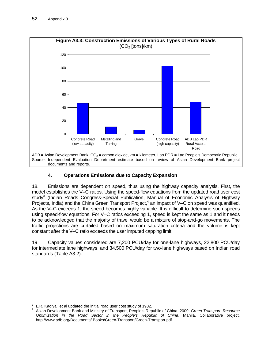

# **4. Operations Emissions due to Capacity Expansion**

18. Emissions are dependent on speed, thus using the highway capacity analysis. First, the model establishes the V–C ratios. Using the speed-flow equations from the updated road user cost study<sup>3</sup> (Indian Roads Congress-Special Publication, Manual of Economic Analysis of Highway Projects, India) and the China Green Transport Project,<sup>4</sup> an impact of V–C on speed was quantified. As the V–C exceeds 1, the speed becomes highly variable. It is difficult to determine such speeds using speed-flow equations. For V–C ratios exceeding 1, speed is kept the same as 1 and it needs to be acknowledged that the majority of travel would be a mixture of stop-and-go movements. The traffic projections are curtailed based on maximum saturation criteria and the volume is kept constant after the V–C ratio exceeds the user imputed capping limit.

19. Capacity values considered are 7,200 PCU/day for one-lane highways, 22,800 PCU/day for intermediate lane highways, and 34,500 PCU/day for two-lane highways based on Indian road standards (Table A3.2).

<sup>-&</sup>lt;br>3  $\frac{3}{4}$  L.R. Kadiyali et al updated the initial road user cost study of 1982.

Asian Development Bank and Ministry of Transport, People's Republic of China. 2009. *Green Transport: Resource Optimization in the Road Sector in the People's Republic of China*. Manila. Collaborative project. http://www.adb.org/Documents/ Books/Green-Transport/Green-Transport.pdf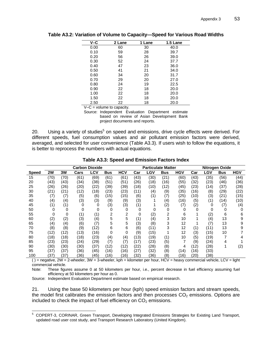| V-C  | 2 Lane | 1 Lane | 1.5 Lane |
|------|--------|--------|----------|
| 0.00 | 60     | 30     | 40.0     |
| 0.10 | 59     | 28     | 39.7     |
| 0.20 | 56     | 26     | 39.0     |
| 0.30 | 52     | 24     | 37.7     |
| 0.40 | 47     | 23     | 36.0     |
| 0.50 | 41     | 21     | 34.0     |
| 0.60 | 34     | 20     | 31.7     |
| 0.70 | 29     | 20     | 27.0     |
| 0.80 | 24     | 19     | 22.5     |
| 0.90 | 22     | 18     | 20.0     |
| 1.00 | 22     | 18     | 20.0     |
| 1.50 | 22     | 18     | 20.0     |
| 2.50 | 22     | 18     | 20.0     |

**Table A3.2: Variation of Volume to Capacity—Speed for Various Road Widths** 

 $V-C =$  volume to capacity.

Source: Independent Evaluation Department estimate based on review of Asian Development Bank project documents and reports.

20. Using a variety of studies<sup>5</sup> on speed and emissions, drive cycle effects were derived. For different speeds, fuel consumption values and air pollutant emission factors were derived, averaged, and selected for user convenience (Table A3.3). If users wish to follow the equations, it is better to reprocess the numbers with actual equations.

|              | <b>Carbon Dioxide</b> |      |      |      | <b>Particulate Matter</b> |      |      | <b>Nitrogen Oxide</b> |            |      |      |      |            |      |
|--------------|-----------------------|------|------|------|---------------------------|------|------|-----------------------|------------|------|------|------|------------|------|
| <b>Speed</b> | 2W                    | 3W   | Cars | LCV  | <b>Bus</b>                | HCV  | Car  | LGV                   | <b>Bus</b> | HGV  | Car  | LGV  | <b>Bus</b> | HGV  |
| 15           | (70)                  | (70) | (61  | (69) | (61)                      | (61) | (43) | (30)                  | (21)       | (60) | (43) | 35)  | (56)       | (44) |
| 20           | (43)                  | (43) | (34) | (38) | (51)                      | (51) | (26) | (18)                  | (16)       | (55) | (32) | 23)  | (46)       | (36) |
| 25           | (26)                  | (26) | (20) | (22) | (39)                      | (39) | (18) | (10)                  | (12)       | (45) | (23) | (14) | (37)       | (28) |
| 30           | (21                   | (21) | (12) | (18) | (23)                      | (23) | (11) | (4)                   | (9)        | (35) | (16) | (8)  | (29)       | (22) |
| 35           | (7)                   | (7)  | (5)  | (6)  | (15)                      | (15) | (6)  | (1)                   | (7)        | (25) | (10) | (3)  | (21)       | (15) |
| 40           | $\scriptstyle{(4)}$   | (4)  | (3)  | (3)  | (9)                       | (9)  | (3)  |                       | (4)        | (16) | (5)  | (1)  | (14)       | (10) |
| 45           | (1)                   | (1)  | 0    | 0    | (3)                       | (3)  | (1)  |                       | (2)        | (7)  | (2)  | 0    | (7)        | (4)  |
| 50           | 0                     | 0    | 0    | 0    | 0                         | 0    | 0    | 0                     | $\Omega$   | 0    | 0    | 0    | 0          |      |
| 55           |                       | 0    | (1)  | (1)  | 2                         | 2    | 0    | (2)                   | 2          | 6    |      | (2)  | 6          | 6    |
| 60           | (2)                   | (2)  | (3)  | (4)  | 5                         | 5    | (1)  | (4)                   | 3          | 10   |      | (4)  | 13         | 9    |
| 65           | (4)                   | (4)  | (6)  | (7)  | 5                         | 5    | (3)  | (8)                   | 3          | 12   |      | (7)  | 13         | 9    |
| 70           | (8)                   | (8)  | (9)  | (12) | 6                         | 6    | (6)  | (11)                  | 3          | 12   | (1)  | (11) | 13         | 9    |
| 75           | (12)                  | (12) | (13) | (16) | 0                         | 0    | (9)  | (15)                  |            | 12   | (3)  | (15) | 10         |      |
| 80           | (18)                  | (18) | (18) | (23) | (4)                       | (4)  | (13) | (19)                  | (1)        | 10   | (5)  | (19) |            |      |
| 85           | (23)                  | (23) | (24) | (29) | (7)                       | (7)  | (17) | (23)                  | (5)        | 7    | (9)  | (24) | 4          |      |
| 90           | (30)                  | (30) | (30) | (37) | (12)                      | (12) | (22) | (28)                  | (8)        | 4    | (12) | (28) |            | (2)  |
| 95           | (37                   | (37) | (36) | (45) | (16)                      | (16) | (27) | (32)                  | (8)        | (14) | (16) | (33) |            |      |
| 100          | ΄37                   | (37  | 36)  | (45) | (16)                      | 16   | (32) | 36)                   | (8)        | 16)  | 20)  | 38)  |            |      |

**Table A3.3: Speed and Emission Factors Index** 

 $()$  = negative, 2W = 2-wheeler, 3W = 3-wheeler, kph = kilometer per hour, HCV = heavy commercial vehicle, LCV = light commercial vehicle.

Note: These figures assume 0 at 50 kilometers per hour, i.e., percent decrease in fuel efficiency assuming fuel efficiency at 50 kilometers per hour as 0.

Source: Independent Evaluation Department estimate based on empirical research.

21. Using the base 50 kilometers per hour (kph) speed emission factors and stream speeds, the model first calibrates the emission factors and then processes  $CO<sub>2</sub>$  emissions. Options are included to check the impact of fuel efficiency on  $CO<sub>2</sub>$  emissions.

 5 COPERT-3, CORINAR, Green Transport, Developing Integrated Emissions Strategies for Existing Land Transport, updated road user cost study, and Transport Research Laboratory (United Kingdom).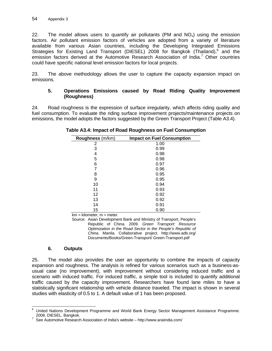22. The model allows users to quantify air pollutants (PM and  $NO<sub>x</sub>$ ) using the emission factors. Air pollutant emission factors of vehicles are adopted from a variety of literature available from various Asian countries, including the Developing Integrated Emissions Strategies for Existing Land Transport (DIESEL) 2008 for Bangkok (Thailand),<sup>6</sup> and the emission factors derived at the Automotive Research Association of India.<sup>7</sup> Other countries could have specific national level emission factors for local projects.

23. The above methodology allows the user to capture the capacity expansion impact on emissions.

## **5. Operations Emissions caused by Road Riding Quality Improvement (Roughness)**

24. Road roughness is the expression of surface irregularity, which affects riding quality and fuel consumption. To evaluate the riding surface improvement projects/maintenance projects on emissions, the model adopts the factors suggested by the Green Transport Project (Table A3.4).

| Roughness (m/km) | <b>Impact on Fuel Consumption</b> |
|------------------|-----------------------------------|
| 2                | 1.00                              |
| 3                | 0.99                              |
| 4                | 0.98                              |
| 5                | 0.98                              |
| 6                | 0.97                              |
| 7                | 0.96                              |
| 8                | 0.95                              |
| 9                | 0.95                              |
| 10               | 0.94                              |
| 11               | 0.93                              |
| 12               | 0.92                              |
| 13               | 0.92                              |
| 14               | 0.91                              |
| 15               | 0.90                              |

## **Table A3.4: Impact of Road Roughness on Fuel Consumption**

 $km = kilometer, m = meter.$ 

Source: Asian Development Bank and Ministry of Transport, People's Republic of China. 2009. *Green Transport: Resource Optimization in the Road Sector in the People's Republic of China*. Manila. Collaborative project. http://www.adb.org/ Documents/Books/Green-Transport/ Green-Transport.pdf

## **6. Outputs**

25. The model also provides the user an opportunity to combine the impacts of capacity expansion and roughness. The analysis is refined for various scenarios such as a business-asusual case (no improvement), with improvement without considering induced traffic and a scenario with induced traffic. For induced traffic, a simple tool is included to quantify additional traffic caused by the capacity improvement. Researchers have found lane miles to have a statistically significant relationship with vehicle distance traveled. The impact is shown in several studies with elasticity of 0.5 to 1. A default value of 1 has been proposed.

 6 United Nations Development Programme and World Bank Energy Sector Management Assistance Programme.<br>2008. DIESEL. Bangkok.

\_ 2008. DIESEL. Bangkok.<br><sup>7</sup> See Automotive Research Association of India's website – http://www.araiindia.com/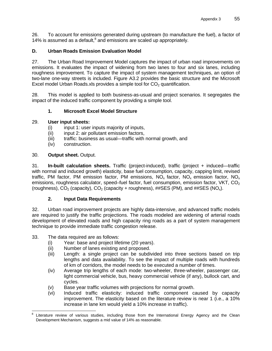26. To account for emissions generated during upstream (to manufacture the fuel), a factor of 14% is assumed as a default, $^8$  and emissions are scaled up appropriately.

## **D. Urban Roads Emission Evaluation Model**

27. The Urban Road Improvement Model captures the impact of urban road improvements on emissions. It evaluates the impact of widening from two lanes to four and six lanes, including roughness improvement. To capture the impact of system management techniques, an option of two-lane one-way streets is included. Figure A3.2 provides the basic structure and the Microsoft Excel model Urban Roads.xls provides a simple tool for  $CO<sub>2</sub>$  quantification.

28. This model is applied to both business-as-usual and project scenarios. It segregates the impact of the induced traffic component by providing a simple tool.

## **1. Microsoft Excel Model Structure**

### 29. **User input sheets:**

- (i) input 1: user inputs majority of inputs,
- (ii) input 2: air pollutant emission factors,
- (iii) traffic: business as usual—traffic with normal growth, and
- (iv) construction.

### 30. **Output sheet.** Output.

31. **In-built calculation sheets.** Traffic (project-induced), traffic (project + induced—traffic with normal and induced growth) elasticity, base fuel consumption, capacity, capping limit, revised traffic, PM factor, PM emission factor, PM emissions,  $NO<sub>x</sub>$  factor,  $NO<sub>x</sub>$  emission factor,  $NO<sub>x</sub>$ emissions, roughness calculator, speed–fuel factor, fuel consumption, emission factor, VKT, CO<sub>2</sub> (roughness),  $CO<sub>2</sub>$  (capacity),  $CO<sub>2</sub>$  (capacity + roughness), ##SES (PM), and ##SES (NO<sub>x</sub>).

### **2. Input Data Requirements**

32. Urban road improvement projects are highly data-intensive, and advanced traffic models are required to justify the traffic projections. The roads modeled are widening of arterial roads development of elevated roads and high capacity ring roads as a part of system management technique to provide immediate traffic congestion release.

- 33. The data required are as follows:
	- (i) Year: base and project lifetime (20 years).
	- (ii) Number of lanes existing and proposed.
	- (iii) Length: a single project can be subdivided into three sections based on trip lengths and data availability. To see the impact of multiple roads with hundreds of km of corridors, the model needs to be executed a number of times.
	- (iv) Average trip lengths of each mode: two-wheeler, three-wheeler, passenger car, light commercial vehicle, bus, heavy commercial vehicle (if any), bullock cart, and cycles.
	- (v) Base year traffic volumes with projections for normal growth.
	- (vi) Induced traffic elasticity: induced traffic component caused by capacity improvement. The elasticity based on the literature review is near 1 (i.e., a 10% increase in lane km would yield a 10% increase in traffic).

<sup>-&</sup>lt;br>8 Literature review of various studies, including those from the International Energy Agency and the Clean Development Mechanism, suggests a mid value of 14% as reasonable.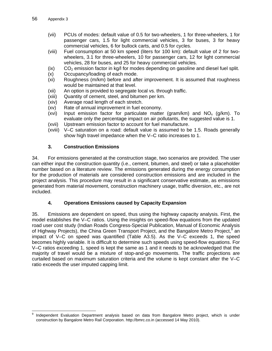- (vii) PCUs of modes: default value of 0.5 for two-wheelers, 1 for three-wheelers, 1 for passenger cars, 1.5 for light commercial vehicles, 3 for buses, 3 for heavy commercial vehicles, 6 for bullock carts, and 0.5 for cycles.
- (viii) Fuel consumption at 50 km speed (liters for 100 km): default value of 2 for twowheelers, 3.1 for three-wheelers, 10 for passenger cars, 12 for light commercial vehicles, 28 for buses, and 25 for heavy commercial vehicles.
- $(ix)$   $CO<sub>2</sub>$  emission factor in kg/l for modes depending on gasoline and diesel fuel split.
- (x) Occupancy/loading of each mode.
- (xi) Roughness (m/km) before and after improvement. It is assumed that roughness would be maintained at that level.
- (xii) An option is provided to segregate local vs. through traffic.
- (xiii) Quantity of cement, steel, and bitumen per km.
- (xiv) Average road length of each stretch.
- (xv) Rate of annual improvement in fuel economy.
- (xvi) Input emission factor for particulate matter (gram/km) and  $NO<sub>x</sub>$  (g/km). To evaluate only the percentage impact on air pollutants, the suggested value is 1.
- (xvii) Upstream emission factor to account for fuel manufacture.
- (xviii) V–C saturation on a road: default value is assumed to be 1.5. Roads generally show high travel impedance when the V–C ratio increases to 1.

### **3. Construction Emissions**

34. For emissions generated at the construction stage, two scenarios are provided. The user can either input the construction quantity (i.e., cement, bitumen, and steel) or take a placeholder number based on a literature review. The emissions generated during the energy consumption for the production of materials are considered construction emissions and are included in the project analysis. This procedure may result in a significant conservative estimate, as emissions generated from material movement, construction machinery usage, traffic diversion, etc., are not included.

### **4. Operations Emissions caused by Capacity Expansion**

35. Emissions are dependent on speed, thus using the highway capacity analysis. First, the model establishes the V–C ratios. Using the insights on speed-flow equations from the updated road user cost study (Indian Roads Congress-Special Publication, Manual of Economic Analysis of Highway Projects), the China Green Transport Project, and the Bangalore Metro Project,<sup>9</sup> an impact of V–C on speed was quantified (Table A3.5). As the V–C exceeds 1, the speed becomes highly variable. It is difficult to determine such speeds using speed-flow equations. For V–C ratios exceeding 1, speed is kept the same as 1 and it needs to be acknowledged that the majority of travel would be a mixture of stop-and-go movements. The traffic projections are curtailed based on maximum saturation criteria and the volume is kept constant after the V–C ratio exceeds the user imputed capping limit.

<sup>-&</sup>lt;br>9 Independent Evaluation Department analysis based on data from Bangalore Metro project, which is under construction by Bangalore Metro Rail Corporation. http://bmrc.co.in (accessed 14 May 2010).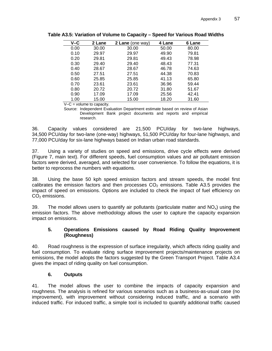| $V - C$ | 2 Lane | 2 Lane (one way) | 4 Lane | 6 Lane |
|---------|--------|------------------|--------|--------|
| 0.00    | 30.00  | 30.00            | 50.00  | 80.00  |
| 0.10    | 29.97  | 29.97            | 49.90  | 79.81  |
| 0.20    | 29.81  | 29.81            | 49.43  | 78.98  |
| 0.30    | 29.40  | 29.40            | 48.43  | 77.31  |
| 0.40    | 28.67  | 28.67            | 46.78  | 74.63  |
| 0.50    | 27.51  | 27.51            | 44.38  | 70.83  |
| 0.60    | 25.85  | 25.85            | 41.13  | 65.80  |
| 0.70    | 23.61  | 23.61            | 36.96  | 59.44  |
| 0.80    | 20.72  | 20.72            | 31.80  | 51.67  |
| 0.90    | 17.09  | 17.09            | 25.56  | 42.41  |
| 1.00    | 15.00  | 15.00            | 18.20  | 31.60  |

**Table A3.5: Variation of Volume to Capacity – Speed for Various Road Widths** 

 $V-C =$  volume to capacity.

Source: Independent Evaluation Department estimate based on review of Asian Development Bank project documents and reports and empirical research.

36. Capacity values considered are 21,500 PCU/day for two-lane highways, 34,500 PCU/day for two-lane (one-way) highways, 51,500 PCU/day for four-lane highways, and 77,000 PCU/day for six-lane highways based on Indian urban road standards.

37. Using a variety of studies on speed and emissions, drive cycle effects were derived (Figure 7, main text). For different speeds, fuel consumption values and air pollutant emission factors were derived, averaged, and selected for user convenience. To follow the equations, it is better to reprocess the numbers with equations.

38. Using the base 50 kph speed emission factors and stream speeds, the model first calibrates the emission factors and then processes  $CO<sub>2</sub>$  emissions. Table A3.5 provides the impact of speed on emissions. Options are included to check the impact of fuel efficiency on  $CO<sub>2</sub>$  emissions.

39. The model allows users to quantify air pollutants (particulate matter and  $NO<sub>x</sub>$ ) using the emission factors. The above methodology allows the user to capture the capacity expansion impact on emissions.

## **5. Operations Emissions caused by Road Riding Quality Improvement (Roughness)**

40. Road roughness is the expression of surface irregularity, which affects riding quality and fuel consumption. To evaluate riding surface improvement projects/maintenance projects on emissions, the model adopts the factors suggested by the Green Transport Project. Table A3.4 gives the impact of riding quality on fuel consumption.

## **6. Outputs**

41. The model allows the user to combine the impacts of capacity expansion and roughness. The analysis is refined for various scenarios such as a business-as-usual case (no improvement), with improvement without considering induced traffic, and a scenario with induced traffic. For induced traffic, a simple tool is included to quantify additional traffic caused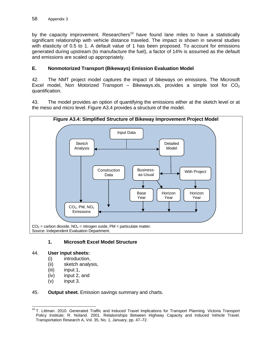by the capacity improvement. Researchers<sup>10</sup> have found lane miles to have a statistically significant relationship with vehicle distance traveled. The impact is shown in several studies with elasticity of 0.5 to 1. A default value of 1 has been proposed. To account for emissions generated during upstream (to manufacture the fuel), a factor of 14% is assumed as the default and emissions are scaled up appropriately.

## **E. Nonmotorized Transport (Bikeways) Emission Evaluation Model**

42. The NMT project model captures the impact of bikeways on emissions. The Microsoft Excel model, Non Motorized Transport – Bikeways.xls, provides a simple tool for  $CO<sub>2</sub>$ quantification.

43. The model provides an option of quantifying the emissions either at the sketch level or at the meso and micro level. Figure A3.4 provides a structure of the model.



### **1. Microsoft Excel Model Structure**

#### 44. **User input sheets:**

- (i) introduction,
- (ii) sketch analysis,
- (iii) input 1,
- (iv) input 2, and
- (v) input 3.

#### 45. **Output sheet.** Emission savings summary and charts.

<sup>-</sup><sup>10</sup> T. Littman. 2010. Generated Traffic and Induced Travel Implications for Transport Planning. Victoria Transport Policy Institute; R. Noland. 2001. Relationships Between Highway Capacity and Induced Vehicle Travel. Transportation Research A, Vol. 35, No. 1, January, pp. 47–72.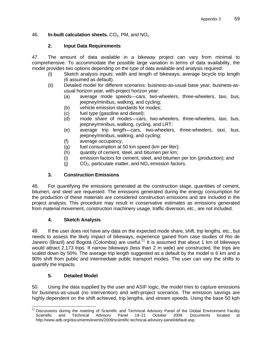## 46. **In-built calculation sheets.** CO<sub>2</sub>, PM, and NO<sub>x</sub>.

## **2. Input Data Requirements**

47. The amount of data available in a bikeway project can vary from minimal to comprehensive. To accommodate the possible large variation in terms of data availability, the model provides two options depending on the type of data available and analysis required:

- (i) Sketch analysis inputs: width and length of bikeways; average bicycle trip length (6 assumed as default).
- (ii) Detailed model for different scenarios: business-as-usual base year, business-asusual horizon year, with-project horizon year:
	- (a) average mode speeds—cars, two-wheelers, three-wheelers, taxi, bus, jeepney/minibus, walking, and cycling;
	- (b) vehicle emission standards for modes;
	- (c) fuel type (gasoline and diesel);
	- (d) mode share of modes—cars, two-wheelers, three-wheelers, taxi, bus, jeepney/minibus, walking, cycling, and LRT;
	- (e) average trip length—cars, two-wheelers, three-wheelers, taxi, bus, jeepney/minibus, walking, and cycling;
	- (f) average occupancy;
	- (g) fuel consumption at 50 km speed (km per liter);
	- (h) quantity of cement, steel, and bitumen per km;
	- (i) emission factors for cement, steel, and bitumen per ton (production); and
	- (i)  $CO<sub>2</sub>$ , particulate matter, and  $NO<sub>x</sub>$  emission factors.

## **3. Construction Emissions**

48. For quantifying the emissions generated at the construction stage, quantities of cement, bitumen, and steel are requested. The emissions generated during the energy consumption for the production of these materials are considered construction emissions and are included in the project analysis. This procedure may result in conservative estimates as emissions generated from material movement, construction machinery usage, traffic diversion, etc., are not included.

## **4. Sketch Analysis**

49. If the user does not have any data on the expected mode share, shift, trip lengths, etc., but needs to assess the likely impact of bikeways, experience gained from case studies of Rio de Janeiro (Brazil) and Bogotá (Colombia) are useful.<sup>11</sup> It is assumed that about 1 km of bikeways would attract 2,173 trips. If narrow bikeways (less than 2 m wide) are constructed, the trips are scaled down by 50%. The average trip length suggested as a default by the model is 6 km and a 90% shift from public and intermediate public transport modes. The user can vary the shifts to quantify the impacts.

## **5. Detailed Model**

50. Using the data supplied by the user and ASIF logic, the model tries to capture emissions for business-as-usual (no intervention) and with-project scenarios. The emission savings are highly dependent on the shift achieved, trip lengths, and stream speeds. Using the base 50 kph

<sup>-</sup><sup>11</sup> Discussions during the meeting of Scientific and Technical Advisory Panel of the Global Environment Facility Scientific and Technical Advisory Panel 19–21 October 2009. Documents located at http://www.adb.org/documents/events/2009/scientific-technical-advisory-panel/default.asp.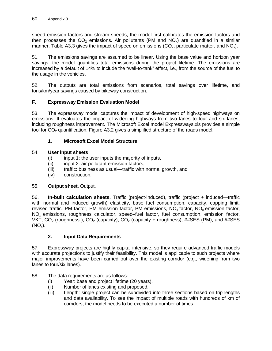speed emission factors and stream speeds, the model first calibrates the emission factors and then processes the  $CO<sub>2</sub>$  emissions. Air pollutants (PM and NO<sub>x</sub>) are quantified in a similar manner. Table A3.3 gives the impact of speed on emissions ( $CO<sub>2</sub>$ , particulate matter, and NO<sub>x</sub>).

51. The emissions savings are assumed to be linear. Using the base value and horizon year savings, the model quantifies total emissions during the project lifetime. The emissions are increased by a default of 14% to include the "well-to-tank" effect, i.e., from the source of the fuel to the usage in the vehicles.

52. The outputs are total emissions from scenarios, total savings over lifetime, and tons/km/year savings caused by bikeway construction.

### **F. Expressway Emission Evaluation Model**

53. The expressway model captures the impact of development of high-speed highways on emissions. It evaluates the impact of widening highways from two lanes to four and six lanes, including roughness improvement. The Microsoft Excel model Expressways.xls provides a simple tool for  $CO<sub>2</sub>$  quantification. Figure A3.2 gives a simplified structure of the roads model.

### **1. Microsoft Excel Model Structure**

### 54. **User input sheets:**

- (i) input 1: the user inputs the majority of inputs,
- (ii) input 2: air pollutant emission factors,
- (iii) traffic: business as usual—traffic with normal growth, and
- (iv) construction.

### 55. **Output sheet.** Output.

56. **In-built calculation sheets.** Traffic (project-induced), traffic (project + induced—traffic with normal and induced growth) elasticity, base fuel consumption, capacity, capping limit, revised traffic, PM factor, PM emission factor, PM emissions,  $NO<sub>x</sub>$  factor,  $NO<sub>x</sub>$  emission factor, NO<sub>x</sub> emissions, roughness calculator, speed–fuel factor, fuel consumption, emission factor, VKT,  $CO_2$  (roughness),  $CO_2$  (capacity),  $CO_2$  (capacity + roughness), ##SES (PM), and ##SES  $(NO_x)$ .

### **2. Input Data Requirements**

57. Expressway projects are highly capital intensive, so they require advanced traffic models with accurate projections to justify their feasibility. This model is applicable to such projects where major improvements have been carried out over the existing corridor (e.g., widening from two lanes to four/six lanes).

- 58. The data requirements are as follows:
	- (i) Year: base and project lifetime (20 years).
	- (ii) Number of lanes existing and proposed.
	- (iii) Length: single project can be subdivided into three sections based on trip lengths and data availability. To see the impact of multiple roads with hundreds of km of corridors, the model needs to be executed a number of times.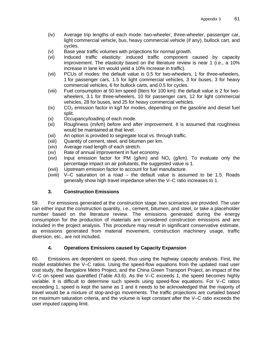- (iv) Average trip lengths of each mode: two-wheeler, three-wheeler, passenger car, light commercial vehicle, bus, heavy commercial vehicle (if any), bullock cart, and cycles.
- (v) Base year traffic volumes with projections for normal growth.
- (vi) Induced traffic elasticity: induced traffic component caused by capacity improvement. The elasticity based on the literature review is near 1 (i.e., a 10% increase in lane km would yield a 10% increase in traffic).
- (vii) PCUs of modes: the default value is 0.5 for two-wheelers, 1 for three-wheelers, 1 for passenger cars, 1.5 for light commercial vehicles, 3 for buses, 3 for heavy commercial vehicles, 6 for bullock carts, and 0.5 for cycles.
- (viii) Fuel consumption at 50 km speed (liters for 100 km): the default value is 2 for twowheelers, 3.1 for three-wheelers, 10 for passenger cars, 12 for light commercial vehicles, 28 for buses, and 25 for heavy commercial vehicles.
- $(iv)$  CO<sub>2</sub> emission factor in kg/l for modes, depending on the gasoline and diesel fuel split.
- (x) Occupancy/loading of each mode.
- (xi) Roughness (m/km) before and after improvement. It is assumed that roughness would be maintained at that level.
- (xii) An option is provided to segregate local vs. through traffic.
- (xiii) Quantity of cement, steel, and bitumen per km.
- (xiv) Average road length of each stretch.
- (xv) Rate of annual improvement in fuel economy.
- (xvi) Input emission factor for PM (g/km) and  $NO_x$  (g/km). To evaluate only the percentage impact on air pollutants, the suggested value is 1.
- (xvii) Upstream emission factor to account for fuel manufacture.
- (xviii) V–C saturation on a road the default value is assumed to be 1.5. Roads generally show high travel impedance when the V–C ratio increases to 1.

## **3. Construction Emissions**

59. For emissions generated at the construction stage, two scenarios are provided. The user can either input the construction quantity, i.e., cement, bitumen, and steel, or take a placeholder number based on the literature review. The emissions generated during the energy consumption for the production of materials are considered construction emissions and are included in the project analysis. This procedure may result in significant conservative estimate, as emissions generated from material movement, construction machinery usage, traffic diversion, etc., are not included.

## **4. Operations Emissions caused by Capacity Expansion**

60. Emissions are dependent on speed, thus using the highway capacity analysis. First, the model establishes the V–C ratios. Using the speed-flow equations from the updated road user cost study, the Bangalore Metro Project, and the China Green Transport Project, an impact of the V–C on speed was quantified (Table A3.6). As the V–C exceeds 1, the speed becomes highly variable. It is difficult to determine such speeds using speed-flow equations. For V–C ratios exceeding 1, speed is kept the same as 1 and it needs to be acknowledged that the majority of travel would be a mixture of stop-and-go movements. The traffic projections are curtailed based on maximum saturation criteria, and the volume is kept constant after the V–C ratio exceeds the user imputed capping limit.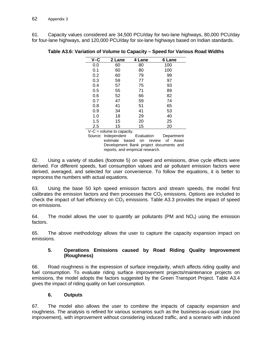61. Capacity values considered are 34,500 PCU/day for two-lane highways, 80,000 PCU/day for four-lane highways, and 120,000 PCU/day for six-lane highways based on Indian standards.

| $V - C$<br>2 Lane     |    | 4 Lane               | 6 Lane |  |
|-----------------------|----|----------------------|--------|--|
| 0.0                   | 60 | 80                   | 100    |  |
| 0.1                   | 60 | 80                   | 100    |  |
| 0.2                   | 60 | 79                   | 99     |  |
| 0.3                   | 59 | 77                   | 97     |  |
| 0.4                   | 57 | 75                   | 93     |  |
| 0.5                   | 55 | 71                   | 89     |  |
| 0.6                   | 52 | 66                   | 82     |  |
| 0.7                   | 47 | 59                   | 74     |  |
| 0.8                   | 41 | 51                   | 65     |  |
| 0.9                   | 34 | 41                   | 53     |  |
| 1.0                   | 18 | 29                   | 40     |  |
| 1.5                   | 15 | 20                   | 25     |  |
| 2.5                   | 15 | 15                   | 20     |  |
| $\cdot$ $\cdot$<br>٠. |    | $\ddot{\phantom{0}}$ |        |  |

 $V-C =$  volume to capacity.

Source: Independent Evaluation Department estimate based on review of Asian Development Bank project documents and reports, and empirical research.

62. Using a variety of studies (footnote 5) on speed and emissions, drive cycle effects were derived. For different speeds, fuel consumption values and air pollutant emission factors were derived, averaged, and selected for user convenience. To follow the equations, it is better to reprocess the numbers with actual equations.

63. Using the base 50 kph speed emission factors and stream speeds, the model first calibrates the emission factors and then processes the  $CO<sub>2</sub>$  emissions. Options are included to check the impact of fuel efficiency on  $CO<sub>2</sub>$  emissions. Table A3.3 provides the impact of speed on emissions.

64. The model allows the user to quantify air pollutants (PM and  $NO_x$ ) using the emission factors.

65. The above methodology allows the user to capture the capacity expansion impact on emissions.

### **5. Operations Emissions caused by Road Riding Quality Improvement (Roughness)**

66. Road roughness is the expression of surface irregularity, which affects riding quality and fuel consumption. To evaluate riding surface improvement projects/maintenance projects on emissions, the model adopts the factors suggested by the Green Transport Project. Table A3.4 gives the impact of riding quality on fuel consumption.

# **6. Outputs**

67. The model also allows the user to combine the impacts of capacity expansion and roughness. The analysis is refined for various scenarios such as the business-as-usual case (no improvement), with improvement without considering induced traffic, and a scenario with induced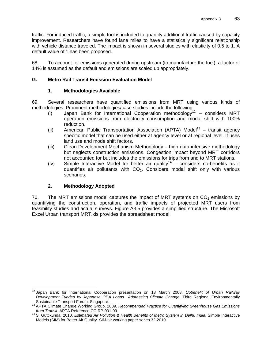traffic. For induced traffic, a simple tool is included to quantify additional traffic caused by capacity improvement. Researchers have found lane miles to have a statistically significant relationship with vehicle distance traveled. The impact is shown in several studies with elasticity of 0.5 to 1. A default value of 1 has been proposed.

68. To account for emissions generated during upstream (to manufacture the fuel), a factor of 14% is assumed as the default and emissions are scaled up appropriately.

# **G. Metro Rail Transit Emission Evaluation Model**

# **1. Methodologies Available**

69. Several researchers have quantified emissions from MRT using various kinds of methodologies. Prominent methodologies/case studies include the following:

- (i) Japan Bank for International Cooperation methodology<sup>12</sup> considers MRT operation emissions from electricity consumption and modal shift with 100% reduction.
- (ii) American Public Transportation Association (APTA) Model<sup>13</sup> transit agency specific model that can be used either at agency level or at regional level. It uses land use and mode shift factors.
- (iii) Clean Development Mechanism Methodology high data-intensive methodology but neglects construction emissions. Congestion impact beyond MRT corridors not accounted for but includes the emissions for trips from and to MRT stations.
- (iv) Simple Interactive Model for better air quality<sup>14</sup> considers co-benefits as it quantifies air pollutants with  $CO<sub>2</sub>$ . Considers modal shift only with various scenarios.

# **2. Methodology Adopted**

70. The MRT emissions model captures the impact of MRT systems on  $CO<sub>2</sub>$  emissions by quantifying the construction, operation, and traffic impacts of projected MRT users from feasibility studies and actual surveys. Figure A3.5 provides a simplified structure. The Microsoft Excel Urban transport MRT.xls provides the spreadsheet model.

 $\overline{1}$ 12 Japan Bank for International Cooperation presentation on 18 March 2008. *Cobenefit of Urban Railway Development Funded by Japanese ODA Loans Addressing Climate Change*. Third Regional Environmentally

Sustainable Transport Forum. Singapore.<br><sup>13</sup> APTA Climate Change Working Group. 2009. *Recommended Practice for Quantifying Greenhouse Gas Emissions from Transit.* APTA Reference CC-RP-001-09.

*from Transit*. APTA Reference CC-RP-001-09. 14 S. Guttikunda. 2010. *Estimated Air Pollution & Health Benefits of Metro System in Delhi, India*. Simple Interactive Models (SIM) for Better Air Quality. SIM-air working paper series 32-2010.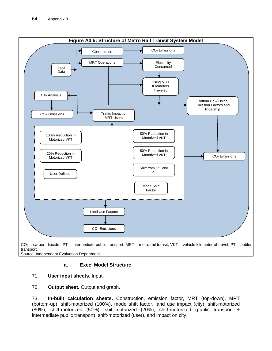

Source: Independent Evaluation Department.

### **a. Excel Model Structure**

### 71. **User input sheets.** Input.

#### 72. **Output sheet.** Output and graph.

73. **In-built calculation sheets.** Construction, emission factor, MRT (top-down), MRT (bottom-up), shift-motorized (100%), mode shift factor, land use impact (city), shift-motorized (80%), shift-motorized (50%), shift-motorized (20%), shift-motorized (public transport + intermediate public transport), shift-motorized (user), and impact on city.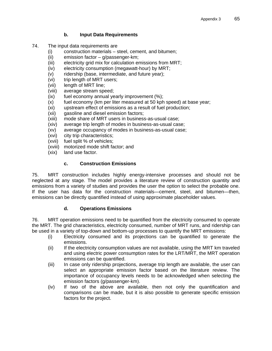### **b. Input Data Requirements**

- 74. The input data requirements are
	- (i) construction materials steel, cement, and bitumen;
	- (ii) emission factor g/passenger-km;
	- (iii) electricity grid mix for calculation emissions from MRT;
	- (iv) electricity consumption (megawatt-hour) by MRT;
	- (v) ridership (base, intermediate, and future year);
	- (vi) trip length of MRT users;
	- (vii) length of MRT line;
	- (viii) average stream speed;
	- (ix) fuel economy annual yearly improvement (%);
	- (x) fuel economy (km per liter measured at 50 kph speed) at base year;
	- (xi) upstream effect of emissions as a result of fuel production;
	- (xii) gasoline and diesel emission factors;
	- (xiii) mode share of MRT users in business-as-usual case;
	- (xiv) average trip length of modes in business-as-usual case;
	- (xv) average occupancy of modes in business-as-usual case;
	- (xvi) city trip characteristics;
	- (xvii) fuel split % of vehicles;
	- (xviii) motorized mode shift factor; and
	- (xix) land use factor.

# **c. Construction Emissions**

75. MRT construction includes highly energy-intensive processes and should not be neglected at any stage. The model provides a literature review of construction quantity and emissions from a variety of studies and provides the user the option to select the probable one. If the user has data for the construction materials—cement, steel, and bitumen—then, emissions can be directly quantified instead of using approximate placeholder values.

# **d. Operations Emissions**

76. MRT operation emissions need to be quantified from the electricity consumed to operate the MRT. The grid characteristics, electricity consumed, number of MRT runs, and ridership can be used in a variety of top-down and bottom-up processes to quantify the MRT emissions:

- (i) Electricity consumed and its projections can be quantified to generate the emissions.
- (ii) If the electricity consumption values are not available, using the MRT km traveled and using electric power consumption rates for the LRT/MRT, the MRT operation emissions can be quantified.
- (iii) In case only ridership projections, average trip length are available, the user can select an appropriate emission factor based on the literature review. The importance of occupancy levels needs to be acknowledged when selecting the emission factors (g/passenger-km).
- (iv) If two of the above are available, then not only the quantification and comparisons can be made, but it is also possible to generate specific emission factors for the project.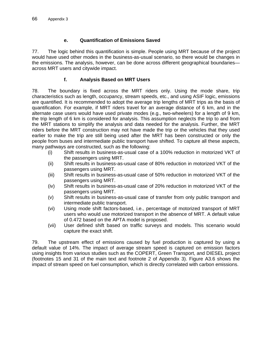# **e. Quantification of Emissions Saved**

77. The logic behind this quantification is simple. People using MRT because of the project would have used other modes in the business-as-usual scenario, so there would be changes in the emissions. The analysis, however, can be done across different geographical boundaries across MRT users and citywide impact.

# **f. Analysis Based on MRT Users**

78. The boundary is fixed across the MRT riders only. Using the mode share, trip characteristics such as length, occupancy, stream speeds, etc., and using ASIF logic, emissions are quantified. It is recommended to adopt the average trip lengths of MRT trips as the basis of quantification. For example, if MRT riders travel for an average distance of 6 km, and in the alternate case users would have used private modes (e.g., two-wheelers) for a length of 9 km, the trip length of 6 km is considered for analysis. This assumption neglects the trip to and from the MRT stations to simplify the analysis and data needed for the analysis. Further, the MRT riders before the MRT construction may not have made the trip or the vehicles that they used earlier to make the trip are still being used after the MRT has been constructed or only the people from buses and intermediate public transport have shifted. To capture all these aspects, many pathways are constructed, such as the following:

- (i) Shift results in business-as-usual case of a 100% reduction in motorized VKT of the passengers using MRT.
- (ii) Shift results in business-as-usual case of 80% reduction in motorized VKT of the passengers using MRT.
- (iii) Shift results in business-as-usual case of 50% reduction in motorized VKT of the passengers using MRT.
- (iv) Shift results in business-as-usual case of 20% reduction in motorized VKT of the passengers using MRT.
- (v) Shift results in business-as-usual case of transfer from only public transport and intermediate public transport.
- (vi) Using mode shift factors-based, i.e., percentage of motorized transport of MRT users who would use motorized transport in the absence of MRT. A default value of 0.472 based on the APTA model is proposed.
- (vii) User defined shift based on traffic surveys and models. This scenario would capture the exact shift.

79. The upstream effect of emissions caused by fuel production is captured by using a default value of 14%. The impact of average stream speed is captured on emission factors using insights from various studies such as the COPERT, Green Transport, and DIESEL project (footnotes 15 and 31 of the main text and footnote 2 of Appendix 3). Figure A3.6 shows the impact of stream speed on fuel consumption, which is directly correlated with carbon emissions.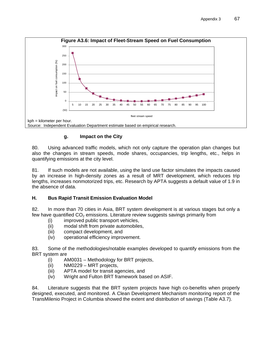

# **g. Impact on the City**

80. Using advanced traffic models, which not only capture the operation plan changes but also the changes in stream speeds, mode shares, occupancies, trip lengths, etc., helps in quantifying emissions at the city level.

81. If such models are not available, using the land use factor simulates the impacts caused by an increase in high-density zones as a result of MRT development, which reduces trip lengths, increases nonmotorized trips, etc. Research by APTA suggests a default value of 1.9 in the absence of data.

# **H. Bus Rapid Transit Emission Evaluation Model**

82. In more than 70 cities in Asia, BRT system development is at various stages but only a few have quantified  $CO<sub>2</sub>$  emissions. Literature review suggests savings primarily from

- (i) improved public transport vehicles,
- (ii) modal shift from private automobiles,
- (iii) compact development, and
- (iv) operational efficiency improvement.

83. Some of the methodologies/notable examples developed to quantify emissions from the BRT system are

- (i) AM0031 Methodology for BRT projects,
- (ii) NM0229 MRT projects,
- (iii) APTA model for transit agencies, and
- (iv) Wright and Fulton BRT framework based on ASIF.

84. Literature suggests that the BRT system projects have high co-benefits when properly designed, executed, and monitored. A Clean Development Mechanism monitoring report of the TransMilenio Project in Columbia showed the extent and distribution of savings (Table A3.7).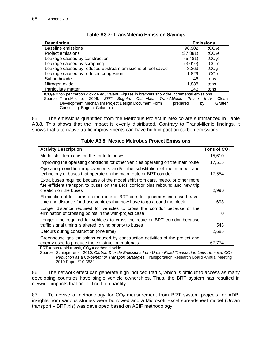| <b>Description</b>                                                                               | <b>Emissions</b> |                    |  |  |  |
|--------------------------------------------------------------------------------------------------|------------------|--------------------|--|--|--|
| <b>Baseline emissions</b>                                                                        | 96,902           | tCO <sub>2</sub> e |  |  |  |
| Project emissions                                                                                | (37, 881)        | tCO <sub>2</sub> e |  |  |  |
| Leakage caused by construction                                                                   | (5,481)          | tCO <sub>2</sub> e |  |  |  |
| Leakage caused by scrapping                                                                      | (3,010)          | tCO <sub>2</sub> e |  |  |  |
| Leakage caused by reduced upstream emissions of fuel saved                                       | 8,263            | tCO <sub>2</sub> e |  |  |  |
| Leakage caused by reduced congestion                                                             | 1,829            | tCO <sub>2</sub> e |  |  |  |
| Sulfur dioxide                                                                                   | 46               | tons               |  |  |  |
| Nitrogen oxide                                                                                   | 1.838            | tons               |  |  |  |
| Particulate matter                                                                               | 243              | tons               |  |  |  |
| $tCO2e =$ ton per carbon dioxide equivalent. Figures in brackets show the incremental emissions. |                  |                    |  |  |  |
| Source: TransMilenio.<br>Colombia: TransMilenio<br>2006.<br>BRT<br>Bogotá,                       | Phase            | II–IV<br>Clean     |  |  |  |

### **Table A3.7: TransMilenio Emission Savings**

Development Mechanism Project Design Document Form prepared by Grutter Consulting. Bogota, Columbia.

85. The emissions quantified from the Metrobus Project in Mexico are summarized in Table A3.8. This shows that the impact is evenly distributed. Contrary to TransMilenio findings, it shows that alternative traffic improvements can have high impact on carbon emissions.

| <b>Activity Description</b>                                                                                                                                                                 | Tons of $CO2$ |
|---------------------------------------------------------------------------------------------------------------------------------------------------------------------------------------------|---------------|
| Modal shift from cars on the route to buses                                                                                                                                                 | 15,610        |
| Improving the operating conditions for other vehicles operating on the main route                                                                                                           | 17,515        |
| Operating condition improvements and/or the substitution of the number and<br>technology of buses that operate on the main route or BRT corridor                                            | 17,554        |
| Extra buses required because of the modal shift from cars, metro, or other more<br>fuel-efficient transport to buses on the BRT corridor plus rebound and new trip<br>creation on the buses | 2,996         |
| Elimination of left turns on the route or BRT corridor generates increased travel<br>time and distance for those vehicles that now have to go around the block                              | 693           |
| Longer distance required for vehicles to cross the corridor because of the<br>elimination of crossing points in the with-project case                                                       | 0             |
| Longer time required for vehicles to cross the route or BRT corridor because<br>traffic signal timing is altered, giving priority to buses                                                  | 543           |
| Detours during construction (one time)                                                                                                                                                      | 2,685         |
| Greenhouse gas emissions caused by construction activities of the project and<br>energy used to produce the construction materials<br>$DDT$ bus repid transit $CD$ earbon disvide           | 67,774        |

#### **Table A3.8: Mexico Metrobus Project Emissions**

 $BRT =$  bus rapid transit,  $CO<sub>2</sub> =$  carbon dioxide. Source: Schipper et al. 2010. *Carbon Dioxide Emissions from Urban Road Transport in Latin America: CO<sub>2</sub> Reduction as a Co-benefit of Transport Strategies.* Transportation Research Board Annual Meeting

2010 Paper #10-3832.

86. The network effect can generate high induced traffic, which is difficult to access as many developing countries have single vehicle ownerships. Thus, the BRT system has resulted in citywide impacts that are difficult to quantify.

87. To devise a methodology for  $CO<sub>2</sub>$  measurement from BRT system projects for ADB, insights from various studies were borrowed and a Microsoft Excel spreadsheet model (Urban transport – BRT.xls) was developed based on ASIF methodology.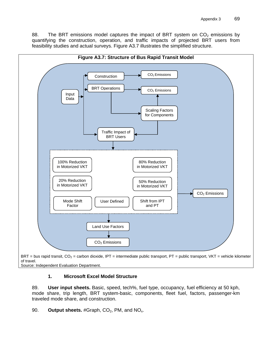88. The BRT emissions model captures the impact of BRT system on  $CO<sub>2</sub>$  emissions by quantifying the construction, operation, and traffic impacts of projected BRT users from feasibility studies and actual surveys. Figure A3.7 illustrates the simplified structure.



Source: Independent Evaluation Department.

### **1. Microsoft Excel Model Structure**

89. **User input sheets.** Basic, speed, tech%, fuel type, occupancy, fuel efficiency at 50 kph, mode share, trip length, BRT system-basic, components, fleet fuel, factors, passenger-km traveled mode share, and construction.

90. **Output sheets.** #Graph, CO<sub>2</sub>, PM, and NO<sub>x</sub>.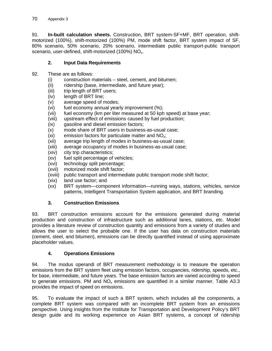91. **In-built calculation sheets.** Construction, BRT system-SF+MF, BRT operation, shiftmotorized (100%), shift-motorized (100%) PM, mode shift factor, BRT system impact of SF, 80% scenario, 50% scenario, 20% scenario, intermediate public transport-public transport scenario, user-defined, shift-motorized (100%) NO<sub>x</sub>.

# **2. Input Data Requirements**

- 92. These are as follows:
	- (i) construction materials steel, cement, and bitumen;
	- (ii) ridership (base, intermediate, and future year);
	- (iii) trip length of BRT users;
	- (iv) length of BRT line;
	- (v) average speed of modes;
	- (vi) fuel economy annual yearly improvement (%);
	- (vii) fuel economy (km per liter measured at 50 kph speed) at base year;
	- (viii) upstream effect of emissions caused by fuel production;
	- (ix) gasoline and diesel emission factors;
	- (x) mode share of BRT users in business-as-usual case;
	- (xi) emission factors for particulate matter and  $NO<sub>x</sub>$ ;
	- (xii) average trip length of modes in business-as-usual case;
	- (xiii) average occupancy of modes in business-as-usual case;
	- (xiv) city trip characteristics;
	- (xv) fuel split percentage of vehicles;
	- (xvi) technology split percentage;
	- (xvii) motorized mode shift factor;
	- (xviii) public transport and intermediate public transport mode shift factor;
	- (xix) land use factor; and
	- (xx) BRT system—component information—running ways, stations, vehicles, service patterns, Intelligent Transportation System application, and BRT branding.

# **3. Construction Emissions**

93. BRT construction emissions account for the emissions generated during material production and construction of infrastructure such as additional lanes, stations, etc. Model provides a literature review of construction quantity and emissions from a variety of studies and allows the user to select the probable one. If the user has data on construction materials (cement, steel, and bitumen), emissions can be directly quantified instead of using approximate placeholder values.

# **4. Operations Emissions**

94. The modus operandi of BRT measurement methodology is to measure the operation emissions from the BRT system fleet using emission factors, occupancies, ridership, speeds, etc., for base, intermediate, and future years. The base emission factors are varied according to speed to generate emissions. PM and  $NO<sub>x</sub>$  emissions are quantified in a similar manner. Table A3.3 provides the impact of speed on emissions.

95. To evaluate the impact of such a BRT system, which includes all the components, a complete BRT system was compared with an incomplete BRT system from an emissions perspective. Using insights from the Institute for Transportation and Development Policy's BRT design guide and its working experience on Asian BRT systems, a concept of ridership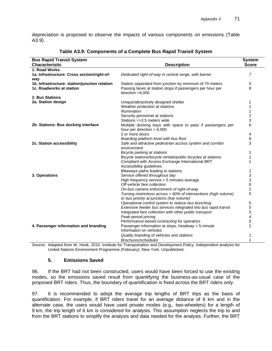depreciation is proposed to observe the impacts of various components on emissions (Table A3.9).

| <b>Bus Rapid Transit System</b>               |                                                                                 | <b>System</b>  |
|-----------------------------------------------|---------------------------------------------------------------------------------|----------------|
| <b>Characteristic</b>                         | <b>Description</b>                                                              | <b>Score</b>   |
| 1. Road Works                                 |                                                                                 |                |
| 1a. Infrastructure: Cross section/right-of-   | Dedicated right-of-way in central verge, with barrier                           | 7              |
| way                                           |                                                                                 |                |
| 1b. Infrastructure: station/junction relation | Station separated from junction by minimum of 70 meters                         | 3              |
| 1c. Roadworks at station                      | Passing lanes at station stops if passengers per hour per<br>direction $>6,000$ | 8              |
| 2. Bus Stations                               |                                                                                 |                |
| 2a. Station design                            | Unique/attractively designed shelter                                            | 1              |
|                                               | Weather protection at stations                                                  | 1              |
|                                               | Illumination                                                                    |                |
|                                               | Security personnel at stations                                                  | 2              |
|                                               | Stations $=$ > 3.5 meters wide                                                  | 3              |
| 2b. Stations: Bus docking interface           | Multiple docking bays with space to pass if passengers per                      | 6              |
|                                               | hour per direction $> 6,000$                                                    |                |
|                                               | 3 or more doors                                                                 | 4              |
|                                               | Boarding platform level with bus floor                                          | 8              |
| 2c. Station accessibility                     | Safe and attractive pedestrian access system and corridor<br>environment        | 3              |
|                                               | Bicycle parking at stations                                                     | 1              |
|                                               | Bicycle stations/bicycle rentals/public bicycles at stations                    |                |
|                                               | Compliant with Access Exchange International BRT                                |                |
|                                               | Accessibility guidelines                                                        |                |
|                                               | Bikeways paths leading to stations                                              |                |
| 3. Operations                                 | Service offered throughout day                                                  | 3              |
|                                               | High frequency service < 5 minutes average                                      | 3              |
|                                               | Off-vehicle fare collection                                                     | 8              |
|                                               | On-bus camera enforcement of right-of-way                                       | $\overline{c}$ |
|                                               | Turning restrictions across > 60% of intersections (high volume)                | 5              |
|                                               | or bus priority at junctions (low volume)                                       |                |
|                                               | Operational control system to reduce bus bunching                               | 5              |
|                                               | Extensive feeder bus services integrated into bus rapid transit                 | 5              |
|                                               | Integrated fare collection with other public transport                          | 5              |
|                                               | Peak-period pricing                                                             | 4              |
|                                               | Performance-based contracting for operators                                     | 5              |
| 4. Passenger information and branding         | Passenger information at stops, headway > 5-minute                              | $\overline{2}$ |
|                                               | information on vehicles                                                         |                |
|                                               | Quality branding of vehicles and stations                                       | 1              |
|                                               | <b>Brochures/schedules</b>                                                      | 1              |

#### **Table A3.9: Components of a Complete Bus Rapid Transit System**

Source: Adapted from W. Hook. 2010. Institute for Transportation and Development Policy. Independent analysis for United Nations Environment Programme (February). New York. Unpublished.

#### **5. Emissions Saved**

96. If the BRT had not been constructed, users would have been forced to use the existing modes, so the emissions saved result from quantifying the business-as-usual case of the proposed BRT riders. Thus, the boundary of quantification is fixed across the BRT riders only.

97. It is recommended to adopt the average trip lengths of BRT trips as the basis of quantification. For example, if BRT riders travel for an average distance of 6 km and in the alternate case, the users would have used private modes (e.g., two-wheelers) for a length of 9 km, the trip length of 6 km is considered for analysis. This assumption neglects the trip to and from the BRT stations to simplify the analysis and data needed for the analysis. Further, the BRT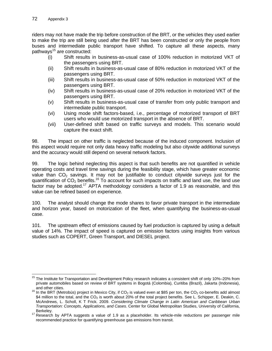riders may not have made the trip before construction of the BRT, or the vehicles they used earlier to make the trip are still being used after the BRT has been constructed or only the people from buses and intermediate public transport have shifted. To capture all these aspects, many pathways<sup>15</sup> are constructed:

- (i) Shift results in business-as-usual case of 100% reduction in motorized VKT of the passengers using BRT.
- (ii) Shift results in business-as-usual case of 80% reduction in motorized VKT of the passengers using BRT.
- (iii) Shift results in business-as-usual case of 50% reduction in motorized VKT of the passengers using BRT.
- (iv) Shift results in business-as-usual case of 20% reduction in motorized VKT of the passengers using BRT.
- (v) Shift results in business-as-usual case of transfer from only public transport and intermediate public transport.
- (vi) Using mode shift factors-based, i.e., percentage of motorized transport of BRT users who would use motorized transport in the absence of BRT.
- (vii) User-defined shift based on traffic surveys and models. This scenario would capture the exact shift.

98. The impact on other traffic is neglected because of the induced component. Inclusion of this aspect would require not only data heavy traffic modeling but also citywide additional surveys and the accuracy would still depend on several network factors.

99. The logic behind neglecting this aspect is that such benefits are not quantified in vehicle operating costs and travel time savings during the feasibility stage, which have greater economic value than  $CO<sub>2</sub>$  savings. It may not be justifiable to conduct citywide surveys just for the quantification of  $CO_2$  benefits.<sup>16</sup> To account for such impacts on traffic and land use, the land use factor may be adopted.<sup>17</sup> APTA methodology considers a factor of 1.9 as reasonable, and this value can be refined based on experience.

100. The analyst should change the mode shares to favor private transport in the intermediate and horizon year, based on motorization of the fleet, when quantifying the business-as-usual case.

101. The upstream effect of emissions caused by fuel production is captured by using a default value of 14%. The impact of speed is captured on emission factors using insights from various studies such as COPERT, Green Transport, and DIESEL project.

 $\overline{a}$ <sup>15</sup> The Institute for Transportation and Development Policy research indicates a consistent shift of only 10%–20% from private automobiles based on review of BRT systems in Bogotá (Colombia), Curitiba (Brazil), Jakarta (Indonesia),

and other cities.<br><sup>16</sup> In the BRT (Metrobús) project in Mexico City, if CO<sub>2</sub> is valued even at \$85 per ton, the CO<sub>2</sub> co-benefits add almost \$4 million to the total, and the  $CO<sub>2</sub>$  is worth about 20% of the total project benefits. See L. Schipper, E. Deakin, C. McAndrews, L. Scholl, K T Frick. 2009. *Considering Climate Change in Latin American and Caribbean Urban Transportation: Concepts, Applications, and Cases*. Center for Global Metropolitan Studies, University of California,

<sup>17</sup> Research by APTA suggests a value of 1.9 as a placeholder. Its vehicle-mile reductions per passenger mile recommended practice for quantifying greenhouse gas emissions from transit.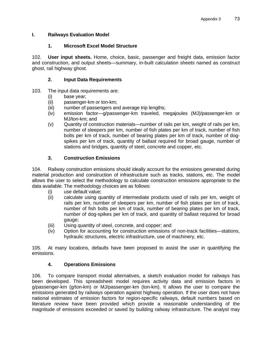## **I. Railways Evaluation Model**

### **1. Microsoft Excel Model Structure**

102. **User input sheets.** Home, choice, basic, passenger and freight data, emission factor and construction, and output sheets—summary, in-built calculation sheets named as construct ghost, rail highway ghost.

### **2. Input Data Requirements**

### 103. The input data requirements are:

- (i) base year;
- (ii) passenger-km or ton-km;
- (iii) number of passengers and average trip lengths;
- (iv) emission factor—g/passenger-km traveled, megajoules (MJ)/passenger-km or MJ/ton-km; and
- (v) Quantity of construction materials—number of rails per km, weight of rails per km, number of sleepers per km, number of fish plates per km of track, number of fish bolts per km of track, number of bearing plates per km of track, number of dogspikes per km of track, quantity of ballast required for broad gauge, number of stations and bridges, quantity of steel, concrete and copper, etc.

# **3. Construction Emissions**

104. Railway construction emissions should ideally account for the emissions generated during material production and construction of infrastructure such as tracks, stations, etc. The model allows the user to select the methodology to calculate construction emissions appropriate to the data available. The methodology choices are as follows:

- (i) use default value;
- (ii) calculate using quantity of intermediate products used of rails per km, weight of rails per km, number of sleepers per km, number of fish plates per km of track, number of fish bolts per km of track, number of bearing plates per km of track, number of dog-spikes per km of track, and quantity of ballast required for broad gauge;
- (iii) Using quantity of steel, concrete, and copper; and
- (iv) Option for accounting for construction emissions of non-track facilities—stations, hydraulic structures, electric infrastructure, use of machinery, etc.

105. At many locations, defaults have been proposed to assist the user in quantifying the emissions.

# **4. Operations Emissions**

106. To compare transport modal alternatives, a sketch evaluation model for railways has been developed. This spreadsheet model requires activity data and emission factors in g/passenger-km (g/ton-km) or MJ/passenger-km (ton-km). It allows the user to compare the emissions generated by railways operation against highway operation. If the user does not have national estimates of emission factors for region-specific railways, default numbers based on literature review have been provided which provide a reasonable understanding of the magnitude of emissions exceeded or saved by building railway infrastructure. The analyst may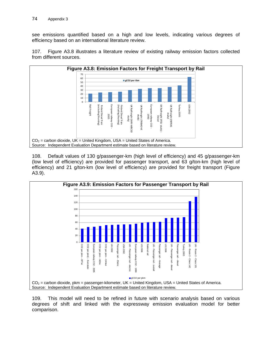see emissions quantified based on a high and low levels, indicating various degrees of efficiency based on an international literature review.





108. Default values of 130 g/passenger-km (high level of efficiency) and 45 g/passenger-km (low level of efficiency) are provided for passenger transport, and 63 g/ton-km (high level of efficiency) and 21 g/ton-km (low level of efficiency) are provided for freight transport (Figure A3.9).



109. This model will need to be refined in future with scenario analysis based on various degrees of shift and linked with the expressway emission evaluation model for better comparison.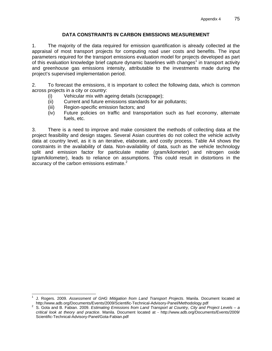### **DATA CONSTRAINTS IN CARBON EMISSIONS MEASUREMENT**

1. The majority of the data required for emission quantification is already collected at the appraisal of most transport projects for computing road user costs and benefits. The input parameters required for the transport emissions evaluation model for projects developed as part of this evaluation knowledge brief capture dynamic baselines with changes<sup>1</sup> in transport activity and greenhouse gas emissions intensity, attributable to the investments made during the project's supervised implementation period.

2. To forecast the emissions, it is important to collect the following data, which is common across projects in a city or country:

- (i) Vehicular mix with ageing details (scrappage);
- (ii) Current and future emissions standards for air pollutants;
- (iii) Region-specific emission factors; and
- (iv) Future policies on traffic and transportation such as fuel economy, alternate fuels, etc.

3. There is a need to improve and make consistent the methods of collecting data at the project feasibility and design stages. Several Asian countries do not collect the vehicle activity data at country level, as it is an iterative, elaborate, and costly process. Table A4 shows the constraints in the availability of data. Non-availability of data, such as the vehicle technology split and emission factor for particulate matter (gram/kilometer) and nitrogen oxide (gram/kilometer), leads to reliance on assumptions. This could result in distortions in the accuracy of the carbon emissions estimate.<sup>2</sup>

 $\overline{a}$ 1 J. Rogers. 2009. *Assessment of GHG Mitigation from Land Transport Projects*. Manila. Document located at

http://www.adb.org/Documents/Events/2009/Scientific-Technical-Advisory-Panel/Methodology.pdf 2 S. Gota and B. Fabian. 2009. *Estimating Emissions from Land Transport at Country, City and Project Levels – a critical look at theory and practice*. Manila. Document located at - http://www.adb.org/Documents/Events/2009/ Scientific-Technical-Advisory-Panel/Gota-Fabian.pdf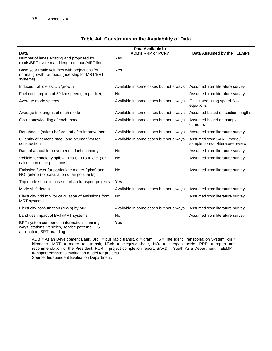| Data                                                                                                                       | Data Available in<br><b>ADB's RRP or PCR?</b> | Data Assumed by the TEEMPs                                    |
|----------------------------------------------------------------------------------------------------------------------------|-----------------------------------------------|---------------------------------------------------------------|
| Number of lanes existing and proposed for<br>roads/BRT system and length of road/MRT line                                  | Yes                                           |                                                               |
| Base year traffic volumes with projections for<br>normal growth for roads (ridership for MRT/BRT<br>systems)               | Yes                                           |                                                               |
| Induced traffic elasticity/growth                                                                                          | Available in some cases but not always        | Assumed from literature survey                                |
| Fuel consumption at 50 km speed (km per liter)                                                                             | <b>No</b>                                     | Assumed from literature survey                                |
| Average mode speeds                                                                                                        | Available in some cases but not always        | Calculated using speed-flow<br>equations                      |
| Average trip lengths of each mode                                                                                          | Available in some cases but not always        | Assumed based on section lengths                              |
| Occupancy/loading of each mode                                                                                             | Available in some cases but not always        | Assumed based on sample<br>corridors                          |
| Roughness (m/km) before and after improvement                                                                              | Available in some cases but not always        | Assumed from literature survey                                |
| Quantity of cement, steel, and bitumen/km for<br>construction                                                              | Available in some cases but not always        | Assumed from SARD model/<br>sample corridor/literature review |
| Rate of annual improvement in fuel economy                                                                                 | <b>No</b>                                     | Assumed from literature survey                                |
| Vehicle technology split – Euro I, Euro II, etc. (for<br>calculation of air pollutants)                                    | <b>No</b>                                     | Assumed from literature survey                                |
| Emission factor for particulate matter (g/km) and<br>$NOx$ (g/km) (for calculation of air pollutants)                      | <b>No</b>                                     | Assumed from literature survey                                |
| Trip mode share in case of urban transport projects                                                                        | Yes                                           |                                                               |
| Mode shift details                                                                                                         | Available in some cases but not always        | Assumed from literature survey                                |
| Electricity grid mix for calculation of emissions from<br><b>MRT</b> systems                                               | <b>No</b>                                     | Assumed from literature survey                                |
| Electricity consumption (MWh) by MRT                                                                                       | Available in some cases but not always        | Assumed from literature survey                                |
| Land use impact of BRT/MRT systems                                                                                         | <b>No</b>                                     | Assumed from literature survey                                |
| BRT system component information - running<br>ways, stations, vehicles, service patterns, ITS<br>application, BRT branding | Yes                                           |                                                               |

### **Table A4: Constraints in the Availability of Data**

ADB = Asian Development Bank, BRT = bus rapid transit,  $g = gram$ , ITS = Intelligent Transportation System, km = kilometer, MRT = metro rail transit, MWh = megawatt-hour,  $NO_x$  = nitrogen oxide, RRP = report and recommendation of the President, PCR = project completion report, SARD = South Asia Department, TEEMP = transport emissions evaluation model for projects. Source: Independent Evaluation Department.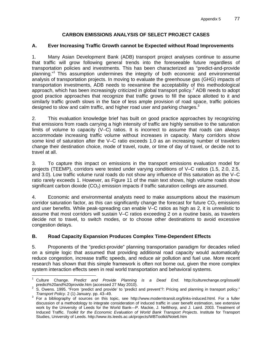# **CARBON EMISSIONS ANALYSIS OF SELECT PROJECT CASES**

## **A. Ever Increasing Traffic Growth cannot be Expected without Road Improvements**

1. Many Asian Development Bank (ADB) transport project analyses continue to assume that traffic will grow following general trends into the foreseeable future regardless of transportation policies and investments. This has been characterized as "predict-and-provide planning."1 This assumption undermines the integrity of both economic and environmental analysis of transportation projects. In moving to evaluate the greenhouse gas (GHG) impacts of transportation investments, ADB needs to reexamine the acceptability of this methodological approach, which has been increasingly criticized in global transport policy.<sup>2</sup> ADB needs to adopt good practice approaches that recognize that traffic grows to fill the space allotted to it and similarly traffic growth slows in the face of less ample provision of road space, traffic policies designed to slow and calm traffic, and higher road user and parking charges.<sup>3</sup>

2. This evaluation knowledge brief has built on good practice approaches by recognizing that emissions from roads carrying a high intensity of traffic are highly sensitive to the saturation limits of volume to capacity (V–C) ratios. It is incorrect to assume that roads can always accommodate increasing traffic volume without increases in capacity. Many corridors show some kind of saturation after the V–C ratio exceeds 1.0 as an increasing number of travelers change their destination choice, mode of travel, route, or time of day of travel, or decide not to travel at all.

3. To capture this impact on emissions in the transport emissions evaluation model for projects (TEEMP), corridors were tested under varying conditions of V–C ratios (1.5, 2.0, 2.5, and 3.0). Low traffic volume rural roads do not show any influence of this saturation as the V–C ratio rarely exceeds 1. However, as Figure 11 of the main text shows, high volume roads show significant carbon dioxide  $(CO<sub>2</sub>)$  emission impacts if traffic saturation ceilings are assumed.

4. Economic and environmental analysts need to make assumptions about the maximum corridor saturation factor, as this can significantly change the forecast for future  $CO<sub>2</sub>$  emissions and user benefits. While peak-spreading can enable V–C ratios as high as 2, it is unrealistic to assume that most corridors will sustain V–C ratios exceeding 2 on a routine basis, as travelers decide not to travel, to switch modes, or to choose other destinations to avoid excessive congestion delays.

# **B. Road Capacity Expansion Produces Complex Time-Dependent Effects**

5. Proponents of the "predict-provide" planning transportation paradigm for decades relied on a simple logic that assumed that providing additional road capacity would automatically reduce congestion, increase traffic speeds, and reduce air pollution and fuel use. More recent research has shown that this simple framework is often not borne out, given the more complex system interaction effects seen in real world transportation and behavioral systems.

 1 Culture Change. *Predict and Provide Planning is a Dead End*. http://culturechange.org/issue8/

predict%20and%20provide.htm (accessed 27 May 2010).<br>2 S. Owens. 1995. "From 'predict and provide' to 'predict and prevent'?: Pricing and planning in transport policy."

T*ransport Policy.* 2 (1) January. pp. 43–49.<br><sup>3</sup> For a bibliography of sources on this topic, see http://www.moderntransit.org/links-induced.html. For a fuller discussion of a methodology to integrate consideration of induced traffic in user benefit estimation, see extensive work by the University of Leeds for the World Bank—P. Mackie, J. Nellthorp, and J. Laird. 2003. Treatment of Induced Traffic. *Toolkit for the Economic Evaluation of World Bank Transport Projects*. Institute for Transport Studies, University of Leeds. http://www.its.leeds.ac.uk/projects/WBToolkit/Note6.htm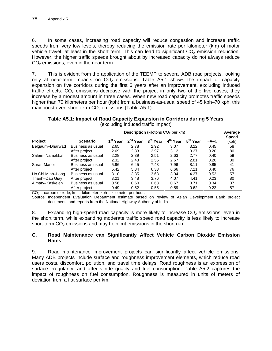6. In some cases, increasing road capacity will reduce congestion and increase traffic speeds from very low levels, thereby reducing the emission rate per kilometer (km) of motor vehicle travel, at least in the short term. This can lead to significant  $CO<sub>2</sub>$  emission reduction. However, the higher traffic speeds brought about by increased capacity do not always reduce  $CO<sub>2</sub>$  emissions, even in the near term.

7. This is evident from the application of the TEEMP to several ADB road projects, looking only at near-term impacts on  $CO<sub>2</sub>$  emissions. Table A5.1 shows the impact of capacity expansion on five corridors during the first 5 years after an improvement, excluding induced traffic effects.  $CO<sub>2</sub>$  emissions decrease with the project in only two of the five cases; they increase by a modest amount in three cases. When new road capacity promotes traffic speeds higher than 70 kilometers per hour (kph) from a business-as-usual speed of 45 kph–70 kph, this may boost even short-term  $CO<sub>2</sub>$  emissions (Table A5.1).

**Table A5.1: Impact of Road Capacity Expansion in Corridors during 5 Years**  (excluding induced traffic impact)

|                  |                   | <b>Description</b> (kilotons $CO2$ per km) |                      |                      |                      |                      | Average |                       |
|------------------|-------------------|--------------------------------------------|----------------------|----------------------|----------------------|----------------------|---------|-----------------------|
| <b>Project</b>   | <b>Scenario</b>   | 1 <sup>st</sup> Year                       | 2 <sup>nd</sup> Year | 3 <sup>rd</sup> Year | 4 <sup>th</sup> Year | 5 <sup>th</sup> Year | $-V-C$  | <b>Speed</b><br>(kph) |
| Belgaum-Dharwad  | Business as usual | 2.65                                       | 2.78                 | 2.92                 | 3.07                 | 3.22                 | 0.45    | 58                    |
|                  | After project     | 2.69                                       | 2.83                 | 2.97                 | 3.12                 | 3.27                 | 0.20    | 80                    |
| Salem-Namakkal   | Business as usual | 2.28                                       | 2.39                 | 2.51                 | 2.63                 | 2.77                 | 0.40    | 59                    |
|                  | After project     | 2.32                                       | 2.43                 | 2.55                 | 2.67                 | 2.81                 | 0.20    | 80                    |
| Surat-Manor      | Business as usual | 5.96                                       | 6.45                 | 7.43                 | 7.96                 | 8.11                 | 0.85    | 41                    |
|                  | After project     | 5.42                                       | 5.84                 | 6.33                 | 6.66                 | 7.21                 | 0.40    | 76                    |
| Ho Chi Minh-Long | Business as usual | 3.10                                       | 3.35                 | 3.63                 | 3.94                 | 4.27                 | 0.52    | 57                    |
| Thanh-Dau Giay   | After project     | 3.21                                       | 3.48                 | 3.76                 | 4.07                 | 4.41                 | 0.23    | 80                    |
| Almaty-Kaskelen  | Business as usual | 0.56                                       | 0.60                 | 0.63                 | 0.67                 | 0.71                 | 0.34    | 37                    |
|                  | After project     | 0.49                                       | 0.52                 | 0.55                 | 0.59                 | 0.62                 | 0.22    | 57                    |

 $CO<sub>2</sub>$  = carbon dioxide, km = kilometer, kph = kilometer per hour.

Source: Independent Evaluation Department estimate based on review of Asian Development Bank project documents and reports from the National Highway Authority of India.

8. Expanding high-speed road capacity is more likely to increase  $CO<sub>2</sub>$  emissions, even in the short term, while expanding moderate traffic speed road capacity is less likely to increase short-term  $CO<sub>2</sub>$  emissions and may help cut emissions in the short run.

### **C. Road Maintenance can Significantly Affect Vehicle Carbon Dioxide Emission Rates**

9. Road maintenance improvement projects can significantly affect vehicle emissions. Many ADB projects include surface and roughness improvement elements, which reduce road users costs, discomfort, pollution, and travel time delays. Road roughness is an expression of surface irregularity, and affects ride quality and fuel consumption. Table A5.2 captures the impact of roughness on fuel consumption. Roughness is measured in units of meters of deviation from a flat surface per km.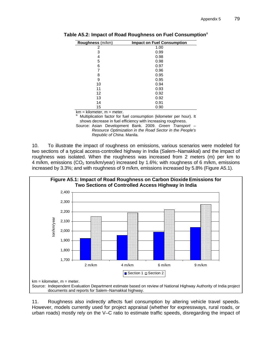| Roughness (m/km) | <b>Impact on Fuel Consumption</b> |
|------------------|-----------------------------------|
| 2                | 1.00                              |
| 3                | 0.99                              |
| 4                | 0.98                              |
| 5                | 0.98                              |
| 6                | 0.97                              |
| 7                | 0.96                              |
| 8                | 0.95                              |
| 9                | 0.95                              |
| 10               | 0.94                              |
| 11               | 0.93                              |
| 12               | 0.92                              |
| 13               | 0.92                              |
| 14               | 0.91                              |
| 15               | 0.90                              |

**Table A5.2: Impact of Road Roughness on Fuel Consumption**<sup>a</sup>

 $km = kilometer, m = meter.$ 

a Multiplication factor for fuel consumption (kilometer per hour). It shows decrease in fuel efficiency with increasing roughness.

Source: Asian Development Bank. 2009. *Green Transport – Resource Optimization in the Road Sector in the People's Republic of China*. Manila.

10. To illustrate the impact of roughness on emissions, various scenarios were modeled for two sections of a typical access-controlled highway in India (Salem–Namakkal) and the impact of roughness was isolated. When the roughness was increased from 2 meters (m) per km to 4 m/km, emissions ( $CO<sub>2</sub>$  tons/km/year) increased by 1.6%; with roughness of 6 m/km, emissions increased by 3.3%; and with roughness of 9 m/km, emissions increased by 5.8% (Figure A5.1).



11. Roughness also indirectly affects fuel consumption by altering vehicle travel speeds. However, models currently used for project appraisal (whether for expressways, rural roads, or urban roads) mostly rely on the V–C ratio to estimate traffic speeds, disregarding the impact of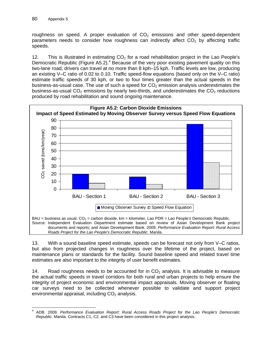roughness on speed. A proper evaluation of  $CO<sub>2</sub>$  emissions and other speed-dependent parameters needs to consider how roughness can indirectly affect  $CO<sub>2</sub>$  by affecting traffic speeds.

12. This is illustrated in estimating  $CO<sub>2</sub>$  for a road rehabilitation project in the Lao People's Democratic Republic (Figure A5.2).<sup>4</sup> Because of the very poor existing pavement quality on this two-lane road, drivers can travel at no more than 8 kph–15 kph. Traffic levels are low, producing an existing V–C ratio of 0.02 to 0.10. Traffic speed-flow equations (based only on the V–C ratio) estimate traffic speeds of 30 kph, or two to four times greater than the actual speeds in the business-as-usual case. The use of such a speed for  $CO<sub>2</sub>$  emission analysis underestimates the business-as-usual  $CO<sub>2</sub>$  emissions by nearly two-thirds, and underestimates the  $CO<sub>2</sub>$  reductions produced by road rehabilitation and sound ongoing maintenance.



13. With a sound baseline speed estimate, speeds can be forecast not only from V–C ratios, but also from projected changes in roughness over the lifetime of the project, based on maintenance plans or standards for the facility. Sound baseline speed and related travel time estimates are also important to the integrity of user benefit estimates.

14. Road roughness needs to be accounted for in  $CO<sub>2</sub>$  analysis. It is advisable to measure the actual traffic speeds in travel corridors for both rural and urban projects to help ensure the integrity of project economic and environmental impact appraisals. Moving observer or floating car surveys need to be collected whenever possible to validate and support project environmental appraisal, including  $CO<sub>2</sub>$  analysis.

<sup>-</sup>4 ADB. 2009. *Performance Evaluation Report: Rural Access Roads Project for the Lao People's Democratic Republic*. Manila. Contracts C1, C2, and C3 have been considered in this project analysis.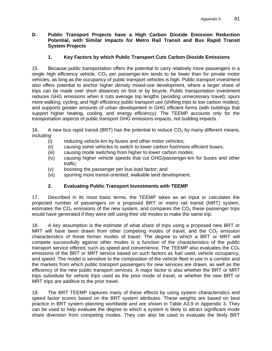### **D. Public Transport Projects have a High Carbon Dioxide Emission Reduction Potential, with Similar Impacts for Metro Rail Transit and Bus Rapid Transit System Projects**

# **1. Key Factors by which Public Transport Cuts Carbon Dioxide Emissions**

15. Because public transportation offers the potential to carry relatively more passengers in a single high efficiency vehicle,  $CO<sub>2</sub>$  per passenger-km tends to be lower than for private motor vehicles, as long as the occupancy of public transport vehicles is high. Public transport investment also offers potential to anchor higher density mixed-use development, where a larger share of trips can be made over short distances on foot or by bicycle. Public transportation investment reduces GHG emissions when it cuts average trip lengths (avoiding unnecessary travel); spurs more walking, cycling, and high efficiency public transport use (shifting trips to low carbon modes); and supports greater amounts of urban development in GHG efficient forms (with buildings that support higher heating, cooling, and energy efficiency). The TEEMP accounts only for the transportation aspects of public transport GHG emissions impacts, not building impacts.

16. A new bus rapid transit (BRT) has the potential to reduce  $CO<sub>2</sub>$  by many different means, including

- (i) reducing vehicle-km by buses and other motor vehicles;
- (ii) causing some vehicles to switch to lower carbon fuel/more efficient buses;
- (iii) causing mode switching from higher to lower carbon modes;
- (iv) causing higher vehicle speeds that cut GHG/passenger-km for buses and other traffic;
- (v) boosting the passenger per bus load factor; and
- (vi) spurring more transit-oriented, walkable land development.

# **2. Evaluating Public Transport Investments with TEEMP**

17. Described in its most basic terms, the TEEMP takes as an input or calculates the projected number of passengers on a proposed BRT or metro rail transit (MRT) system, estimates the  $CO<sub>2</sub>$  emissions of the new system, and compares the  $CO<sub>2</sub>$  these passenger trips would have generated if they were still using their old modes to make the same trip.

18. A key assumption is the estimate of what share of trips using a proposed new BRT or MRT will have been drawn from other competing modes of travel, and the  $CO<sub>2</sub>$  emission characteristics of those former modes of travel. The degree to which a BRT or MRT will compete successfully against other modes is a function of the characteristics of the public transport service offered, such as speed and convenience. The TEEMP also evaluates the  $CO<sub>2</sub>$ emissions of the BRT or MRT service based on such factors as fuel used, vehicle occupancy, and speed. The model is sensitive to the composition of the vehicle fleet in use in a corridor and the markets from which public transport passengers for new services are drawn, as well as the efficiency of the new public transport services. A major factor is also whether the BRT or MRT trips substitute for vehicle trips used as the prior mode of travel, or whether the new BRT or MRT trips are additive to the prior travel.

19. The BRT TEEMP captures many of these effects by using system characteristics and speed factor scores based on the BRT system attributes. These weights are based on best practice in BRT system planning worldwide and are shown in Table A3.9 in Appendix 3. They can be used to help evaluate the degree to which a system is likely to attract significant mode share diversion from competing modes. They can also be used to evaluate the likely BRT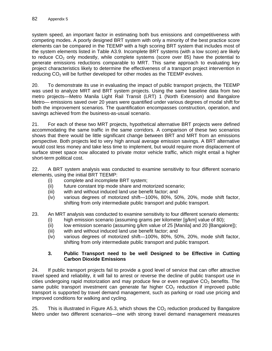system speed, an important factor in estimating both bus emissions and competitiveness with competing modes. A poorly designed BRT system with only a minority of the best practice score elements can be compared in the TEEMP with a high scoring BRT system that includes most of the system elements listed in Table A3.9. Incomplete BRT systems (with a low score) are likely to reduce  $CO<sub>2</sub>$  only modestly, while complete systems (score over 85) have the potential to generate emissions reductions comparable to MRT. This same approach to evaluating key project characteristics likely to determine the effectiveness of a transport project intervention in reducing CO<sub>2</sub> will be further developed for other modes as the TEEMP evolves.

20. To demonstrate its use in evaluating the impact of public transport projects, the TEEMP was used to analyze MRT and BRT system projects. Using the same baseline data from two metro projects—Metro Manila Light Rail Transit (LRT) 1 (North Extension) and Bangalore Metro— emissions saved over 20 years were quantified under various degrees of modal shift for both the improvement scenarios. The quantification encompasses construction, operation, and savings achieved from the business-as-usual scenario.

21. For each of these two MRT projects, hypothetical alternative BRT projects were defined accommodating the same traffic in the same corridors. A comparison of these two scenarios shows that there would be little significant change between BRT and MRT from an emissions perspective. Both projects led to very high annual average emission savings. A BRT alternative would cost less money and take less time to implement, but would require more displacement of surface street space now allocated to private motor vehicle traffic, which might entail a higher short-term political cost.

22. A BRT system analysis was conducted to examine sensitivity to four different scenario elements, using the initial BRT TEEMP:

- (i) complete and incomplete BRT system;
- (ii) future constant trip mode share and motorized scenario;
- (iii) with and without induced land use benefit factor; and
- (iv) various degrees of motorized shift—100%, 80%, 50%, 20%, mode shift factor, shifting from only intermediate public transport and public transport.

23. An MRT analysis was conducted to examine sensitivity to four different scenario elements:

- (i) high emission scenario (assuming grams per kilometer [g/km] value of 80);
- (ii) low emission scenario (assuming  $q/km$  value of 25 [Manila] and 20 [Bangalore]);
- (iii) with and without induced land use benefit factor; and
- (iv) various degrees of motorized shift—100%, 80%, 50%, 20%, mode shift factor, shifting from only intermediate public transport and public transport.

### **3. Public Transport need to be well Designed to be Effective in Cutting Carbon Dioxide Emissions**

24. If public transport projects fail to provide a good level of service that can offer attractive travel speed and reliability, it will fail to arrest or reverse the decline of public transport use in cities undergoing rapid motorization and may produce few or even negative  $CO<sub>2</sub>$  benefits. The same public transport investment can generate far higher  $CO<sub>2</sub>$  reduction if improved public transport is supported by travel demand management, such as parking or road use pricing and improved conditions for walking and cycling.

25. This is illustrated in Figure A5.3, which shows the  $CO<sub>2</sub>$  reduction produced by Bangalore Metro under two different scenarios—one with strong travel demand management measures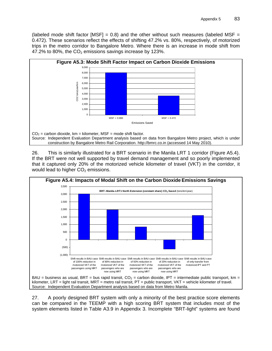(labeled mode shift factor [MSF] = 0.8) and the other without such measures (labeled MSF = 0.472). These scenarios reflect the effects of shifting 47.2% vs. 80%, respectively, of motorized trips in the metro corridor to Bangalore Metro. Where there is an increase in mode shift from 47.2% to 80%, the  $CO<sub>2</sub>$  emissions savings increase by 123%.



26. This is similarly illustrated for a BRT scenario in the Manila LRT 1 corridor (Figure A5.4). If the BRT were not well supported by travel demand management and so poorly implemented that it captured only 20% of the motorized vehicle kilometer of travel (VKT) in the corridor, it would lead to higher  $CO<sub>2</sub>$  emissions.



27. A poorly designed BRT system with only a minority of the best practice score elements can be compared in the TEEMP with a high scoring BRT system that includes most of the system elements listed in Table A3.9 in Appendix 3. Incomplete "BRT-light" systems are found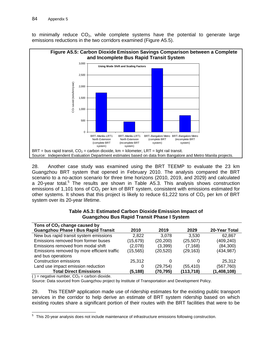to minimally reduce  $CO<sub>2</sub>$ , while complete systems have the potential to generate large emissions reductions in the two corridors examined (Figure A5.5).



28. Another case study was examined using the BRT TEEMP to evaluate the 23 km Guangzhou BRT system that opened in February 2010. The analysis compared the BRT scenario to a no-action scenario for three time horizons (2010, 2019, and 2029) and calculated a 20-year total.<sup>5</sup> The results are shown in Table A5.3. This analysis shows construction emissions of 1,101 tons of  $CO<sub>2</sub>$  per km of BRT system, consistent with emissions estimated for other systems. It shows that this project is likely to reduce  $61,222$  tons of  $CO<sub>2</sub>$  per km of BRT system over its 20-year lifetime.

| Tons of CO <sub>2</sub> change caused by    |           |           |            |               |
|---------------------------------------------|-----------|-----------|------------|---------------|
| <b>Guangzhou Phase I Bus Rapid Transit</b>  | 2010      | 2019      | 2029       | 20-Year Total |
| New bus rapid transit system emissions      | 2,822     | 3.078     | 3.530      | 62,867        |
| Emissions removed from former buses         | (15, 679) | (20, 200) | (25, 507)  | (409, 240)    |
| Emissions removed from modal shift          | (2,078)   | (3,399)   | (7, 168)   | (84, 300)     |
| Emissions removed by more efficient traffic | (15, 565) | (20,520)  | (29, 163)  | (434, 987)    |
| and bus operations                          |           |           |            |               |
| Construction emissions                      | 25,312    |           |            | 25,312        |
| Land use impact emission reduction          |           | (29,754)  | (55, 410)  | (567,760)     |
| <b>Total Direct Emissions</b>               | (5,188)   | (70, 795) | (113, 718) | (1,408,108)   |

#### **Table A5.3: Estimated Carbon Dioxide Emission Impact of Guangzhou Bus Rapid Transit Phase I System**

( ) = negative number,  $CO<sub>2</sub>$  = carbon dioxide.

Source: Data sourced from Guangzhou project by Institute of Transportation and Development Policy.

29. This TEEMP application made use of ridership estimates for the existing public transport services in the corridor to help derive an estimate of BRT system ridership based on which existing routes share a significant portion of their routes with the BRT facilities that were to be

 5 This 20-year analysis does not include maintenance of infrastructure emissions following construction.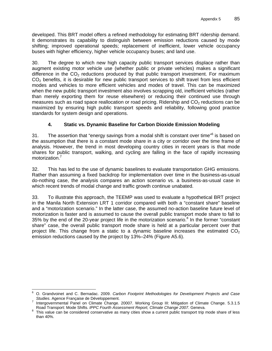developed. This BRT model offers a refined methodology for estimating BRT ridership demand. It demonstrates its capability to distinguish between emission reductions caused by mode shifting; improved operational speeds; replacement of inefficient, lower vehicle occupancy buses with higher efficiency, higher vehicle occupancy buses; and land use.

30. The degree to which new high capacity public transport services displace rather than augment existing motor vehicle use (whether public or private vehicles) makes a significant difference in the  $CO<sub>2</sub>$  reductions produced by that public transport investment. For maximum  $CO<sub>2</sub>$  benefits, it is desirable for new public transport services to shift travel from less efficient modes and vehicles to more efficient vehicles and modes of travel. This can be maximized when the new public transport investment also involves scrapping old, inefficient vehicles (rather than merely exporting them for reuse elsewhere) or reducing their continued use through measures such as road space reallocation or road pricing. Ridership and  $CO<sub>2</sub>$  reductions can be maximized by ensuring high public transport speeds and reliability, following good practice standards for system design and operations.

# **4. Static vs. Dynamic Baseline for Carbon Dioxide Emission Modeling**

31. The assertion that "energy savings from a modal shift is constant over time"<sup>6</sup> is based on the assumption that there is a constant mode share in a city or corridor over the time frame of analysis. However, the trend in most developing country cities in recent years is that mode shares for public transport, walking, and cycling are falling in the face of rapidly increasing motorization.<sup>7</sup>

32. This has led to the use of dynamic baselines to evaluate transportation GHG emissions. Rather than assuming a fixed backdrop for implementation over time in the business-as-usual do-nothing case, the analysis compares an action scenario vs. a business-as-usual case in which recent trends of modal change and traffic growth continue unabated.

33. To illustrate this approach, the TEEMP was used to evaluate a hypothetical BRT project in the Manila North Extension LRT 1 corridor compared with both a "constant share" baseline and a "motorization scenario." In the latter case, the assumed no-action baseline future level of motorization is faster and is assumed to cause the overall public transport mode share to fall to 35% by the end of the 20-year project life in the motorization scenario.<sup>8</sup> In the former "constant share" case, the overall public transport mode share is held at a particular percent over that project life. This change from a static to a dynamic baseline increases the estimated  $CO<sub>2</sub>$ emission reductions caused by the project by 13%–24% (Figure A5.6).

 6 O. Grandvoinet and C. Bernadac. 2009. *Carbon Footprint Methodologies for Development Projects and Case Studies. Agence Française de Développement.* 

Intergovernmental Panel on Climate Change. 20007. Working Group III: Mitigation of Climate Change. 5.3.1.5 Road Transport: Mode Shifts. *IPPC Fourth Assessment Report, Climate Change 2007*. Geneva. 8

<sup>&</sup>lt;sup>8</sup> This value can be considered conservative as many cities show a current public transport trip mode share of less than 40%.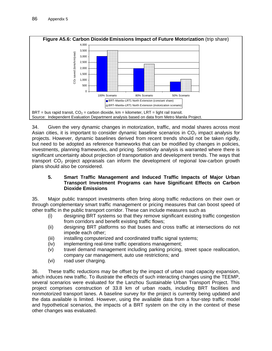

34. Given the very dynamic changes in motorization, traffic, and modal shares across most Asian cities, it is important to consider dynamic baseline scenarios in  $CO<sub>2</sub>$  impact analysis for projects. However, dynamic baselines derived from recent trends should not be taken rigidly, but need to be adopted as reference frameworks that can be modified by changes in policies, investments, planning frameworks, and pricing. Sensitivity analysis is warranted where there is significant uncertainty about projection of transportation and development trends. The ways that transport  $CO<sub>2</sub>$  project appraisals can inform the development of regional low-carbon growth plans should also be considered.

### **5. Smart Traffic Management and Induced Traffic Impacts of Major Urban Transport Investment Programs can have Significant Effects on Carbon Dioxide Emissions**

35. Major public transport investments often bring along traffic reductions on their own or through complementary smart traffic management or pricing measures that can boost speed of other traffic in the public transport corridor. These can include measures such as

- (i) designing BRT systems so that they remove significant existing traffic congestion from corridors and benefit existing traffic flows;
- (ii) designing BRT platforms so that buses and cross traffic at intersections do not impede each other;
- (iii) installing computerized and coordinated traffic signal systems;
- (iv) implementing real-time traffic operations management;
- (v) travel demand management including parking pricing, street space reallocation, company car management, auto use restrictions; and
- (vi) road user charging.

36. These traffic reductions may be offset by the impact of urban road capacity expansion, which induces new traffic. To illustrate the effects of such interacting changes using the TEEMP, several scenarios were evaluated for the Lanzhou Sustainable Urban Transport Project. This project comprises construction of 33.8 km of urban roads, including BRT facilities and nonmotorized transport lanes. A baseline survey for the project is currently being updated and the data available is limited. However, using the available data from a four-step traffic model and hypothetical scenarios, the impacts of a BRT system on the city in the context of these other changes was evaluated.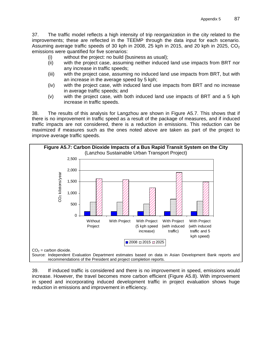37. The traffic model reflects a high intensity of trip reorganization in the city related to the improvements; these are reflected in the TEEMP through the data input for each scenario. Assuming average traffic speeds of 30 kph in 2008, 25 kph in 2015, and 20 kph in 2025,  $CO<sub>2</sub>$ emissions were quantified for five scenarios:

- (i) without the project: no build (business as usual);
- (ii) with the project case, assuming neither induced land use impacts from BRT nor any increase in traffic speeds;
- (iii) with the project case, assuming no induced land use impacts from BRT, but with an increase in the average speed by 5 kph;
- (iv) with the project case, with induced land use impacts from BRT and no increase in average traffic speeds; and
- (v) with the project case, with both induced land use impacts of BRT and a 5 kph increase in traffic speeds.

38. The results of this analysis for Langzhou are shown in Figure A5.7. This shows that if there is no improvement in traffic speed as a result of the package of measures, and if induced traffic impacts are not considered, there is a reduction in emissions. This reduction can be maximized if measures such as the ones noted above are taken as part of the project to improve average traffic speeds.



39. If induced traffic is considered and there is no improvement in speed, emissions would increase. However, the travel becomes more carbon efficient (Figure A5.8). With improvement in speed and incorporating induced development traffic in project evaluation shows huge reduction in emissions and improvement in efficiency.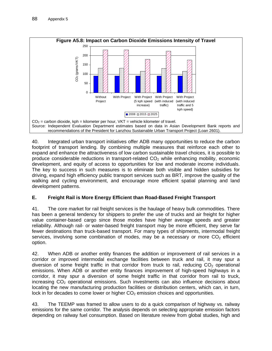

40. Integrated urban transport initiatives offer ADB many opportunities to reduce the carbon footprint of transport lending. By combining multiple measures that reinforce each other to expand and enhance the attractiveness of low carbon sustainable travel choices, it is possible to produce considerable reductions in transport-related  $CO<sub>2</sub>$  while enhancing mobility, economic development, and equity of access to opportunities for low and moderate income individuals. The key to success in such measures is to eliminate both visible and hidden subsidies for driving, expand high efficiency public transport services such as BRT, improve the quality of the walking and cycling environment, and encourage more efficient spatial planning and land development patterns.

### **E. Freight Rail is More Energy Efficient than Road-Based Freight Transport**

41. The core market for rail freight services is the haulage of heavy bulk commodities. There has been a general tendency for shippers to prefer the use of trucks and air freight for higher value container-based cargo since those modes have higher average speeds and greater reliability. Although rail- or water-based freight transport may be more efficient, they serve far fewer destinations than truck-based transport. For many types of shipments, intermodal freight services, involving some combination of modes, may be a necessary or more  $CO<sub>2</sub>$  efficient option.

42. When ADB or another entity finances the addition or improvement of rail services in a corridor or improved intermodal exchange facilities between truck and rail, it may spur a diversion of some freight traffic in that corridor from truck to rail, reducing  $CO<sub>2</sub>$  operational emissions. When ADB or another entity finances improvement of high-speed highways in a corridor, it may spur a diversion of some freight traffic in that corridor from rail to truck, increasing  $CO<sub>2</sub>$  operational emissions. Such investments can also influence decisions about locating the new manufacturing production facilities or distribution centers, which can, in turn, lock in for decades to come lower or higher  $CO<sub>2</sub>$  emission choices and opportunities.

43. The TEEMP was framed to allow users to do a quick comparison of highway vs. railway emissions for the same corridor. The analysis depends on selecting appropriate emission factors depending on railway fuel consumption. Based on literature review from global studies, high and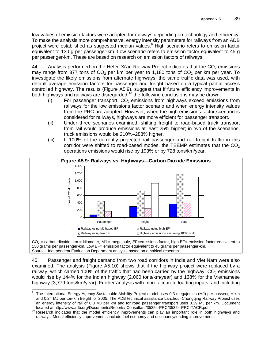low values of emission factors were adopted for railways depending on technology and efficiency. To make the analysis more comprehensive, energy intensity parameters for railways from an ADB project were established as suggested median values.<sup>9</sup> High scenario refers to emission factor equivalent to 130 g per passenger-km. Low scenario refers to emission factor equivalent to 45 g per passenger-km. These are based on research on emission factors of railways.

44. Analysis performed on the Hefei–Xi'an Railway Project indicates that the  $CO<sub>2</sub>$  emissions may range from 377 tons of  $CO<sub>2</sub>$  per km per year to 1,180 tons of  $CO<sub>2</sub>$  per km per year. To investigate the likely emissions from alternate highways, the same traffic data was used, with default average emission factors for passenger and freight based on a typical partial access controlled highway. The results (Figure A5.9), suggest that if future efficiency improvements in both highways and railways are disregarded,  $10$  the following conclusions may be drawn:

- $(i)$  For passenger transport,  $CO<sub>2</sub>$  emissions from highways exceed emissions from railways for the low emissions factor scenario and when energy intensity values from the PRC are adopted. However, when the high emissions factor scenario is considered for railways, highways are more efficient for passenger transport.
- (ii) Under three scenarios examined, shifting freight to road-based truck transport from rail would produce emissions at least 25% higher; in two of the scenarios, truck emissions would be 210%–283% higher.
- (iii) If 100% of the currently projected rail passenger and rail freight traffic in this corridor were shifted to road-based modes, the TEEMP estimates that the  $CO<sub>2</sub>$ operations emissions would rise by 193% or by 728 tons/km/year.



130 grams per passenger-km, Low EF= emission factor equivalent to 45 grams per passenger-km. Source: Independent Evaluation Department analysis based on empirical research.

45. Passenger and freight demand from two road corridors in India and Viet Nam were also examined. The analysis (Figure A5.10) shows that if the highway project were replaced by a railway, which carried 100% of the traffic that had been carried by the highway,  $CO<sub>2</sub>$  emissions would rise by 144% for the Indian highway (2,060 tons/km/year) and 138% for the Vietnamese highway (3,779 tons/km/year). Further analysis with more accurate loading inputs, and including

 9 The International Energy Agency Sustainable Mobility Project model uses 0.3 megajoules (MJ) per passenger-km and 0.24 MJ per ton-km freight for 2005. The ADB technical assistance Lanzhou–Chongqing Railway Project uses an energy intensity of rail of 0.3 MJ per km and for road passenger transport uses 0.39 MJ per km. Document

located at http://www.adb.org/Documents/Reports/ Consultant/35354-PRC/35354-PRC-TACR.pdf.<br><sup>10</sup> Research indicates that the model efficiency improvements can play an important role in both highways and railways. Modal efficiency improvements include fuel economy and occupancy/loading improvements.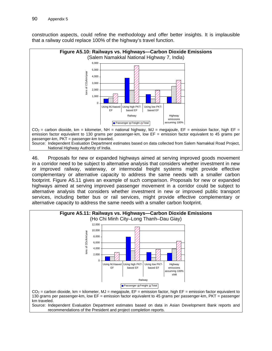construction aspects, could refine the methodology and offer better insights. It is implausible that a railway could replace 100% of the highway's travel function.



46. Proposals for new or expanded highways aimed at serving improved goods movement in a corridor need to be subject to alternative analysis that considers whether investment in new or improved railway, waterway, or intermodal freight systems might provide effective complementary or alternative capacity to address the same needs with a smaller carbon footprint. Figure A5.11 gives an example of such comparison. Proposals for new or expanded highways aimed at serving improved passenger movement in a corridor could be subject to alternative analysis that considers whether investment in new or improved public transport services, including better bus or rail services, might provide effective complementary or alternative capacity to address the same needs with a smaller carbon footprint.



Source: Independent Evaluation Department estimates based on data in Asian Development Bank reports and recommendations of the President and project completion reports.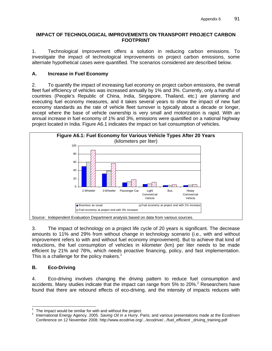### **IMPACT OF TECHNOLOGICAL IMPROVEMENTS ON TRANSPORT PROJECT CARBON FOOTPRINT**

1. Technological improvement offers a solution in reducing carbon emissions. To investigate the impact of technological improvements on project carbon emissions, some alternate hypothetical cases were quantified. The scenarios considered are described below.

### **A. Increase in Fuel Economy**

2. To quantify the impact of increasing fuel economy on project carbon emissions, the overall fleet fuel efficiency of vehicles was increased annually by 1% and 3%. Currently, only a handful of countries (People's Republic of China, India, Singapore, Thailand, etc.) are planning and executing fuel economy measures, and it takes several years to show the impact of new fuel economy standards as the rate of vehicle fleet turnover is typically about a decade or longer, except where the base of vehicle ownership is very small and motorization is rapid. With an annual increase in fuel economy of 1% and 3%, emissions were quantified on a national highway project located in India. Figure A6.1 indicates the impact on fuel consumption of vehicles.



3. The impact of technology on a project life cycle of 20 years is significant. The decrease amounts to 11% and 29% from without change in technology scenario (i.e., with and without improvement refers to with and without fuel economy improvement). But to achieve that kind of reductions, the fuel consumption of vehicles in kilometer (km) per liter needs to be made efficient by 21% and 78%, which needs proactive financing, policy, and fast implementation. This is a challenge for the policy makers.<sup>1</sup>

# **B. Eco-Driving**

4. Eco-driving involves changing the driving pattern to reduce fuel consumption and accidents. Many studies indicate that the impact can range from 5% to 20%.<sup>2</sup> Researchers have found that there are rebound effects of eco-driving, and the intensity of impacts reduces with

 $\frac{1}{1}$ The impact would be similar for with and without the project.

<sup>2</sup> International Energy Agency. 2005. *Saving Oil in a Hurry*. Paris; and various presentations made at the Ecodriven Conference on 12 November 2008. http://www.ecodrive.org/.../ecodrive/.../fuel\_efficient \_driving\_training.pdf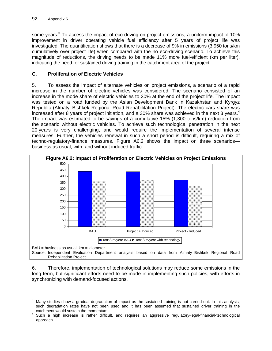some years.<sup>3</sup> To access the impact of eco-driving on project emissions, a uniform impact of 10% improvement in driver operating vehicle fuel efficiency after 5 years of project life was investigated. The quantification shows that there is a decrease of 9% in emissions (3,950 tons/km cumulatively over project life) when compared with the no eco-driving scenario. To achieve this magnitude of reductions, the driving needs to be made 11% more fuel-efficient (km per liter), indicating the need for sustained driving training in the catchment area of the project.

## **C. Proliferation of Electric Vehicles**

5. To assess the impact of alternate vehicles on project emissions, a scenario of a rapid increase in the number of electric vehicles was considered. The scenario consisted of an increase in the mode share of electric vehicles to 30% at the end of the project life. The impact was tested on a road funded by the Asian Development Bank in Kazakhstan and Kyrgyz Republic (Almaty–Bishkek Regional Road Rehabilitation Project). The electric cars share was increased after 8 years of project initiation, and a 30% share was achieved in the next 3 years.<sup>4</sup> The impact was estimated to be savings of a cumulative 15% (1,300 tons/km) reduction from the scenario without electric vehicles. To achieve such technological penetration in the next 20 years is very challenging, and would require the implementation of several intense measures. Further, the vehicles renewal in such a short period is difficult, requiring a mix of techno-regulatory-finance measures. Figure A6.2 shows the impact on three scenarios business as usual, with, and without induced traffic.



6. Therefore, implementation of technological solutions may reduce some emissions in the long term, but significant efforts need to be made in implementing such policies, with efforts in synchronizing with demand-focused actions.

<sup>-&</sup>lt;br>3 Many studies show a gradual degradation of impact as the sustained training is not carried out. In this analysis, such degradation rates have not been used and it has been assumed that sustained driver training in the catchment would sustain the momentum.

Such a high increase is rather difficult, and requires an aggressive regulatory-legal-financial-technological approach.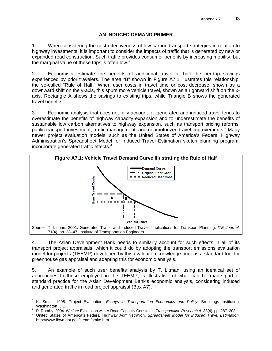### **AN INDUCED DEMAND PRIMER**

1. When considering the cost-effectiveness of low carbon transport strategies in relation to highway investments, it is important to consider the impacts of traffic that is generated by new or expanded road construction. Such traffic provides consumer benefits by increasing mobility, but the marginal value of these trips is often low.<sup>1</sup>

2. Economists estimate the benefits of additional travel at half the per-trip savings experienced by prior travelers. The area "B" shown in Figure A7.1 illustrates this relationship, the so-called "Rule of Half." When user costs in travel time or cost decrease, shown as a downward shift on the y-axis, this spurs more vehicle travel, shown as a rightward shift on the xaxis. Rectangle A shows the savings to existing trips, while Triangle B shows the generated travel benefits.

3. Economic analysis that does not fully account for generated and induced travel tends to overestimate the benefits of highway capacity expansion and to underestimate the benefits of sustainable low carbon alternatives to highway expansion, such as transport pricing reforms, public transport investment, traffic management, and nonmotorized travel improvements.<sup>2</sup> Many newer project evaluation models, such as the United States of America's Federal Highway Administration's Spreadsheet Model for Induced Travel Estimation sketch planning program, incorporate generated traffic effects.<sup>3</sup>



4. The Asian Development Bank needs to similarly account for such effects in all of its transport project appraisals, which it could do by adopting the transport emissions evaluation model for projects (TEEMP) developed by this evaluation knowledge brief as a standard tool for greenhouse gas appraisal and adapting this for economic analysis.

5. An example of such user benefits analysis by T. Litman, using an identical set of approaches to those employed in the TEEMP, is illustrative of what can be made part of standard practice for the Asian Development Bank's economic analysis, considering induced and generated traffic in road project appraisal (Box A7).

 $\overline{a}$ 

<sup>1</sup> K. Small. 1998. Project Evaluation. *Essays in Transportation Economics and Policy*. Brookings Institution. Washington, DC.<br><sup>2</sup> D. Bamilly, 2004, N

P. Romilly. 2004. Welfare Evaluation with A Road Capacity Constraint. *Transportation Research A*. 38(4). pp. 287–303. 3

United States of America's Federal Highway Administration. *Spreadsheet Model for Induced Travel Estimation*. http://www.fhwa.dot.gov/steam/smite.htm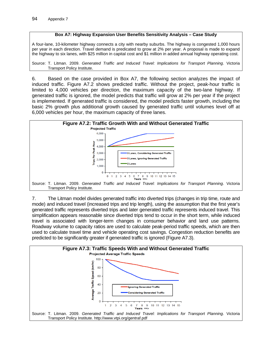#### **Box A7: Highway Expansion User Benefits Sensitivity Analysis – Case Study**

A four-lane, 10-kilometer highway connects a city with nearby suburbs. The highway is congested 1,000 hours per year in each direction. Travel demand is predicated to grow at 2% per year. A proposal is made to expand the highway to six lanes, with \$25 million in capital cost and \$1 million in added annual highway operating cost.

Source: T. Litman. 2009. *Generated Traffic and Induced Travel: Implications for Transport Planning*. Victoria Transport Policy Institute.

6. Based on the case provided in Box A7, the following section analyzes the impact of induced traffic. Figure A7.2 shows predicted traffic. Without the project, peak-hour traffic is limited to 4,000 vehicles per direction, the maximum capacity of the two-lane highway. If generated traffic is ignored, the model predicts that traffic will grow at 2% per year if the project is implemented. If generated traffic is considered, the model predicts faster growth, including the basic 2% growth plus additional growth caused by generated traffic until volumes level off at 6,000 vehicles per hour, the maximum capacity of three lanes.



7. The Litman model divides generated traffic into diverted trips (changes in trip time, route and mode) and induced travel (increased trips and trip length), using the assumption that the first year's generated traffic represents diverted trips and later generated traffic represents induced travel. This simplification appears reasonable since diverted trips tend to occur in the short term, while induced travel is associated with longer-term changes in consumer behavior and land use patterns. Roadway volume to capacity ratios are used to calculate peak-period traffic speeds, which are then used to calculate travel time and vehicle operating cost savings. Congestion reduction benefits are predicted to be significantly greater if generated traffic is ignored (Figure A7.3).

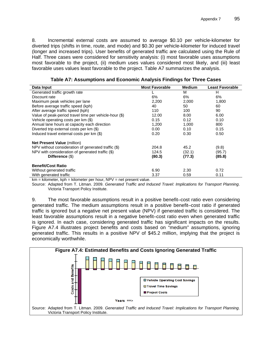8. Incremental external costs are assumed to average \$0.10 per vehicle-kilometer for diverted trips (shifts in time, route, and mode) and \$0.30 per vehicle-kilometer for induced travel (longer and increased trips). User benefits of generated traffic are calculated using the Rule of Half. Three cases were considered for sensitivity analysis: (i) most favorable uses assumptions most favorable to the project, (ii) medium uses values considered most likely, and (iii) least favorable uses values least favorable to the project. Table A7 summarizes the analysis.

| Data Input                                             | <b>Most Favorable</b> | <b>Medium</b> | Least Favorable |
|--------------------------------------------------------|-----------------------|---------------|-----------------|
| Generated traffic growth rate                          |                       | м             | H               |
| Discount rate                                          | 6%                    | 6%            | 6%              |
| Maximum peak vehicles per lane                         | 2,200                 | 2,000         | 1,800           |
| Before average traffic speed (kph)                     | 40                    | 50            | 60              |
| After average traffic speed (kph)                      | 110                   | 100           | 90              |
| Value of peak-period travel time per vehicle-hour (\$) | 12.00                 | 8.00          | 6.00            |
| Vehicle operating costs per km (\$)                    | 0.15                  | 0.12          | 0.10            |
| Annual lane hours at capacity each direction           | 1,200                 | 1,000         | 800             |
| Diverted trip external costs per km (\$)               | 0.00                  | 0.10          | 0.15            |
| Induced travel external costs per km (\$)              | 0.20                  | 0.30          | 0.50            |
| <b>Net Present Value (million)</b>                     |                       |               |                 |
| NPV without consideration of generated traffic (\$)    | 204.8                 | 45.2          | (9.8)           |
| NPV with consideration of generated traffic (\$)       | 124.5                 | (32.1)        | (95.7)          |
| Difference (\$)                                        | (80.3)                | (77.3)        | (85.8)          |
| <b>Benefit/Cost Ratio</b>                              |                       |               |                 |
| Without generated traffic                              | 6.90                  | 2.30          | 0.72            |
| With generated traffic                                 | 3.37                  | 0.59          | 0.11            |

**Table A7: Assumptions and Economic Analysis Findings for Three Cases** 

 $km = kilometer$ ,  $kph = kilometer$  per hour,  $NPV = net$  present value.

Source: Adapted from T. Litman. 2009. *Generated Traffic and Induced Travel: Implications for Transport Planning*. Victoria Transport Policy Institute.

9. The most favorable assumptions result in a positive benefit–cost ratio even considering generated traffic. The medium assumptions result in a positive benefit–cost ratio if generated traffic is ignored but a negative net present value (NPV) if generated traffic is considered. The least favorable assumptions result in a negative benefit–cost ratio even when generated traffic is ignored. In each case, considering generated traffic has significant impacts on the results. Figure A7.4 illustrates project benefits and costs based on "medium" assumptions, ignoring generated traffic. This results in a positive NPV of \$45.2 million, implying that the project is economically worthwhile.